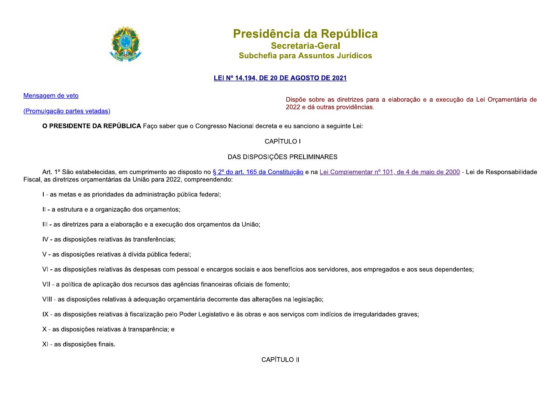

# Presidência da República

Secretaria-Geral Subchefia para Assuntos Jurídicos

## LEI Nº 14.194, DE 20 DE AGOSTO DE 2021

Mensagem de veto

(Promulgação partes vetadas)

Dispõe sobre as diretrizes para a elaboração e a execução da Lei Orcamentária de 2022 e dá outras providências.

O PRESIDENTE DA REPÚBLICA Faço saber que o Congresso Nacional decreta e eu sanciono a seguinte Lei:

**CAPÍTULO I** 

# DAS DISPOSIÇÕES PRELIMINARES

Art. 1º São estabelecidas, em cumprimento ao disposto no § 2º do art. 165 da Constituição e na Lei Complementar nº 101, de 4 de maio de 2000 - Lei de Responsabilidade Fiscal, as diretrizes orcamentárias da União para 2022, compreendendo:

- I as metas e as prioridades da administração pública federal;
- II a estrutura e a organização dos orçamentos;
- III as diretrizes para a elaboração e a execução dos orcamentos da União;
- IV as disposições relativas às transferências;
- V as disposições relativas à dívida pública federal;
- VI-as disposições relativas às despesas com pessoal e encargos sociais e aos benefícios aos servidores, aos empregados e aos seus dependentes;
- VII a política de aplicação dos recursos das agências financeiras oficiais de fomento;
- VIII as disposições relativas à adequação orçamentária decorrente das alterações na legislação;
- IX as disposições relativas à fiscalização pelo Poder Legislativo e às obras e aos serviços com indícios de irregularidades graves;
- X as disposições relativas à transparência; e
- XI as disposições finais.

## **CAPÍTULO II**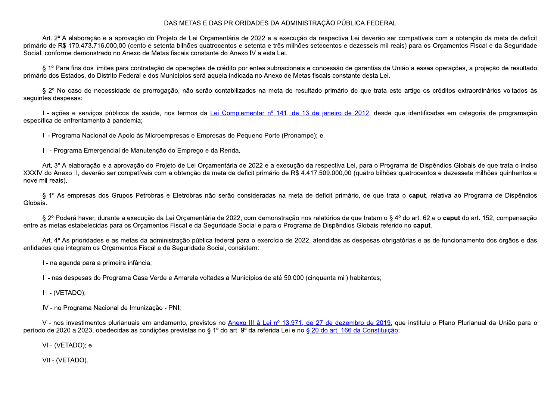## DAS METAS E DAS PRIORIDADES DA ADMINISTRAÇÃO PÚBLICA FEDERAL

Art. 2º A elaboração e a aprovação do Projeto de Lei Orçamentária de 2022 e a execução da respectiva Lei deverão ser compatíveis com a obtenção da meta de deficit primário de R\$ 170.473.716.000,00 (cento e setenta bilhões quatrocentos e setenta e três milhões setecentos e dezesseis mil reais) para os Orçamentos Fiscal e da Seguridade Social, conforme demonstrado no Anexo de Metas fiscais constante do Anexo IV a esta Lei.

§ 1º Para fins dos limites para contratação de operações de crédito por entes subnacionais e concessão de garantias da União a essas operações, a projeção de resultado primário dos Estados, do Distrito Federal e dos Municípios será aquela indicada no Anexo de Metas fiscais constante desta Lei.

§ 2º No caso de necessidade de prorrogação, não serão contabilizados na meta de resultado primário de que trata este artigo os créditos extraordinários voltados às sequintes despesas:

I - ações e serviços públicos de saúde, nos termos da Lei Complementar nº 141, de 13 de janeiro de 2012, desde que identificadas em categoria de programação específica de enfrentamento à pandemia:

II - Programa Nacional de Apoio às Microempresas e Empresas de Pequeno Porte (Pronampe); e

III - Programa Emergencial de Manutenção do Emprego e da Renda.

Art. 3º A elaboração e a aprovação do Projeto de Lei Orçamentária de 2022 e a execução da respectiva Lei, para o Programa de Dispêndios Globais de que trata o inciso XXXIV do Anexo II, deverão ser compatíveis com a obtenção da meta de deficit primário de R\$ 4.417.509.000,00 (quatro bilhões quatrocentos e dezessete milhões quinhentos e nove mil reais).

§ 1º As empresas dos Grupos Petrobras e Eletrobras não serão consideradas na meta de deficit primário, de que trata o caput, relativa ao Programa de Dispêndios Globais.

§ 2º Poderá haver, durante a execução da Lei Orcamentária de 2022, com demonstração nos relatórios de que tratam o § 4º do art. 62 e o caput do art. 152, compensação entre as metas estabelecidas para os Orcamentos Fiscal e da Seguridade Social e para o Programa de Dispêndios Globais referido no caput.

Art. 4° As prioridades e as metas da administração pública federal para o exercício de 2022, atendidas as despesas obrigatórias e as de funcionamento dos órgãos e das entidades que integram os Orcamentos Fiscal e da Seguridade Social, consistem:

I - na agenda para a primeira infância;

II - nas despesas do Programa Casa Verde e Amarela voltadas a Municípios de até 50.000 (cinquenta mil) habitantes;

III - (VETADO);

IV - no Programa Nacional de Imunização - PNI;

V - nos investimentos plurianuais em andamento, previstos no Anexo III à Lei nº 13.971, de 27 de dezembro de 2019, que instituiu o Plano Plurianual da União para o período de 2020 a 2023, obedecidas as condições previstas no § 1º do art. 9º da referida Lei e no § 20 do art. 166 da Constituição;

VI - (VETADO); e

VII - (VETADO).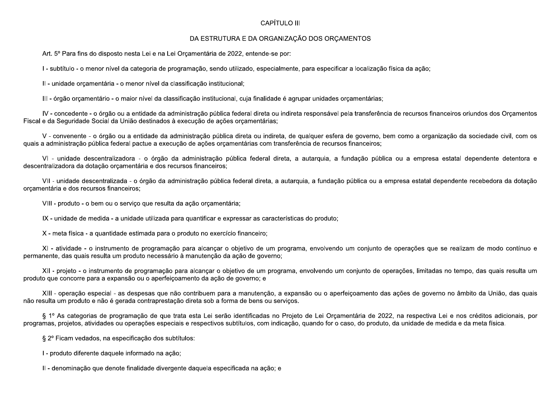## CAPÍTULO III

## DA ESTRUTURA E DA ORGANIZAÇÃO DOS ORÇAMENTOS

Art. 5º Para fins do disposto nesta Lei e na Lei Orcamentária de 2022, entende-se por:

I - subtítulo - o menor nível da categoria de programação, sendo utilizado, especialmente, para especificar a localização física da ação;

II - unidade orcamentária - o menor nível da classificação institucional;

III - órgão orcamentário - o maior nível da classificação institucional, cuja finalidade é agrupar unidades orcamentárias;

IV - concedente - o órgão ou a entidade da administração pública federal direta ou indireta responsável pela transferência de recursos financeiros oriundos dos Orcamentos Fiscal e da Seguridade Social da União destinados à execução de ações orcamentárias;

V - convenente - o órgão ou a entidade da administração pública direta ou indireta, de qualquer esfera de governo, bem como a organização da sociedade civil, com os guais a administração pública federal pactue a execução de ações orcamentárias com transferência de recursos financeiros;

VI - unidade descentralizadora - o órgão da administração pública federal direta, a autarquia, a fundação pública ou a empresa estatal dependente detentora e descentralizadora da dotação orçamentária e dos recursos financeiros;

VII - unidade descentralizada - o órgão da administração pública federal direta, a autarquia, a fundação pública ou a empresa estatal dependente recebedora da dotação orcamentária e dos recursos financeiros;

VIII - produto - o bem ou o servico que resulta da ação orçamentária;

IX - unidade de medida - a unidade utilizada para quantificar e expressar as características do produto;

X - meta física - a quantidade estimada para o produto no exercício financeiro;

XI - atividade - o instrumento de programação para alcançar o objetivo de um programa, envolvendo um conjunto de operações que se realizam de modo contínuo e permanente, das quais resulta um produto necessário à manutenção da ação de governo;

XII - projeto - o instrumento de programação para alcançar o objetivo de um programa, envolvendo um conjunto de operações, limitadas no tempo, das quais resulta um produto que concorre para a expansão ou o aperfeicoamento da ação de governo; e

XIII - operação especial - as despesas que não contribuem para a manutenção, a expansão ou o aperfeiçoamento das ações de governo no âmbito da União, das quais não resulta um produto e não é gerada contraprestação direta sob a forma de bens ou serviços.

§ 1º As categorias de programação de que trata esta Lei serão identificadas no Projeto de Lei Orcamentária de 2022, na respectiva Lei e nos créditos adicionais, por programas, projetos, atividades ou operações especiais e respectivos subtítulos, com indicação, guando for o caso, do produto, da unidade de medida e da meta física.

§ 2º Ficam vedados, na especificação dos subtítulos:

I - produto diferente daquele informado na ação;

II - denominação que denote finalidade divergente daquela especificada na ação; e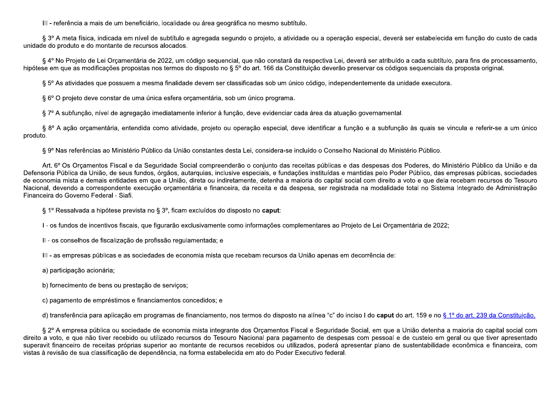III - referência a mais de um beneficiário, localidade ou área geográfica no mesmo subtítulo.

§ 3º A meta física, indicada em nível de subtítulo e agregada segundo o projeto, a atividade ou a operação especial, deverá ser estabelecida em função do custo de cada unidade do produto e do montante de recursos alocados.

§ 4º No Projeto de Lei Orcamentária de 2022, um código sequencial, que não constará da respectiva Lei, deverá ser atribuído a cada subtítulo, para fins de processamento, hipótese em que as modificações propostas nos termos do disposto no § 5º do art. 166 da Constituição deverão preservar os códigos sequenciais da proposta original.

§ 5° As atividades que possuem a mesma finalidade devem ser classificadas sob um único código, independentemente da unidade executora.

§ 6° O projeto deve constar de uma única esfera orcamentária, sob um único programa.

§ 7º A subfunção, nível de agregação imediatamente inferior à função, deve evidenciar cada área da atuação governamental.

§ 8º A ação orçamentária, entendida como atividade, projeto ou operação especial, deve identificar a função e a subfunção às quais se vincula e referir-se a um único produto.

§ 9º Nas referências ao Ministério Público da União constantes desta Lei, considera-se incluído o Conselho Nacional do Ministério Público.

Art. 6° Os Orcamentos Fiscal e da Seguridade Social compreenderão o conjunto das receitas públicas e das despesas dos Poderes, do Ministério Público da União e da Defensoria Pública da União, de seus fundos, órgãos, autarquias, inclusive especiais, e fundações instituídas e mantidas pelo Poder Público, das empresas públicas, sociedades de economia mista e demais entidades em que a União, direta ou indiretamente, detenha a maioria do capital social com direito a voto e que dela recebam recursos do Tesouro Nacional, devendo a correspondente execução orcamentária e financeira, da receita e da despesa, ser registrada na modalidade total no Sistema Integrado de Administração Financeira do Governo Federal - Siafi.

§ 1º Ressalvada a hipótese prevista no § 3º, ficam excluídos do disposto no caput:

I - os fundos de incentivos fiscais, que figurarão exclusivamente como informações complementares ao Projeto de Lei Orcamentária de 2022;

II - os conselhos de fiscalização de profissão regulamentada; e

III - as empresas públicas e as sociedades de economia mista que recebam recursos da União apenas em decorrência de:

a) participação acionária;

b) fornecimento de bens ou prestação de serviços;

c) pagamento de empréstimos e financiamentos concedidos; e

d) transferência para aplicação em programas de financiamento, nos termos do disposto na alínea "c" do inciso I do caput do art. 159 e no § 1º do art. 239 da Constituição.

§ 2º A empresa pública ou sociedade de economia mista integrante dos Orçamentos Fiscal e Seguridade Social, em que a União detenha a maioria do capital social com direito a voto, e que não tiver recebido ou utilizado recursos do Tesouro Nacional para pagamento de despesas com pessoal e de custeio em geral ou que tiver apresentado superavit financeiro de receitas próprias superior ao montante de recursos recebidos ou utilizados, poderá apresentar plano de sustentabilidade econômica e financeira, com vistas à revisão de sua classificação de dependência, na forma estabelecida em ato do Poder Executivo federal.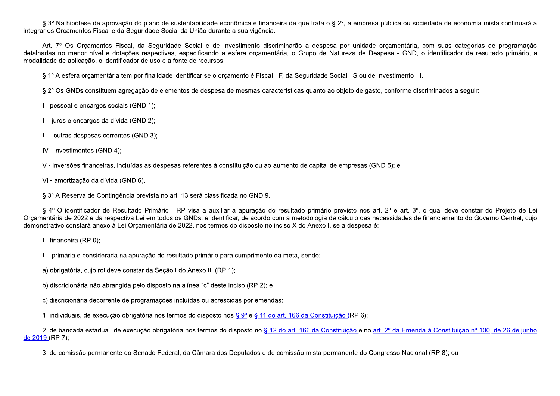§ 3º Na hipótese de aprovação do plano de sustentabilidade econômica e financeira de que trata o § 2º, a empresa pública ou sociedade de economia mista continuará a integrar os Orcamentos Fiscal e da Seguridade Social da União durante a sua vigência.

Art. 7º Os Orcamentos Fiscal, da Seguridade Social e de Investimento discriminarão a despesa por unidade orcamentária, com suas categorias de programação detalhadas no menor nível e dotações respectivas, especificando a esfera orcamentária, o Grupo de Natureza de Despesa - GND, o identificador de resultado primário, a modalidade de aplicação, o identificador de uso e a fonte de recursos.

§ 1º A esfera orcamentária tem por finalidade identificar se o orcamento é Fiscal - F, da Seguridade Social - S ou de Investimento - I.

§ 2° Os GNDs constituem agregação de elementos de despesa de mesmas características quanto ao objeto de gasto, conforme discriminados a seguir:

I - pessoal e encargos sociais (GND 1);

Il - juros e encargos da dívida (GND 2);

III - outras despesas correntes (GND 3);

IV - investimentos (GND 4);

V - inversões financeiras, incluídas as despesas referentes à constituição ou ao aumento de capital de empresas (GND 5); e

VI - amortização da dívida (GND 6).

§ 3º A Reserva de Contingência prevista no art. 13 será classificada no GND 9.

§ 4° O identificador de Resultado Primário - RP visa a auxiliar a apuração do resultado primário previsto nos art. 2° e art. 3°, o qual deve constar do Projeto de Lei Orcamentária de 2022 e da respectiva Lei em todos os GNDs, e identificar, de acordo com a metodologia de cálculo das necessidades de financiamento do Governo Central, cuio demonstrativo constará anexo à Lei Orcamentária de 2022, nos termos do disposto no inciso X do Anexo I, se a despesa é:

I - financeira (RP 0);

II - primária e considerada na apuração do resultado primário para cumprimento da meta, sendo:

a) obrigatória, cujo rol deve constar da Seção I do Anexo III (RP 1);

b) discricionária não abrangida pelo disposto na alínea "c" deste inciso (RP 2); e

c) discricionária decorrente de programações incluídas ou acrescidas por emendas:

1. individuais, de execução obrigatória nos termos do disposto nos § 9º e § 11 do art. 166 da Constituição (RP 6);

2. de bancada estadual, de execução obrigatória nos termos do disposto no § 12 do art. 166 da Constituição e no art. 2º da Emenda à Constituição nº 100, de 26 de junho de 2019 (RP 7);

3. de comissão permanente do Senado Federal, da Câmara dos Deputados e de comissão mista permanente do Congresso Nacional (RP 8); ou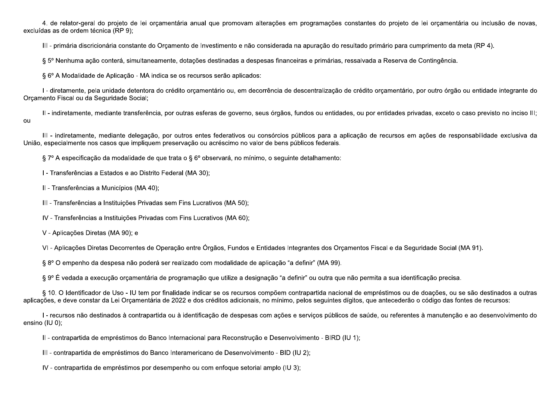4. de relator-geral do projeto de lei orçamentária anual que promovam alterações em programações constantes do projeto de lei orçamentária ou inclusão de novas, excluídas as de ordem técnica (RP 9):

III - primária discricionária constante do Orçamento de Investimento e não considerada na apuração do resultado primário para cumprimento da meta (RP 4).

§ 5º Nenhuma ação conterá, simultaneamente, dotações destinadas a despesas financeiras e primárias, ressalvada a Reserva de Contingência.

§ 6° A Modalidade de Aplicação - MA indica se os recursos serão aplicados:

I - diretamente, pela unidade detentora do crédito orçamentário ou, em decorrência de descentralização de crédito orçamentário, por outro órgão ou entidade integrante do Orçamento Fiscal ou da Seguridade Social;

II - indiretamente, mediante transferência, por outras esferas de governo, seus órgãos, fundos ou entidades, ou por entidades privadas, exceto o caso previsto no inciso III; ou

III - indiretamente, mediante delegação, por outros entes federativos ou consórcios públicos para a aplicação de recursos em ações de responsabilidade exclusiva da União, especialmente nos casos que impliquem preservação ou acréscimo no valor de bens públicos federais.

§ 7º A especificação da modalidade de que trata o § 6º observará, no mínimo, o sequinte detalhamento:

I - Transferências a Estados e ao Distrito Federal (MA 30);

II - Transferências a Municípios (MA 40);

III - Transferências a Instituições Privadas sem Fins Lucrativos (MA 50);

IV - Transferências a Instituições Privadas com Fins Lucrativos (MA 60);

V - Aplicações Diretas (MA 90); e

VI - Aplicações Diretas Decorrentes de Operação entre Órgãos, Fundos e Entidades Integrantes dos Orcamentos Fiscal e da Seguridade Social (MA 91).

§ 8º O empenho da despesa não poderá ser realizado com modalidade de aplicação "a definir" (MA 99).

§ 9º É vedada a execução orcamentária de programação que utilize a designação "a definir" ou outra que não permita a sua identificação precisa.

§ 10. O Identificador de Uso - IU tem por finalidade indicar se os recursos compõem contrapartida nacional de empréstimos ou de doacões, ou se são destinados a outras aplicações, e deve constar da Lei Orcamentária de 2022 e dos créditos adicionais, no mínimo, pelos seguintes dígitos, que antecederão o código das fontes de recursos:

I - recursos não destinados à contrapartida ou à identificação de despesas com ações e serviços públicos de saúde, ou referentes à manutenção e ao desenvolvimento do ensino (IU 0);

II - contrapartida de empréstimos do Banco Internacional para Reconstrução e Desenvolvimento - BIRD (IU 1);

III - contrapartida de empréstimos do Banco Interamericano de Desenvolvimento - BID (IU 2);

IV - contrapartida de empréstimos por desempenho ou com enfoque setorial amplo (IU 3);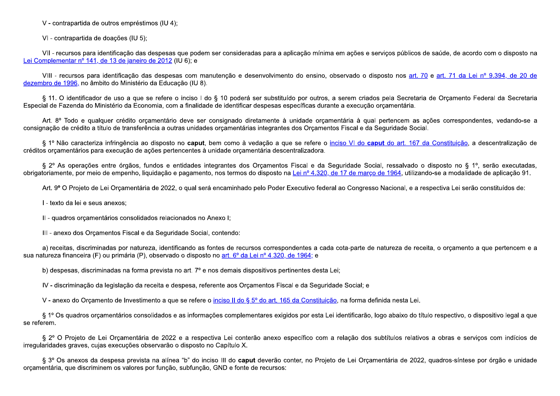V - contrapartida de outros empréstimos (IU 4):

VI - contrapartida de doações (IU 5);

VII - recursos para identificação das despesas que podem ser consideradas para a aplicação mínima em ações e serviços públicos de saúde, de acordo com o disposto na Lei Complementar nº 141, de 13 de janeiro de 2012 (IU 6); e

VIII - recursos para identificação das despesas com manutenção e desenvolvimento do ensino, observado o disposto nos art. 70 e art. 71 da Lei nº 9.394, de 20 de dezembro de 1996, no âmbito do Ministério da Educação (IU 8).

§ 11. O identificador de uso a que se refere o inciso I do § 10 poderá ser substituído por outros, a serem criados pela Secretaria de Orcamento Federal da Secretaria Especial de Fazenda do Ministério da Economia, com a finalidade de identificar despesas específicas durante a execução orcamentária.

Art. 8° Todo e qualquer crédito orcamentário deve ser consignado diretamente à unidade orcamentária à qual pertencem as ações correspondentes, vedando-se a consignação de crédito a título de transferência a outras unidades orcamentárias integrantes dos Orcamentos Fiscal e da Seguridade Social.

§ 1º Não caracteriza infringência ao disposto no caput, bem como à vedação a que se refere o inciso VI do caput do art. 167 da Constituição, a descentralização de créditos orcamentários para execução de ações pertencentes à unidade orcamentária descentralizadora.

§ 2º As operações entre órgãos, fundos e entidades integrantes dos Orcamentos Fiscal e da Seguridade Social, ressalvado o disposto no § 1º, serão executadas, obrigatoriamente, por meio de empenho, liquidação e pagamento, nos termos do disposto na Lei nº 4.320, de 17 de marco de 1964, utilizando-se a modalidade de aplicação 91.

Art. 9° O Projeto de Lei Orcamentária de 2022, o qual será encaminhado pelo Poder Executivo federal ao Congresso Nacional, e a respectiva Lei serão constituídos de:

I - texto da lei e seus anexos:

II - quadros orcamentários consolidados relacionados no Anexo I;

III - anexo dos Orcamentos Fiscal e da Seguridade Social, contendo:

a) receitas, discriminadas por natureza, identificando as fontes de recursos correspondentes a cada cota-parte de natureza de receita, o orcamento a que pertencem e a sua natureza financeira (F) ou primária (P), observado o disposto no art. 6º da Lei nº 4.320, de 1964; e

b) despesas, discriminadas na forma prevista no art. 7º e nos demais dispositivos pertinentes desta Lei;

IV - discriminação da legislação da receita e despesa, referente aos Orcamentos Fiscal e da Seguridade Social; e

V - anexo do Orçamento de Investimento a que se refere o inciso II do § 5° do art. 165 da Constituição, na forma definida nesta Lei.

§ 1º Os quadros orcamentários consolidados e as informações complementares exigidos por esta Lei identificarão, logo abaixo do título respectivo, o dispositivo legal a que se referem.

§ 2º O Projeto de Lei Orcamentária de 2022 e a respectiva Lei conterão anexo específico com a relação dos subtítulos relativos a obras e servicos com indícios de irregularidades graves, cujas execuções observarão o disposto no Capítulo X.

§ 3º Os anexos da despesa prevista na alínea "b" do inciso III do caput deverão conter, no Projeto de Lei Orcamentária de 2022, quadros-síntese por órgão e unidade orçamentária, que discriminem os valores por função, subfunção, GND e fonte de recursos: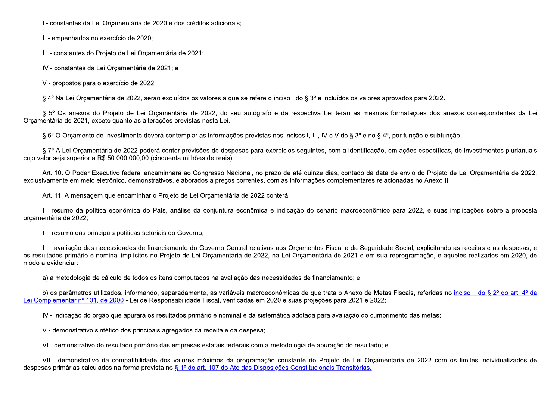I - constantes da Lei Orçamentária de 2020 e dos créditos adicionais;

Il - empenhados no exercício de 2020;

III - constantes do Projeto de Lei Orçamentária de 2021;

IV - constantes da Lei Orçamentária de 2021; e

V - propostos para o exercício de 2022.

§ 4º Na Lei Orcamentária de 2022, serão excluídos os valores a que se refere o inciso I do § 3º e incluídos os valores aprovados para 2022.

§ 5° Os anexos do Projeto de Lei Orcamentária de 2022, do seu autógrafo e da respectiva Lei terão as mesmas formatações dos anexos correspondentes da Lei Orcamentária de 2021, exceto quanto às alterações previstas nesta Lei.

§ 6° O Orcamento de Investimento deverá contemplar as informações previstas nos incisos I, III, IV e V do § 3° e no § 4°, por função e subfunção.

§ 7º A Lei Orcamentária de 2022 poderá conter previsões de despesas para exercícios seguintes, com a identificação, em ações específicas, de investimentos plurianuais cujo valor seja superior a R\$ 50.000.000,00 (cinquenta milhões de reais).

Art. 10. O Poder Executivo federal encaminhará ao Congresso Nacional, no prazo de até quinze dias, contado da data de envio do Projeto de Lei Orcamentária de 2022, exclusivamente em meio eletrônico, demonstrativos, elaborados a precos correntes, com as informações complementares relacionadas no Anexo II.

Art. 11. A mensagem que encaminhar o Projeto de Lei Orcamentária de 2022 conterá:

I - resumo da política econômica do País, análise da conjuntura econômica e indicação do cenário macroeconômico para 2022, e suas implicações sobre a proposta orcamentária de 2022;

II - resumo das principais políticas setoriais do Governo;

III - avaliação das necessidades de financiamento do Governo Central relativas aos Orcamentos Fiscal e da Seguridade Social, explicitando as receitas e as despesas, e os resultados primário e nominal implícitos no Projeto de Lei Orcamentária de 2022, na Lei Orcamentária de 2021 e em sua reprogramação, e aqueles realizados em 2020, de modo a evidenciar:

a) a metodologia de cálculo de todos os itens computados na avaliação das necessidades de financiamento; e

b) os parâmetros utilizados, informando, separadamente, as variáveis macroeconômicas de que trata o Anexo de Metas Fiscais, referidas no inciso II do § 2º do art. 4º da Lei Complementar nº 101, de 2000 - Lei de Responsabilidade Fiscal, verificadas em 2020 e suas projeções para 2021 e 2022;

IV-indicação do órgão que apurará os resultados primário e nominal e da sistemática adotada para avaliação do cumprimento das metas;

V - demonstrativo sintético dos principais agregados da receita e da despesa;

VI - demonstrativo do resultado primário das empresas estatais federais com a metodologia de apuração do resultado; e

VII - demonstrativo da compatibilidade dos valores máximos da programação constante do Projeto de Lei Orcamentária de 2022 com os limites individualizados de despesas primárias calculados na forma prevista no § 1º do art. 107 do Ato das Disposições Constitucionais Transitórias.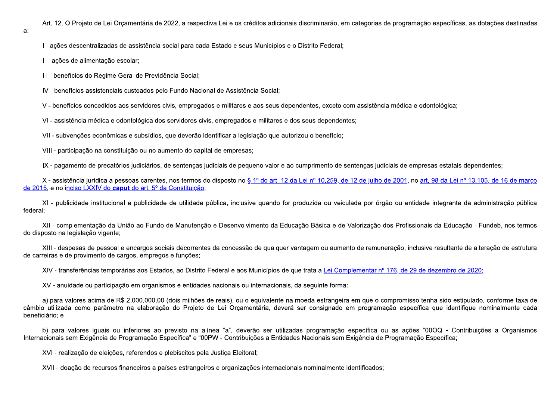Art. 12. O Projeto de Lei Orçamentária de 2022, a respectiva Lei e os créditos adicionais discriminarão, em categorias de programação específicas, as dotações destinadas

I - ações descentralizadas de assistência social para cada Estado e seus Municípios e o Distrito Federal;

II - ações de alimentação escolar;

a:

III - benefícios do Regime Geral de Previdência Social;

IV - benefícios assistenciais custeados pelo Fundo Nacional de Assistência Social;

V - benefícios concedidos aos servidores civis, empregados e militares e aos seus dependentes, exceto com assistência médica e odontológica;

VI - assistência médica e odontológica dos servidores civis, empregados e militares e dos seus dependentes;

VII - subvenções econômicas e subsídios, que deverão identificar a legislação que autorizou o benefício;

VIII - participação na constituição ou no aumento do capital de empresas;

IX - pagamento de precatórios judiciários, de sentenças judiciais de pequeno valor e ao cumprimento de sentenças judiciais de empresas estatais dependentes;

X - assistência jurídica a pessoas carentes, nos termos do disposto no § 1º do art. 12 da Lei nº 10.259, de 12 de julho de 2001, no art. 98 da Lei nº 13.105, de 16 de marco de 2015, e no inciso LXXIV do caput do art. 5º da Constituição;

XI - publicidade institucional e publicidade de utilidade pública, inclusive quando for produzida ou veiculada por órgão ou entidade integrante da administração pública federal;

XII - complementação da União ao Fundo de Manutenção e Desenvolvimento da Educação Básica e de Valorização dos Profissionais da Educação - Fundeb, nos termos do disposto na legislação vigente;

XIII - despesas de pessoal e encargos sociais decorrentes da concessão de qualquer vantagem ou aumento de remuneração, inclusive resultante de alteração de estrutura de carreiras e de provimento de cargos, empregos e funções;

XIV - transferências temporárias aos Estados, ao Distrito Federal e aos Municípios de que trata a Lei Complementar nº 176, de 29 de dezembro de 2020;

XV - anuidade ou participação em organismos e entidades nacionais ou internacionais, da seguinte forma:

a) para valores acima de R\$ 2.000.000,00 (dois milhões de reais), ou o equivalente na moeda estrangeira em que o compromisso tenha sido estipulado, conforme taxa de câmbio utilizada como parâmetro na elaboração do Projeto de Lei Orcamentária, deverá ser consignado em programação específica que identifique nominalmente cada beneficiário; e

b) para valores iguais ou inferiores ao previsto na alínea "a", deverão ser utilizadas programação específica ou as ações "00OQ - Contribuições a Organismos Internacionais sem Exigência de Programação Específica" e "00PW - Contribuições a Entidades Nacionais sem Exigência de Programação Específica;

XVI - realização de eleições, referendos e plebiscitos pela Justiça Eleitoral;

XVII - doação de recursos financeiros a países estrangeiros e organizações internacionais nominalmente identificados;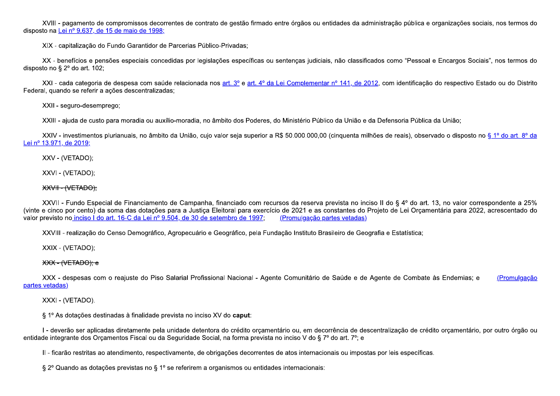XVIII - pagamento de compromissos decorrentes de contrato de gestão firmado entre órgãos ou entidades da administração pública e organizações sociais, nos termos do disposto na Lei nº 9.637, de 15 de maio de 1998:

XIX - capitalização do Fundo Garantidor de Parcerias Público-Privadas;

XX - benefícios e pensões especiais concedidas por legislações específicas ou sentenças judiciais, não classificados como "Pessoal e Encargos Sociais", nos termos do disposto no §  $2^{\circ}$  do art. 102;

XXI - cada categoria de despesa com saúde relacionada nos art. 3º e art. 4º da Lei Complementar nº 141, de 2012, com identificação do respectivo Estado ou do Distrito Federal, quando se referir a ações descentralizadas;

XXII - seguro-desemprego;

XXIII - ajuda de custo para moradia ou auxílio-moradia, no âmbito dos Poderes, do Ministério Público da União e da Defensoria Pública da União;

XXIV - investimentos plurianuais, no âmbito da União, cujo valor seja superior a R\$ 50.000.000,00 (cinquenta milhões de reais), observado o disposto no § 1º do art. 8º da Lei nº 13.971, de 2019;

XXV - (VETADO);

XXVI - (VETADO);

## **XXVII - (VETADO):**

XXVII - Fundo Especial de Financiamento de Campanha, financiado com recursos da reserva prevista no inciso II do § 4º do art. 13, no valor correspondente a 25% (vinte e cinco por cento) da soma das dotações para a Justica Eleitoral para exercício de 2021 e as constantes do Projeto de Lei Orcamentária para 2022, acrescentado do valor previsto no inciso I do art. 16-C da Lei nº 9.504, de 30 de setembro de 1997. (Promulgação partes vetadas)

XXVIII - realização do Censo Demográfico, Agropecuário e Geográfico, pela Fundação Instituto Brasileiro de Geografia e Estatística;

XXIX - (VETADO);

## XXX - (VETADO); e

XXX - despesas com o reajuste do Piso Salarial Profissional Nacional - Agente Comunitário de Saúde e de Agente de Combate às Endemias; e (Promulgação partes vetadas)

XXXI - (VETADO).

§ 1º As dotações destinadas à finalidade prevista no inciso XV do caput:

I - deverão ser aplicadas diretamente pela unidade detentora do crédito orçamentário ou, em decorrência de descentralização de crédito orçamentário, por outro órgão ou entidade integrante dos Orcamentos Fiscal ou da Seguridade Social, na forma prevista no inciso V do § 7º do art. 7º; e

II - ficarão restritas ao atendimento, respectivamente, de obrigações decorrentes de atos internacionais ou impostas por leis específicas.

§ 2º Quando as dotações previstas no § 1º se referirem a organismos ou entidades internacionais: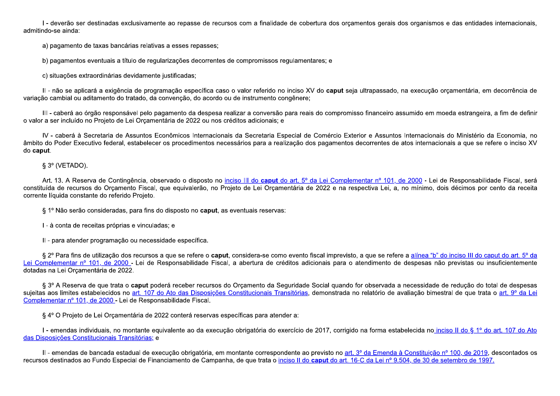I - deverão ser destinadas exclusivamente ao repasse de recursos com a finalidade de cobertura dos orçamentos gerais dos organismos e das entidades internacionais, admitindo-se ainda:

a) pagamento de taxas bancárias relativas a esses repasses;

b) pagamentos eventuais a título de regularizações decorrentes de compromissos regulamentares; e

c) situações extraordinárias devidamente justificadas;

II - não se aplicará a exigência de programação específica caso o valor referido no inciso XV do caput seja ultrapassado, na execução orçamentária, em decorrência de variação cambial ou aditamento do tratado, da convenção, do acordo ou de instrumento congênere:

III - caberá ao órgão responsável pelo pagamento da despesa realizar a conversão para reais do compromisso financeiro assumido em moeda estrangeira, a fim de definir o valor a ser incluído no Projeto de Lei Orcamentária de 2022 ou nos créditos adicionais; e

IV - caberá à Secretaria de Assuntos Econômicos Internacionais da Secretaria Especial de Comércio Exterior e Assuntos Internacionais do Ministério da Economia, no âmbito do Poder Executivo federal, estabelecer os procedimentos necessários para a realização dos pagamentos decorrentes de atos internacionais a que se refere o inciso XV do caput.

§ 3º (VETADO).

Art. 13. A Reserva de Contingência, observado o disposto no inciso III do caput do art. 5° da Lei Complementar nº 101, de 2000 - Lei de Responsabilidade Fiscal, será constituída de recursos do Orcamento Fiscal, que equivalerão, no Projeto de Lei Orcamentária de 2022 e na respectiva Lei, a, no mínimo, dois décimos por cento da receita corrente líquida constante do referido Projeto.

§ 1º Não serão consideradas, para fins do disposto no caput, as eventuais reservas:

I - à conta de receitas próprias e vinculadas; e

II - para atender programação ou necessidade específica.

§ 2º Para fins de utilização dos recursos a que se refere o caput, considera-se como evento fiscal imprevisto, a que se refere a alínea "b" do inciso III do caput do art. 5º da Lei Complementar nº 101, de 2000 - Lei de Responsabilidade Fiscal, a abertura de créditos adicionais para o atendimento de despesas não previstas ou insuficientemente dotadas na Lei Orçamentária de 2022.

§ 3º A Reserva de que trata o caput poderá receber recursos do Orcamento da Sequridade Social quando for observada a necessidade de redução do total de despesas sujeitas aos limites estabelecidos no art. 107 do Ato das Disposições Constitucionais Transitórias, demonstrada no relatório de avaliação bimestral de que trata o art. 9º da Lei Complementar nº 101, de 2000 - Lei de Responsabilidade Fiscal.

§ 4º O Projeto de Lei Orcamentária de 2022 conterá reservas específicas para atender a:

I - emendas individuais, no montante equivalente ao da execução obrigatória do exercício de 2017, corrigido na forma estabelecida no inciso II do § 1º do art. 107 do Ato das Disposições Constitucionais Transitórias; e

II - emendas de bancada estadual de execução obrigatória, em montante correspondente ao previsto no art. 3º da Emenda à Constituição nº 100, de 2019, descontados os recursos destinados ao Fundo Especial de Financiamento de Campanha, de que trata o inciso II do caput do art. 16-C da Lei nº 9.504, de 30 de setembro de 1997.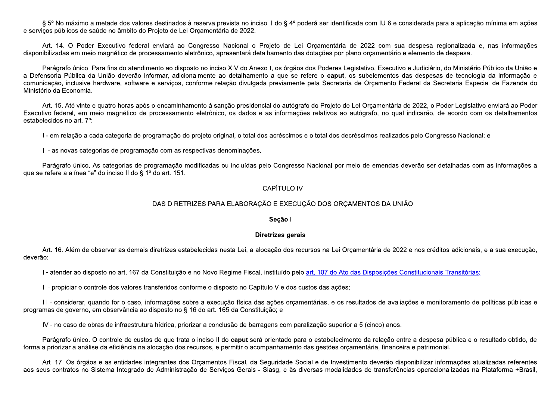§ 5° No máximo a metade dos valores destinados à reserva prevista no inciso II do § 4° poderá ser identificada com IU 6 e considerada para a aplicação mínima em ações e servicos públicos de saúde no âmbito do Projeto de Lei Orcamentária de 2022.

Art. 14. O Poder Executivo federal enviará ao Congresso Nacional o Projeto de Lei Orcamentária de 2022 com sua despesa regionalizada e, nas informações disponibilizadas em meio magnético de processamento eletrônico, apresentará detalhamento das dotações por plano orcamentário e elemento de despesa.

Parágrafo único. Para fins do atendimento ao disposto no inciso XIV do Anexo I, os órgãos dos Poderes Legislativo, Executivo e Judiciário, do Ministério Público da União e a Defensoria Pública da União deverão informar, adicionalmente ao detalhamento a que se refere o caput, os subelementos das despesas de tecnologia da informação e comunicação, inclusive hardware, software e serviços, conforme relação divulgada previamente pela Secretaria de Orcamento Federal da Secretaria Especial de Fazenda do Ministério da Economia.

Art. 15. Até vinte e quatro horas após o encaminhamento à sanção presidencial do autógrafo do Projeto de Lei Orcamentária de 2022, o Poder Legislativo enviará ao Poder Executivo federal, em meio magnético de processamento eletrônico, os dados e as informações relativos ao autógrafo, no qual indicarão, de acordo com os detalhamentos estabelecidos no art. 7°:

I - em relação a cada categoria de programação do projeto original, o total dos acréscimos e o total dos decréscimos realizados pelo Congresso Nacional; e

II - as novas categorias de programação com as respectivas denominações.

Parágrafo único. As categorias de programação modificadas ou incluídas pelo Congresso Nacional por meio de emendas deverão ser detalhadas com as informações a que se refere a alínea "e" do inciso II do § 1º do art. 151.

## **CAPÍTULO IV**

## DAS DIRETRIZES PARA ELABORAÇÃO E EXECUÇÃO DOS ORCAMENTOS DA UNIÃO

#### Seção I

## **Diretrizes gerais**

Art. 16. Além de observar as demais diretrizes estabelecidas nesta Lei, a alocação dos recursos na Lei Orcamentária de 2022 e nos créditos adicionais, e a sua execução, deverão:

I - atender ao disposto no art. 167 da Constituição e no Novo Regime Fiscal, instituído pelo art. 107 do Ato das Disposições Constitucionais Transitórias;

II - propiciar o controle dos valores transferidos conforme o disposto no Capítulo V e dos custos das acões;

III - considerar, quando for o caso, informações sobre a execução física das ações orçamentárias, e os resultados de avaliações e monitoramento de políticas públicas e programas de governo, em observância ao disposto no § 16 do art. 165 da Constituição; e

IV - no caso de obras de infraestrutura hídrica, priorizar a conclusão de barragens com paralização superior a 5 (cinco) anos.

Parágrafo único. O controle de custos de que trata o inciso II do caput será orientado para o estabelecimento da relação entre a despesa pública e o resultado obtido, de forma a priorizar a análise da eficiência na alocação dos recursos, e permitir o acompanhamento das gestões orçamentária, financeira e patrimonial.

Art. 17. Os órgãos e as entidades integrantes dos Orcamentos Fiscal, da Seguridade Social e de Investimento deverão disponibilizar informações atualizadas referentes aos seus contratos no Sistema Integrado de Administração de Serviços Gerais - Siasg, e às diversas modalidades de transferências operacionalizadas na Plataforma +Brasil,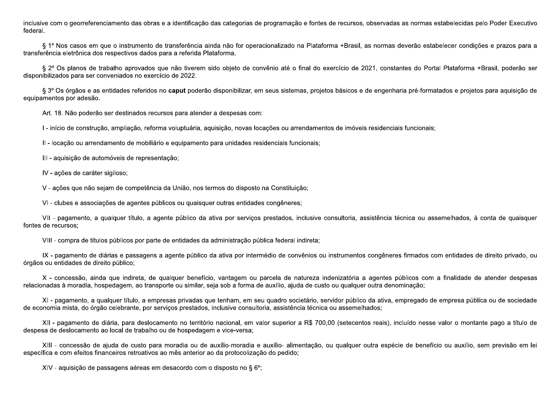inclusive com o georreferenciamento das obras e a identificação das categorias de programação e fontes de recursos, observadas as normas estabelecidas pelo Poder Executivo federal.

§ 1º Nos casos em que o instrumento de transferência ainda não for operacionalizado na Plataforma +Brasil, as normas deverão estabelecer condições e prazos para a transferência eletrônica dos respectivos dados para a referida Plataforma.

§ 2º Os planos de trabalho aprovados que não tiverem sido objeto de convênio até o final do exercício de 2021, constantes do Portal Plataforma +Brasil, poderão ser disponibilizados para ser conveniados no exercício de 2022.

§ 3º Os órgãos e as entidades referidos no caput poderão disponibilizar, em seus sistemas, projetos básicos e de engenharia pré-formatados e projetos para aquisição de equipamentos por adesão.

Art. 18. Não poderão ser destinados recursos para atender a despesas com:

I - início de construção, ampliação, reforma voluptuária, aquisição, novas locações ou arrendamentos de imóveis residenciais funcionais;

II - locação ou arrendamento de mobiliário e equipamento para unidades residenciais funcionais;

III - aquisição de automóveis de representação;

IV - ações de caráter sigiloso;

V - ações que não sejam de competência da União, nos termos do disposto na Constituição;

VI - clubes e associações de agentes públicos ou quaisquer outras entidades congêneres;

VII - pagamento, a qualquer título, a agente público da ativa por servicos prestados, inclusive consultoria, assistência técnica ou assemelhados, à conta de quaisquer fontes de recursos;

VIII - compra de títulos públicos por parte de entidades da administração pública federal indireta;

IX - pagamento de diárias e passagens a agente público da ativa por intermédio de convênios ou instrumentos congêneres firmados com entidades de direito privado, ou órgãos ou entidades de direito público;

X - concessão, ainda que indireta, de qualquer benefício, vantagem ou parcela de natureza indenizatória a agentes públicos com a finalidade de atender despesas relacionadas à moradia, hospedagem, ao transporte ou similar, seja sob a forma de auxílio, ajuda de custo ou qualquer outra denominação;

XI - pagamento, a qualquer título, a empresas privadas que tenham, em seu quadro societário, servidor público da ativa, empregado de empresa pública ou de sociedade de economia mista, do órgão celebrante, por servicos prestados, inclusive consultoria, assistência técnica ou assemelhados;

XII - pagamento de diária, para deslocamento no território nacional, em valor superior a R\$ 700,00 (setecentos reais), incluído nesse valor o montante pago a título de despesa de deslocamento ao local de trabalho ou de hospedagem e vice-versa;

XIII - concessão de ajuda de custo para moradia ou de auxílio-moradia e auxílio- alimentação, ou qualquer outra espécie de benefício ou auxílio, sem previsão em lei específica e com efeitos financeiros retroativos ao mês anterior ao da protocolização do pedido;

XIV - aquisição de passagens aéreas em desacordo com o disposto no § 6°;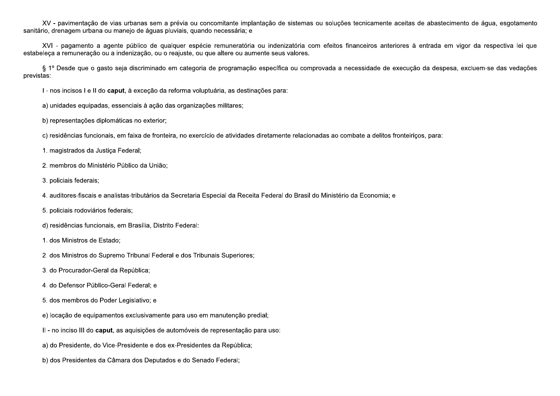XV - pavimentação de vias urbanas sem a prévia ou concomitante implantação de sistemas ou soluções tecnicamente aceitas de abastecimento de áqua, esgotamento sanitário, drenagem urbana ou manejo de águas pluviais, quando necessária; e

XVI - pagamento a agente público de qualquer espécie remuneratória ou indenizatória com efeitos financeiros anteriores à entrada em vigor da respectiva lei que estabeleca a remuneração ou a indenização, ou o reajuste, ou que altere ou aumente seus valores.

§ 1º Desde que o gasto seja discriminado em categoria de programação específica ou comprovada a necessidade de execução da despesa, excluem-se das vedações previstas:

I - nos incisos I e II do caput, à exceção da reforma voluptuária, as destinações para:

a) unidades equipadas, essenciais à ação das organizações militares;

b) representações diplomáticas no exterior;

c) residências funcionais, em faixa de fronteira, no exercício de atividades diretamente relacionadas ao combate a delitos fronteiricos, para:

1. magistrados da Justica Federal;

2. membros do Ministério Público da União;

3. policiais federais;

4. auditores-fiscais e analistas-tributários da Secretaria Especial da Receita Federal do Brasil do Ministério da Economia; e

5. policiais rodoviários federais;

d) residências funcionais, em Brasília, Distrito Federal:

1. dos Ministros de Estado;

2. dos Ministros do Supremo Tribunal Federal e dos Tribunais Superiores;

3. do Procurador-Geral da República;

4. do Defensor Público-Geral Federal; e

5. dos membros do Poder Legislativo; e

e) locação de equipamentos exclusivamente para uso em manutenção predial;

II - no inciso III do caput, as aquisições de automóveis de representação para uso:

a) do Presidente, do Vice-Presidente e dos ex-Presidentes da República;

b) dos Presidentes da Câmara dos Deputados e do Senado Federal;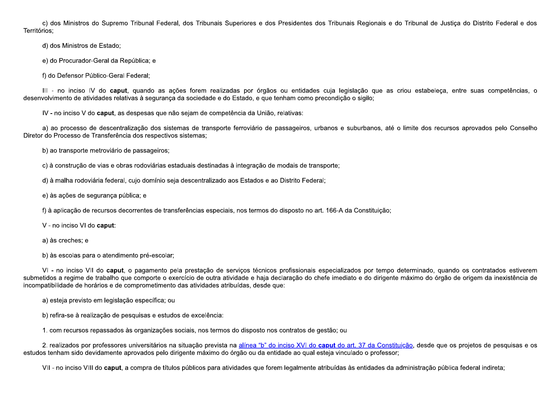c) dos Ministros do Supremo Tribunal Federal, dos Tribunais Superiores e dos Presidentes dos Tribunais Regionais e do Tribunal de Justica do Distrito Federal e dos Territórios:

d) dos Ministros de Estado;

e) do Procurador-Geral da República; e

f) do Defensor Público-Geral Federal;

III - no inciso IV do caput, quando as ações forem realizadas por órgãos ou entidades cuja legislação que as criou estabeleca, entre suas competências, o desenvolvimento de atividades relativas à segurança da sociedade e do Estado, e que tenham como precondição o sigilo:

IV - no inciso V do caput, as despesas que não sejam de competência da União, relativas:

a) ao processo de descentralização dos sistemas de transporte ferroviário de passageiros, urbanos e suburbanos, até o limite dos recursos aprovados pelo Conselho Diretor do Processo de Transferência dos respectivos sistemas;

b) ao transporte metroviário de passageiros;

c) à construção de vias e obras rodoviárias estaduais destinadas à integração de modais de transporte;

d) à malha rodoviária federal, cuio domínio seja descentralizado aos Estados e ao Distrito Federal;

e) às ações de segurança pública; e

f) à aplicação de recursos decorrentes de transferências especiais, nos termos do disposto no art. 166-A da Constituição;

V - no inciso VI do caput:

a) às creches; e

b) às escolas para o atendimento pré-escolar;

VI - no inciso VII do caput, o pagamento pela prestação de servicos técnicos profissionais especializados por tempo determinado, quando os contratados estiverem submetidos a regime de trabalho que comporte o exercício de outra atividade e haja declaração do chefe imediato e do dirigente máximo do órgão de origem da inexistência de incompatibilidade de horários e de comprometimento das atividades atribuídas, desde que:

a) esteja previsto em legislação específica; ou

b) refira-se à realização de pesquisas e estudos de excelência:

1. com recursos repassados às organizações sociais, nos termos do disposto nos contratos de gestão; ou

2. realizados por professores universitários na situação prevista na alínea "b" do inciso XVI do caput do art. 37 da Constituição, desde que os projetos de pesquisas e os estudos tenham sido devidamente aprovados pelo dirigente máximo do órgão ou da entidade ao qual esteja vinculado o professor;

VII - no inciso VIII do caput, a compra de títulos públicos para atividades que forem legalmente atribuídas às entidades da administração pública federal indireta;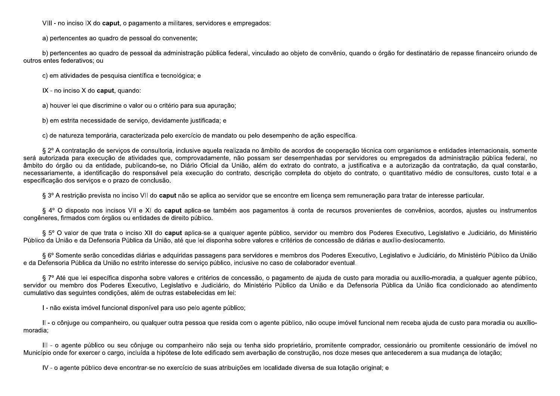VIII - no inciso IX do caput, o pagamento a militares, servidores e empregados:

a) pertencentes ao quadro de pessoal do convenente;

b) pertencentes ao quadro de pessoal da administração pública federal, vinculado ao objeto de convênio, quando o órgão for destinatário de repasse financeiro oriundo de outros entes federativos: ou

c) em atividades de pesquisa científica e tecnológica; e

 $IX - no$  inciso  $X$  do **caput**, quando:

a) houver lei que discrimine o valor ou o critério para sua apuração;

b) em estrita necessidade de serviço, devidamente justificada; e

c) de natureza temporária, caracterizada pelo exercício de mandato ou pelo desempenho de ação específica.

§ 2º A contratação de serviços de consultoria, inclusive aquela realizada no âmbito de acordos de cooperação técnica com organismos e entidades internacionais, somente será autorizada para execução de atividades que, comprovadamente, não possam ser desempenhadas por servidores ou empregados da administração pública federal, no âmbito do órgão ou da entidade, publicando-se, no Diário Oficial da União, além do extrato do contrato, a justificativa e a autorização da contratação, da qual constarão, necessariamente, a identificação do responsável pela execução do contrato, descrição completa do objeto do contrato, o quantitativo médio de consultores, custo total e a especificação dos serviços e o prazo de conclusão.

§ 3º A restrição prevista no inciso VII do caput não se aplica ao servidor que se encontre em licença sem remuneração para tratar de interesse particular.

§ 4° O disposto nos incisos VII e XI do caput aplica-se também aos pagamentos à conta de recursos provenientes de convênios, acordos, ajustes ou instrumentos congêneres, firmados com órgãos ou entidades de direito público.

§ 5° O valor de que trata o inciso XII do caput aplica-se a qualquer agente público, servidor ou membro dos Poderes Executivo, Legislativo e Judiciário, do Ministério Público da União e da Defensoria Pública da União, até que lei disponha sobre valores e critérios de concessão de diárias e auxílio-deslocamento.

§ 6º Somente serão concedidas diárias e adquiridas passagens para servidores e membros dos Poderes Executivo, Legislativo e Judiciário, do Ministério Público da União e da Defensoria Pública da União no estrito interesse do servico público, inclusive no caso de colaborador eventual.

§ 7º Até que lei específica disponha sobre valores e critérios de concessão, o pagamento de ajuda de custo para moradia ou auxílio-moradia, a qualquer agente público, servidor ou membro dos Poderes Executivo, Legislativo e Judiciário, do Ministério Público da União e da Defensoria Pública da União fica condicionado ao atendimento cumulativo das sequintes condições, além de outras estabelecidas em lei:

I - não exista imóvel funcional disponível para uso pelo agente público;

II - o cônjuge ou companheiro, ou qualquer outra pessoa que resida com o agente público, não ocupe imóvel funcional nem receba ajuda de custo para moradia ou auxíliomoradia:

III - o agente público ou seu cônjuge ou companheiro não seja ou tenha sido proprietário, promitente comprador, cessionário ou promitente cessionário de imóvel no Município onde for exercer o cargo, incluída a hipótese de lote edificado sem averbação de construção, nos doze meses que antecederem a sua mudanca de lotação;

IV - o agente público deve encontrar-se no exercício de suas atribuições em localidade diversa de sua lotação original; e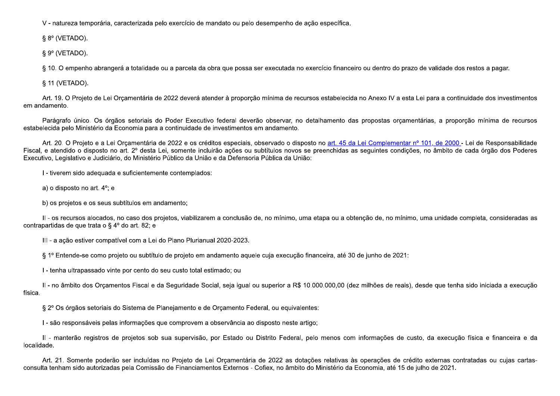V - natureza temporária, caracterizada pelo exercício de mandato ou pelo desempenho de ação específica.

 $\S 8^{\circ}$  (VETADO).

 $\S 9^{\circ}$  (VETADO).

§ 10. O empenho abrangerá a totalidade ou a parcela da obra que possa ser executada no exercício financeiro ou dentro do prazo de validade dos restos a pagar.

§ 11 (VETADO).

Art. 19. O Projeto de Lei Orcamentária de 2022 deverá atender à proporção mínima de recursos estabelecida no Anexo IV a esta Lei para a continuidade dos investimentos em andamento.

Parágrafo único. Os órgãos setoriais do Poder Executivo federal deverão observar, no detalhamento das propostas orcamentárias, a proporção mínima de recursos estabelecida pelo Ministério da Economia para a continuidade de investimentos em andamento.

Art. 20. O Projeto e a Lei Orcamentária de 2022 e os créditos especiais, observado o disposto no art. 45 da Lei Complementar nº 101, de 2000 - Lei de Responsabilidade Fiscal, e atendido o disposto no art. 2º desta Lei, somente incluirão ações ou subtítulos novos se preenchidas as seguintes condições, no âmbito de cada órgão dos Poderes Executivo, Legislativo e Judiciário, do Ministério Público da União e da Defensoria Pública da União:

I - tiverem sido adequada e suficientemente contemplados:

a) o disposto no art.  $4^{\circ}$ ; e

b) os projetos e os seus subtítulos em andamento;

II - os recursos alocados, no caso dos projetos, viabilizarem a conclusão de, no mínimo, uma etapa ou a obtenção de, no mínimo, uma unidade completa, consideradas as contrapartidas de que trata o § 4º do art. 82; e

III - a ação estiver compatível com a Lei do Plano Plurianual 2020-2023.

§ 1º Entende-se como projeto ou subtítulo de projeto em andamento aquele cuja execução financeira, até 30 de junho de 2021:

I - tenha ultrapassado vinte por cento do seu custo total estimado; ou

II - no âmbito dos Orcamentos Fiscal e da Seguridade Social, seja igual ou superior a R\$ 10.000.000.00 (dez milhões de reais), desde que tenha sido iniciada a execução física.

§ 2º Os órgãos setoriais do Sistema de Planejamento e de Orçamento Federal, ou equivalentes:

I - são responsáveis pelas informações que comprovem a observância ao disposto neste artigo;

II - manterão registros de projetos sob sua supervisão, por Estado ou Distrito Federal, pelo menos com informações de custo, da execução física e financeira e da localidade.

Art. 21. Somente poderão ser incluídas no Projeto de Lei Orcamentária de 2022 as dotações relativas às operações de crédito externas contratadas ou cujas cartasconsulta tenham sido autorizadas pela Comissão de Financiamentos Externos - Cofiex, no âmbito do Ministério da Economia, até 15 de julho de 2021.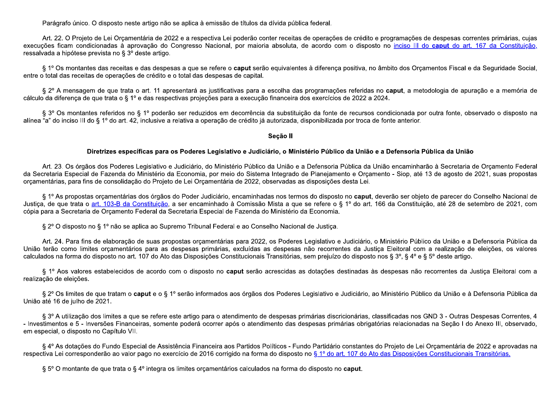Parágrafo único. O disposto neste artigo não se aplica à emissão de títulos da dívida pública federal.

Art. 22. O Projeto de Lei Orcamentária de 2022 e a respectiva Lei poderão conter receitas de operações de crédito e programações de despesas correntes primárias, cujas execuções ficam condicionadas à aprovação do Congresso Nacional, por maioria absoluta, de acordo com o disposto no inciso III do caput do art. 167 da Constituição, ressalvada a hipótese prevista no § 3º deste artigo.

§ 1º Os montantes das receitas e das despesas a que se refere o caput serão equivalentes à diferenca positiva, no âmbito dos Orcamentos Fiscal e da Sequridade Social, entre o total das receitas de operações de crédito e o total das despesas de capital.

§ 2º A mensagem de que trata o art. 11 apresentará as justificativas para a escolha das programações referidas no caput, a metodologia de apuração e a memória de cálculo da diferenca de que trata o § 1º e das respectivas projeções para a execução financeira dos exercícios de 2022 a 2024.

§ 3º Os montantes referidos no § 1º poderão ser reduzidos em decorrência da substituição da fonte de recursos condicionada por outra fonte, observado o disposto na alínea "a" do inciso III do § 1º do art. 42, inclusive a relativa a operação de crédito já autorizada, disponibilizada por troca de fonte anterior.

## Secão II

#### Diretrizes específicas para os Poderes Legislativo e Judiciário, o Ministério Público da União e a Defensoria Pública da União

Art. 23. Os órgãos dos Poderes Legislativo e Judiciário, do Ministério Público da União e a Defensoria Pública da União encaminharão à Secretaria de Orcamento Federal da Secretaria Especial de Fazenda do Ministério da Economia, por meio do Sistema Integrado de Planejamento e Orcamento - Siop, até 13 de agosto de 2021, suas propostas orcamentárias, para fins de consolidação do Projeto de Lei Orcamentária de 2022, observadas as disposições desta Lei.

§ 1º As propostas orcamentárias dos órgãos do Poder Judiciário, encaminhadas nos termos do disposto no caput, deverão ser objeto de parecer do Conselho Nacional de Justica, de que trata o art. 103-B da Constituição, a ser encaminhado à Comissão Mista a que se refere o § 1º do art. 166 da Constituição, até 28 de setembro de 2021, com cópia para a Secretaria de Orcamento Federal da Secretaria Especial de Fazenda do Ministério da Economia.

§ 2° O disposto no § 1° não se aplica ao Supremo Tribunal Federal e ao Conselho Nacional de Justica.

Art. 24. Para fins de elaboração de suas propostas orçamentárias para 2022, os Poderes Legislativo e Judiciário, o Ministério Público da União e a Defensoria Pública da União terão como limites orcamentários para as despesas primárias, excluídas as despesas não recorrentes da Justica Eleitoral com a realização de eleições, os valores calculados na forma do disposto no art. 107 do Ato das Disposições Constitucionais Transitórias, sem prejuízo do disposto nos § 3°, § 4° e § 5° deste artigo.

§ 1º Aos valores estabelecidos de acordo com o disposto no caput serão acrescidas as dotações destinadas às despesas não recorrentes da Justica Eleitoral com a realização de eleições.

§ 2º Os limites de que tratam o caput e o § 1º serão informados aos órgãos dos Poderes Legislativo e Judiciário, ao Ministério Público da União e à Defensoria Pública da União até 16 de julho de 2021.

§ 3º A utilização dos limites a que se refere este artigo para o atendimento de despesas primárias discricionárias, classificadas nos GND 3 - Outras Despesas Correntes, 4 - Investimentos e 5 - Inversões Financeiras, somente poderá ocorrer após o atendimento das despesas primárias obrigatórias relacionadas na Seção I do Anexo III, observado, em especial, o disposto no Capítulo VII.

§ 4º As dotações do Fundo Especial de Assistência Financeira aos Partidos Políticos - Fundo Partidário constantes do Projeto de Lei Orçamentária de 2022 e aprovadas na respectiva Lei corresponderão ao valor pago no exercício de 2016 corrigido na forma do disposto no § 1º do art. 107 do Ato das Disposições Constitucionais Transitórias.

§ 5° O montante de que trata o § 4° integra os limites orçamentários calculados na forma do disposto no caput.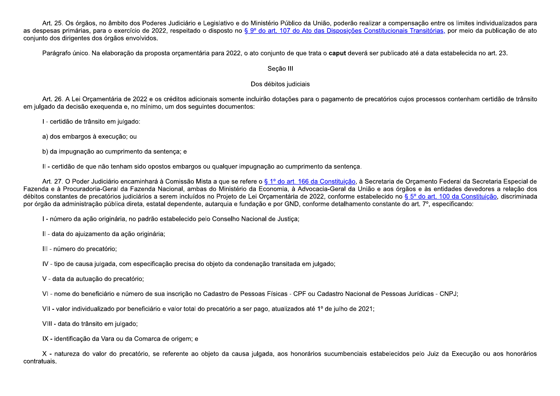Art. 25. Os órgãos, no âmbito dos Poderes Judiciário e Legislativo e do Ministério Público da União, poderão realizar a compensação entre os limites individualizados para as despesas primárias, para o exercício de 2022, respeitado o disposto no § 9º do art. 107 do Ato das Disposições Constitucionais Transitórias, por meio da publicação de ato conjunto dos dirigentes dos órgãos envolvidos.

Parágrafo único. Na elaboração da proposta orçamentária para 2022, o ato conjunto de que trata o caput deverá ser publicado até a data estabelecida no art. 23.

## Seção III

## Dos débitos judiciais

Art. 26. A Lei Orçamentária de 2022 e os créditos adicionais somente incluirão dotações para o pagamento de precatórios cujos processos contenham certidão de trânsito em julgado da decisão exeguenda e, no mínimo, um dos seguintes documentos:

I - certidão de trânsito em julgado:

a) dos embargos à execução; ou

b) da impugnação ao cumprimento da sentença; e

II - certidão de que não tenham sido opostos embargos ou qualquer impugnação ao cumprimento da sentença.

Art. 27. O Poder Judiciário encaminhará à Comissão Mista a que se refere o § 1º do art. 166 da Constituição, à Secretaria de Orcamento Federal da Secretaria Especial de Fazenda e à Procuradoria-Geral da Fazenda Nacional, ambas do Ministério da Economia, à Advocacia-Geral da União e aos órgãos e às entidades devedores a relação dos débitos constantes de precatórios judiciários a serem incluídos no Projeto de Lei Orcamentária de 2022, conforme estabelecido no § 5° do art. 100 da Constituição, discriminada por órgão da administração pública direta, estatal dependente, autarquia e fundação e por GND, conforme detalhamento constante do art. 7°, especificando:

I - número da ação originária, no padrão estabelecido pelo Conselho Nacional de Justica;

II - data do ajuizamento da ação originária;

III - número do precatório;

IV - tipo de causa julgada, com especificação precisa do objeto da condenação transitada em julgado;

V - data da autuação do precatório;

VI - nome do beneficiário e número de sua inscrição no Cadastro de Pessoas Físicas - CPF ou Cadastro Nacional de Pessoas Jurídicas - CNPJ;

VII - valor individualizado por beneficiário e valor total do precatório a ser pago, atualizados até 1º de julho de 2021;

VIII - data do trânsito em julgado;

IX - identificação da Vara ou da Comarca de origem; e

X - natureza do valor do precatório, se referente ao objeto da causa julgada, aos honorários sucumbenciais estabelecidos pelo Juiz da Execução ou aos honorários contratuais.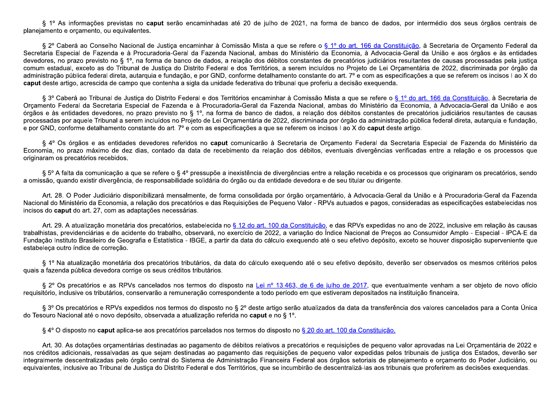§ 1º As informações previstas no caput serão encaminhadas até 20 de julho de 2021, na forma de banco de dados, por intermédio dos seus órgãos centrais de planejamento e orcamento, ou equivalentes.

§ 2º Caberá ao Conselho Nacional de Justica encaminhar à Comissão Mista a que se refere o § 1º do art. 166 da Constituição, à Secretaria de Orcamento Federal da Secretaria Especial de Fazenda e à Procuradoria-Geral da Fazenda Nacional, ambas do Ministério da Economia, à Advocacia-Geral da União e aos órgãos e às entidades devedores, no prazo previsto no § 1º, na forma de banco de dados, a relação dos débitos constantes de precatórios judiciários resultantes de causas processadas pela justica comum estadual, exceto as do Tribunal de Justica do Distrito Federal e dos Territórios, a serem incluídos no Projeto de Lei Orcamentária de 2022, discriminada por órgão da administração pública federal direta, autarquia e fundação, e por GND, conforme detalhamento constante do art. 7º e com as especificações a que se referem os incisos I ao X do caput deste artigo, acrescida de campo que contenha a sigla da unidade federativa do tribunal que proferiu a decisão exequenda.

§ 3º Caberá ao Tribunal de Justica do Distrito Federal e dos Territórios encaminhar à Comissão Mista a que se refere o § 1º do art. 166 da Constituição, à Secretaria de Orcamento Federal da Secretaria Especial de Fazenda e à Procuradoria-Geral da Fazenda Nacional, ambas do Ministério da Economia, à Advocacia-Geral da União e aos órgãos e às entidades devedores, no prazo previsto no § 1º, na forma de banco de dados, a relação dos débitos constantes de precatórios judiciários resultantes de causas processadas por aquele Tribunal a serem incluídos no Projeto de Lei Orcamentária de 2022, discriminada por órgão da administração pública federal direta, autarquia e fundação, e por GND, conforme detalhamento constante do art. 7° e com as especificações a que se referem os incisos I ao X do caput deste artigo.

§ 4º Os órgãos e as entidades devedores referidos no caput comunicarão à Secretaria de Orcamento Federal da Secretaria Especial de Fazenda do Ministério da Economia, no prazo máximo de dez dias, contado da data de recebimento da relação dos débitos, eventuais divergências verificadas entre a relação e os processos que originaram os precatórios recebidos.

§ 5º A falta da comunicação a que se refere o § 4º pressupõe a inexistência de divergências entre a relação recebida e os processos que originaram os precatórios, sendo a omissão, quando existir divergência, de responsabilidade solidária do órgão ou da entidade devedora e de seu titular ou dirigente.

Art. 28. O Poder Judiciário disponibilizará mensalmente, de forma consolidada por órgão orcamentário, à Advocacia-Geral da União e à Procuradoria-Geral da Fazenda Nacional do Ministério da Economia, a relação dos precatórios e das Requisições de Pequeno Valor - RPVs autuados e pagos, consideradas as especificações estabelecidas nos incisos do caput do art. 27, com as adaptações necessárias.

Art. 29. A atualização monetária dos precatórios, estabelecida no § 12 do art. 100 da Constituição, e das RPVs expedidas no ano de 2022, inclusive em relação às causas trabalhistas, previdenciárias e de acidente do trabalho, observará, no exercício de 2022, a variação do Índice Nacional de Precos ao Consumidor Amplo - Especial - IPCA-E da Fundação Instituto Brasileiro de Geografia e Estatística - IBGE, a partir da data do cálculo exequendo até o seu efetivo depósito, exceto se houver disposição superveniente que estabeleca outro índice de correção.

§ 1º Na atualização monetária dos precatórios tributários, da data do cálculo exequendo até o seu efetivo depósito, deverão ser observados os mesmos critérios pelos quais a fazenda pública devedora corrige os seus créditos tributários.

§ 2° Os precatórios e as RPVs cancelados nos termos do disposto na Lei nº 13.463, de 6 de julho de 2017, que eventualmente venham a ser objeto de novo ofício requisitório, inclusive os tributários, conservarão a remuneração correspondente a todo período em que estiveram depositados na instituição financeira.

§ 3° Os precatórios e RPVs expedidos nos termos do disposto no § 2° deste artigo serão atualizados da data da transferência dos valores cancelados para a Conta Única do Tesouro Nacional até o novo depósito, observada a atualização referida no caput e no § 1º.

§ 4° O disposto no caput aplica-se aos precatórios parcelados nos termos do disposto no § 20 do art. 100 da Constituição.

Art. 30. As dotações orçamentárias destinadas ao pagamento de débitos relativos a precatórios e requisições de pequeno valor aprovadas na Lei Orçamentária de 2022 e nos créditos adicionais, ressalvadas as que sejam destinadas ao pagamento das requisições de pequeno valor expedidas pelos tribunais de justica dos Estados, deverão ser integralmente descentralizadas pelo órgão central do Sistema de Administração Financeira Federal aos órgãos setoriais de planejamento e orcamento do Poder Judiciário, ou equivalentes, inclusive ao Tribunal de Justiça do Distrito Federal e dos Territórios, que se incumbirão de descentralizá-las aos tribunais que proferirem as decisões exequendas.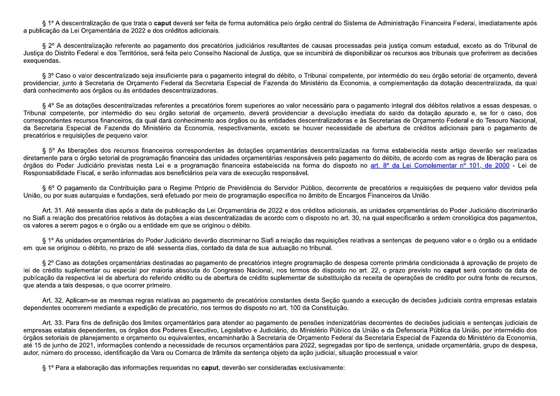§ 1º A descentralização de que trata o caput deverá ser feita de forma automática pelo órgão central do Sistema de Administração Financeira Federal, imediatamente após a publicação da Lei Orcamentária de 2022 e dos créditos adicionais.

§ 2º A descentralização referente ao pagamento dos precatórios judiciários resultantes de causas processadas pela justica comum estadual, exceto as do Tribunal de Justica do Distrito Federal e dos Territórios, será feita pelo Conselho Nacional de Justica, que se incumbirá de disponibilizar os recursos aos tribunais que proferirem as decisões exequendas.

§ 3º Caso o valor descentralizado seja insuficiente para o pagamento integral do débito, o Tribunal competente, por intermédio do seu órgão setorial de orcamento, deverá providenciar, junto à Secretaria de Orcamento Federal da Secretaria Especial de Fazenda do Ministério da Economia, a complementação da dotação descentralizada, da qual dará conhecimento aos órgãos ou às entidades descentralizadoras.

§ 4° Se as dotações descentralizadas referentes a precatórios forem superiores ao valor necessário para o pagamento integral dos débitos relativos a essas despesas, o Tribunal competente, por intermédio do seu órgão setorial de orcamento, deverá providenciar a devolução imediata do saldo da dotação apurado e, se for o caso, dos correspondentes recursos financeiros, da qual dará conhecimento aos órgãos ou às entidades descentralizadoras e às Secretarias de Orcamento Federal e do Tesouro Nacional, da Secretaria Especial de Fazenda do Ministério da Economia, respectivamente, exceto se houver necessidade de abertura de créditos adicionais para o pagamento de precatórios e requisições de pequeno valor.

§ 5° As liberações dos recursos financeiros correspondentes às dotações orcamentárias descentralizadas na forma estabelecida neste artigo deverão ser realizadas diretamente para o órgão setorial de programação financeira das unidades orcamentárias responsáveis pelo pagamento do débito, de acordo com as regras de liberação para os órgãos do Poder Judiciário previstas nesta Lei e a programação financeira estabelecida na forma do disposto no art. 8º da Lei Complementar nº 101, de 2000 - Lei de Responsabilidade Fiscal, e serão informadas aos beneficiários pela vara de execução responsável.

§ 6º O pagamento da Contribuição para o Regime Próprio de Previdência do Servidor Público, decorrente de precatórios e reguisições de pequeno valor devidos pela União, ou por suas autarquias e fundações, será efetuado por meio de programação específica no âmbito de Encargos Financeiros da União.

Art. 31. Até sessenta dias após a data de publicação da Lei Orcamentária de 2022 e dos créditos adicionais, as unidades orcamentárias do Poder Judiciário discriminarão no Siafi a relação dos precatórios relativos às dotações a elas descentralizadas de acordo com o disposto no art. 30, na qual especificarão a ordem cronológica dos pagamentos, os valores a serem pagos e o órgão ou a entidade em que se originou o débito.

§ 1º As unidades orcamentárias do Poder Judiciário deverão discriminar no Siafi a relação das requisições relativas a sentenças de pequeno valor e o órgão ou a entidade em que se originou o débito, no prazo de até sessenta dias, contado da data de sua autuação no tribunal.

§ 2º Caso as dotações orçamentárias destinadas ao pagamento de precatórios integre programação de despesa corrente primária condicionada à aprovação de projeto de lei de crédito suplementar ou especial por maioria absoluta do Congresso Nacional, nos termos do disposto no art. 22, o prazo previsto no caput será contado da data de publicação da respectiva lei de abertura do referido crédito ou de abertura de crédito suplementar de substituição da receita de operações de crédito por outra fonte de recursos, que atenda a tais despesas, o que ocorrer primeiro.

Art. 32. Aplicam-se as mesmas regras relativas ao pagamento de precatórios constantes desta Seção quando a execução de decisões judiciais contra empresas estatais dependentes ocorrerem mediante a expedição de precatório, nos termos do disposto no art. 100 da Constituição.

Art. 33. Para fins de definição dos limites orçamentários para atender ao pagamento de pensões indenizatórias decorrentes de decisões judiciais e sentenças judiciais de empresas estatais dependentes, os órgãos dos Poderes Executivo, Legislativo e Judiciário, do Ministério Público da União e da Defensoria Pública da União, por intermédio dos órgãos setoriais de planejamento e orcamento ou equivalentes, encaminharão à Secretaria de Orcamento Federal da Secretaria Especial de Fazenda do Ministério da Economia, até 15 de junho de 2021, informações contendo a necessidade de recursos orçamentários para 2022, segregadas por tipo de sentença, unidade orçamentária, grupo de despesa, autor, número do processo, identificação da Vara ou Comarca de trâmite da sentenca objeto da ação judicial, situação processual e valor.

§ 1º Para a elaboração das informações requeridas no caput, deverão ser consideradas exclusivamente: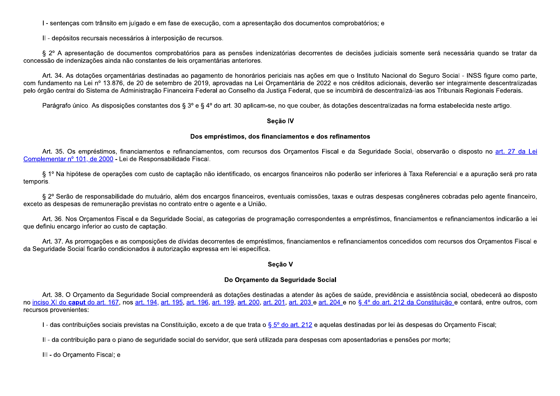I - sentenças com trânsito em julgado e em fase de execução, com a apresentação dos documentos comprobatórios; e

II - depósitos recursais necessários à interposição de recursos.

§ 2º A apresentação de documentos comprobatórios para as pensões indenizatórias decorrentes de decisões judiciais somente será necessária quando se tratar da concessão de indenizações ainda não constantes de leis orçamentárias anteriores.

Art. 34. As dotações orçamentárias destinadas ao pagamento de honorários periciais nas ações em que o Instituto Nacional do Seguro Social - INSS figure como parte, com fundamento na Lei nº 13.876, de 20 de setembro de 2019, aprovadas na Lei Orcamentária de 2022 e nos créditos adicionais, deverão ser integralmente descentralizadas pelo órgão central do Sistema de Administração Financeira Federal ao Conselho da Justica Federal, que se incumbirá de descentralizá-las aos Tribunais Regionais Federais.

Parágrafo único. As disposições constantes dos § 3º e § 4º do art. 30 aplicam-se, no que couber, às dotações descentralizadas na forma estabelecida neste artigo.

#### Seção IV

## Dos empréstimos, dos financiamentos e dos refinamentos

Art. 35. Os empréstimos, financiamentos e refinanciamentos, com recursos dos Orcamentos Fiscal e da Sequridade Social, observarão o disposto no art. 27 da Lei Complementar nº 101, de 2000 - Lei de Responsabilidade Fiscal.

§ 1º Na hipótese de operações com custo de captação não identificado, os encargos financeiros não poderão ser inferiores à Taxa Referencial e a apuração será pro rata temporis.

§ 2º Serão de responsabilidade do mutuário, além dos encargos financeiros, eventuais comissões, taxas e outras despesas congêneres cobradas pelo agente financeiro, exceto as despesas de remuneração previstas no contrato entre o agente e a União.

Art. 36. Nos Orcamentos Fiscal e da Seguridade Social, as categorias de programação correspondentes a empréstimos, financiamentos e refinanciamentos indicarão a lei que definiu encargo inferior ao custo de captação.

Art. 37. As prorrogações e as composições de dívidas decorrentes de empréstimos, financiamentos e refinanciamentos concedidos com recursos dos Orcamentos Fiscal e da Seguridade Social ficarão condicionados à autorização expressa em lei específica.

#### Secão V

## Do Orcamento da Seguridade Social

Art. 38. O Orcamento da Seguridade Social compreenderá as dotações destinadas a atender às ações de saúde, previdência e assistência social, obedecerá ao disposto no inciso XI do caput do art. 167, nos art. 194, art. 195, art. 196, art. 199, art. 200, art. 201, art. 203 e art. 204 e no § 4° do art. 212 da Constituição e contará, entre outros, com recursos provenientes:

I - das contribuições sociais previstas na Constituição, exceto a de que trata o § 5º do art. 212 e aquelas destinadas por lei às despesas do Orçamento Fiscal;

II - da contribuição para o plano de seguridade social do servidor, que será utilizada para despesas com aposentadorias e pensões por morte;

III - do Orcamento Fiscal; e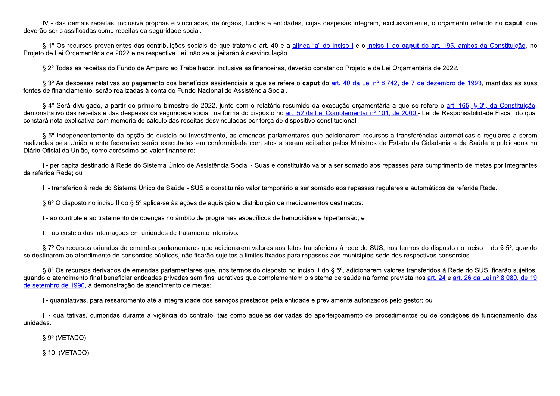IV - das demais receitas, inclusive próprias e vinculadas, de órgãos, fundos e entidades, cujas despesas integrem, exclusivamente, o orcamento referido no caput, que deverão ser classificadas como receitas da seguridade social.

§ 1º Os recursos provenientes das contribuições sociais de que tratam o art. 40 e a alínea "a" do inciso I e o inciso II do caput do art. 195, ambos da Constituição, no Projeto de Lei Orcamentária de 2022 e na respectiva Lei, não se sujeitarão à desvinculação.

§ 2º Todas as receitas do Fundo de Amparo ao Trabalhador, inclusive as financeiras, deverão constar do Projeto e da Lei Orcamentária de 2022.

§ 3º As despesas relativas ao pagamento dos benefícios assistenciais a que se refere o caput do art. 40 da Lei nº 8.742, de 7 de dezembro de 1993, mantidas as suas fontes de financiamento, serão realizadas à conta do Fundo Nacional de Assistência Social.

§ 4º Será divulgado, a partir do primeiro bimestre de 2022, junto com o relatório resumido da execução orcamentária a que se refere o art. 165, § 3º, da Constituição, demonstrativo das receitas e das despesas da seguridade social, na forma do disposto no art. 52 da Lei Complementar nº 101, de 2000 - Lei de Responsabilidade Fiscal, do qual constará nota explicativa com memória de cálculo das receitas desvinculadas por força de dispositivo constitucional.

§ 5º Independentemente da opção de custeio ou investimento, as emendas parlamentares que adicionarem recursos a transferências automáticas e regulares a serem realizadas pela União a ente federativo serão executadas em conformidade com atos a serem editados pelos Ministros de Estado da Cidadania e da Saúde e publicados no Diário Oficial da União, como acréscimo ao valor financeiro:

I - per capita destinado à Rede do Sistema Único de Assistência Social - Suas e constituirão valor a ser somado aos repasses para cumprimento de metas por integrantes da referida Rede; ou

II - transferido à rede do Sistema Único de Saúde - SUS e constituirão valor temporário a ser somado aos repasses regulares e automáticos da referida Rede.

§ 6° O disposto no inciso II do § 5° aplica-se às ações de aquisição e distribuição de medicamentos destinados:

I - ao controle e ao tratamento de doencas no âmbito de programas específicos de hemodiálise e hipertensão; e

II - ao custeio das internações em unidades de tratamento intensivo.

§ 7° Os recursos oriundos de emendas parlamentares que adicionarem valores aos tetos transferidos à rede do SUS, nos termos do disposto no inciso II do § 5°, quando se destinarem ao atendimento de consórcios públicos, não ficarão sujeitos a limites fixados para repasses aos municípios-sede dos respectivos consórcios.

§ 8° Os recursos derivados de emendas parlamentares que, nos termos do disposto no inciso II do § 5°, adicionarem valores transferidos à Rede do SUS, ficarão sujeitos, guando o atendimento final beneficiar entidades privadas sem fins lucrativos que complementem o sistema de saúde na forma prevista nos art. 24 e art. 26 da Lei nº 8.080, de 19 de setembro de 1990, à demonstração de atendimento de metas:

I - quantitativas, para ressarcimento até a integralidade dos servicos prestados pela entidade e previamente autorizados pelo gestor; ou

Il - qualitativas, cumpridas durante a vigência do contrato, tais como aquelas derivadas do aperfeicoamento de procedimentos ou de condições de funcionamento das unidades.

 $\S 9^{\circ}$  (VETADO).

§ 10. (VETADO).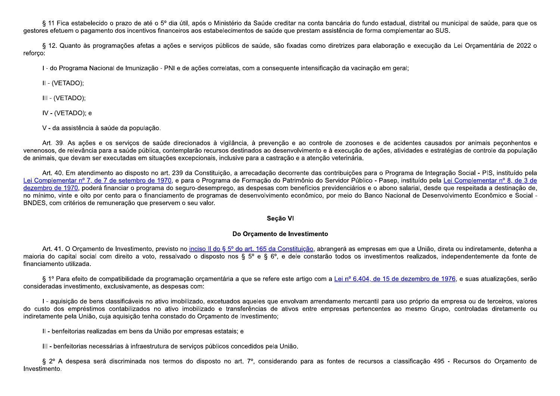§ 11 Fica estabelecido o prazo de até o 5º dia útil, após o Ministério da Saúde creditar na conta bancária do fundo estadual, distrital ou municipal de saúde, para que os gestores efetuem o pagamento dos incentivos financeiros aos estabelecimentos de saúde que prestam assistência de forma complementar ao SUS.

§ 12. Quanto às programações afetas a ações e serviços públicos de saúde, são fixadas como diretrizes para elaboração e execução da Lei Orçamentária de 2022 o reforco:

I - do Programa Nacional de Imunização - PNI e de ações correlatas, com a conseguente intensificação da vacinação em geral;

II - (VETADO);

III - (VETADO);

IV - (VETADO); e

V - da assistência à saúde da população.

Art. 39. As ações e os serviços de saúde direcionados à vigilância, à prevenção e ao controle de zoonoses e de acidentes causados por animais peconhentos e venenosos, de relevância para a saúde pública, contemplarão recursos destinados ao desenvolvimento e à execução de ações, atividades e estratégias de controle da população de animais, que devam ser executadas em situações excepcionais, inclusive para a castração e a atenção veterinária.

Art. 40. Em atendimento ao disposto no art. 239 da Constituição, a arrecadação decorrente das contribuições para o Programa de Integração Social - PIS, instituído pela Lei Complementar nº 7, de 7 de setembro de 1970, e para o Programa de Formação do Patrimônio do Servidor Público - Pasep, instituído pela Lei Complementar nº 8, de 3 de dezembro de 1970, poderá financiar o programa do seguro-desemprego, as despesas com benefícios previdenciários e o abono salarial, desde que respeitada a destinação de, no mínimo, vinte e oito por cento para o financiamento de programas de desenvolvimento econômico, por meio do Banco Nacional de Desenvolvimento Econômico e Social -BNDES, com critérios de remuneração que preservem o seu valor.

## Seção VI

## Do Orcamento de Investimento

Art. 41. O Orcamento de Investimento, previsto no inciso II do § 5º do art. 165 da Constituição, abrangerá as empresas em que a União, direta ou indiretamente, detenha a maioria do capital social com direito a voto, ressalvado o disposto nos § 5º e § 6º, e dele constarão todos os investimentos realizados, independentemente da fonte de financiamento utilizada.

§ 1º Para efeito de compatibilidade da programação orçamentária a que se refere este artigo com a Lei nº 6.404, de 15 de dezembro de 1976, e suas atualizações, serão consideradas investimento, exclusivamente, as despesas com:

I - aquisição de bens classificáveis no ativo imobilizado, excetuados aqueles que envolvam arrendamento mercantil para uso próprio da empresa ou de terceiros, valores do custo dos empréstimos contabilizados no ativo imobilizado e transferências de ativos entre empresas pertencentes ao mesmo Grupo, controladas diretamente ou indiretamente pela União, cuja aguisição tenha constado do Orcamento de Investimento;

II - benfeitorias realizadas em bens da União por empresas estatais; e

III - benfeitorias necessárias à infraestrutura de serviços públicos concedidos pela União.

§ 2º A despesa será discriminada nos termos do disposto no art. 7º, considerando para as fontes de recursos a classificação 495 - Recursos do Orcamento de Investimento.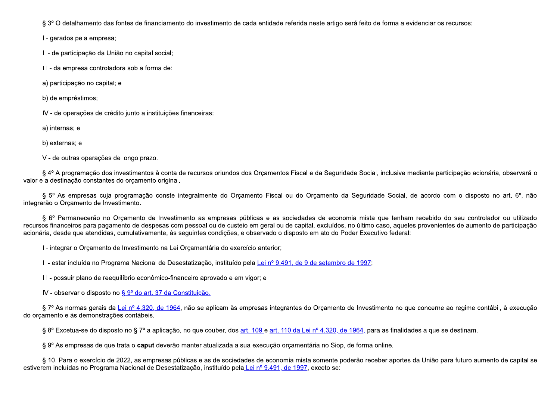§ 3° O detalhamento das fontes de financiamento do investimento de cada entidade referida neste artigo será feito de forma a evidenciar os recursos:

I - gerados pela empresa;

II - de participação da União no capital social;

III - da empresa controladora sob a forma de:

a) participação no capital; e

b) de empréstimos;

IV - de operações de crédito junto a instituições financeiras:

a) internas; e

b) externas; e

V - de outras operações de longo prazo.

§ 4º A programação dos investimentos à conta de recursos oriundos dos Orcamentos Fiscal e da Seguridade Social, inclusive mediante participação acionária, observará o valor e a destinação constantes do orçamento original.

§ 5° As empresas cuja programação conste integralmente do Orcamento Fiscal ou do Orcamento da Seguridade Social, de acordo com o disposto no art. 6°, não integrarão o Orçamento de Investimento.

§ 6º Permanecerão no Orcamento de Investimento as empresas públicas e as sociedades de economia mista que tenham recebido do seu controlador ou utilizado recursos financeiros para pagamento de despesas com pessoal ou de custeio em geral ou de capital, excluídos, no último caso, aqueles provenientes de aumento de participação acionária, desde que atendidas, cumulativamente, às seguintes condições, e observado o disposto em ato do Poder Executivo federal:

I - integrar o Orcamento de Investimento na Lei Orcamentária do exercício anterior;

II - estar incluída no Programa Nacional de Desestatização, instituído pela Lei nº 9.491, de 9 de setembro de 1997;

III - possuir plano de reequilíbrio econômico-financeiro aprovado e em vigor; e

IV - observar o disposto no § 9º do art. 37 da Constituição.

§ 7º As normas gerais da Lei nº 4.320, de 1964, não se aplicam às empresas integrantes do Orçamento de Investimento no que concerne ao regime contábil, à execução do orcamento e às demonstrações contábeis.

§ 8º Excetua-se do disposto no § 7º a aplicação, no que couber, dos art. 109 e art. 110 da Lei nº 4.320, de 1964, para as finalidades a que se destinam.

§ 9º As empresas de que trata o caput deverão manter atualizada a sua execução orçamentária no Siop, de forma online.

§ 10. Para o exercício de 2022, as empresas públicas e as de sociedades de economia mista somente poderão receber aportes da União para futuro aumento de capital se estiverem incluídas no Programa Nacional de Desestatização, instituído pela Lei nº 9.491, de 1997, exceto se: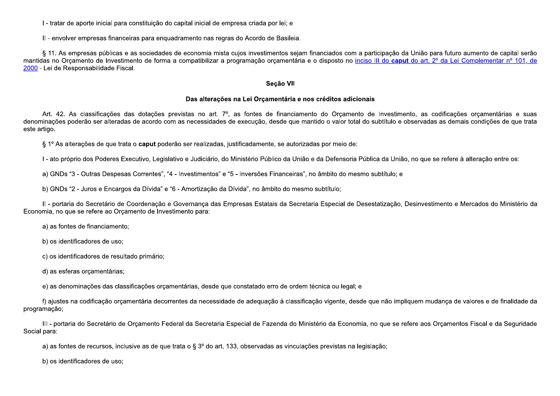I - tratar de aporte inicial para constituição do capital inicial de empresa criada por lei; e

II - envolver empresas financeiras para enguadramento nas regras do Acordo de Basileia.

§ 11. As empresas públicas e as sociedades de economia mista cujos investimentos sejam financiados com a participação da União para futuro aumento de capital serão mantidas no Orcamento de Investimento de forma a compatibilizar a programação orcamentária e o disposto no inciso III do caput do art. 2º da Lei Complementar nº 101, de 2000 - Lei de Responsabilidade Fiscal.

#### Seção VII

#### Das alterações na Lei Orçamentária e nos créditos adicionais

Art. 42. As classificações das dotações previstas no art. 7º, as fontes de financiamento do Orçamento de Investimento, as codificações orçamentárias e suas denominações poderão ser alteradas de acordo com as necessidades de execução, desde que mantido o valor total do subtítulo e observadas as demais condições de que trata este artigo.

§ 1º As alterações de que trata o caput poderão ser realizadas, justificadamente, se autorizadas por meio de:

I - ato próprio dos Poderes Executivo, Legislativo e Judiciário, do Ministério Público da União e da Defensoria Pública da União, no que se refere à alteração entre os:

a) GNDs "3 - Outras Despesas Correntes", "4 - Investimentos" e "5 - Inversões Financeiras", no âmbito do mesmo subtítulo; e

b) GNDs "2 - Juros e Encargos da Dívida" e "6 - Amortização da Dívida", no âmbito do mesmo subtítulo;

II - portaria do Secretário de Coordenação e Governança das Empresas Estatais da Secretaria Especial de Desestatização, Desinvestimento e Mercados do Ministério da Economia, no que se refere ao Orcamento de Investimento para:

a) as fontes de financiamento;

b) os identificadores de uso;

c) os identificadores de resultado primário;

d) as esferas orcamentárias;

e) as denominações das classificações orcamentárias, desde que constatado erro de ordem técnica ou legal; e

f) ajustes na codificação orçamentária decorrentes da necessidade de adequação à classificação vigente, desde que não impliquem mudança de valores e de finalidade da programação;

III - portaria do Secretário de Orçamento Federal da Secretaria Especial de Fazenda do Ministério da Economia, no que se refere aos Orçamentos Fiscal e da Seguridade Social para:

a) as fontes de recursos, inclusive as de que trata o § 3º do art. 133, observadas as vinculações previstas na legislação;

b) os identificadores de uso: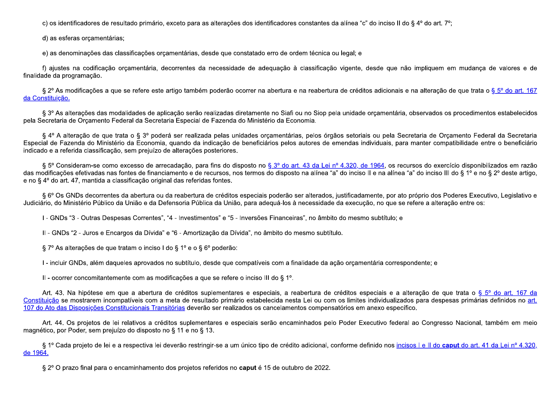c) os identificadores de resultado primário, exceto para as alterações dos identificadores constantes da alínea "c" do inciso II do § 4º do art. 7º;

d) as esferas orçamentárias;

e) as denominações das classificações orçamentárias, desde que constatado erro de ordem técnica ou legal; e

f) ajustes na codificação orçamentária, decorrentes da necessidade de adequação à classificação vigente, desde que não impliquem em mudanca de valores e de finalidade da programação.

§ 2º As modificações a que se refere este artigo também poderão ocorrer na abertura e na reabertura de créditos adicionais e na alteração de que trata o § 5º do art. 167 da Constituição.

§ 3º As alterações das modalidades de aplicação serão realizadas diretamente no Siafi ou no Siop pela unidade orcamentária, observados os procedimentos estabelecidos pela Secretaria de Orcamento Federal da Secretaria Especial de Fazenda do Ministério da Economia.

§ 4º A alteração de que trata o § 3º poderá ser realizada pelas unidades orcamentárias, pelos órgãos setoriais ou pela Secretaria de Orcamento Federal da Secretaria Especial de Fazenda do Ministério da Economia, quando da indicação de beneficiários pelos autores de emendas individuais, para manter compatibilidade entre o beneficiário indicado e a referida classificação, sem prejuízo de alterações posteriores.

§ 5° Consideram-se como excesso de arrecadação, para fins do disposto no § 3° do art. 43 da Lei nº 4.320, de 1964, os recursos do exercício disponibilizados em razão das modificações efetivadas nas fontes de financiamento e de recursos, nos termos do disposto na alínea "a" do inciso II e na alínea "a" do inciso III do § 1º e no § 2º deste artigo, e no § 4º do art. 47, mantida a classificação original das referidas fontes.

§ 6° Os GNDs decorrentes da abertura ou da reabertura de créditos especiais poderão ser alterados, justificadamente, por ato próprio dos Poderes Executivo, Legislativo e Judiciário, do Ministério Público da União e da Defensoria Pública da União, para adequá-los à necessidade da execução, no que se refere a alteração entre os:

I - GNDs "3 - Outras Despesas Correntes", "4 - Investimentos" e "5 - Inversões Financeiras", no âmbito do mesmo subtítulo; e

II - GNDs "2 - Juros e Encargos da Dívida" e "6 - Amortização da Dívida", no âmbito do mesmo subtítulo.

§ 7º As alterações de que tratam o inciso I do § 1º e o § 6º poderão:

I - incluir GNDs, além daqueles aprovados no subtítulo, desde que compatíveis com a finalidade da ação orcamentária correspondente; e

II - ocorrer concomitantemente com as modificações a que se refere o inciso III do § 1°.

Art. 43. Na hipótese em que a abertura de créditos suplementares e especiais, a reabertura de créditos especiais e a alteração de que trata o § 5° do art. 167 da Constituição se mostrarem incompatíveis com a meta de resultado primário estabelecida nesta Lei ou com os limites individualizados para despesas primárias definidos no art. 107 do Ato das Disposições Constitucionais Transitórias deverão ser realizados os cancelamentos compensatórios em anexo específico.

Art. 44. Os projetos de lei relativos a créditos suplementares e especiais serão encaminhados pelo Poder Executivo federal ao Congresso Nacional, também em meio magnético, por Poder, sem prejuízo do disposto no § 11 e no § 13.

§ 1º Cada projeto de lei e a respectiva lei deverão restringir-se a um único tipo de crédito adicional, conforme definido nos incisos I e II do caput do art. 41 da Lei nº 4.320, de 1964.

§ 2° O prazo final para o encaminhamento dos projetos referidos no caput é 15 de outubro de 2022.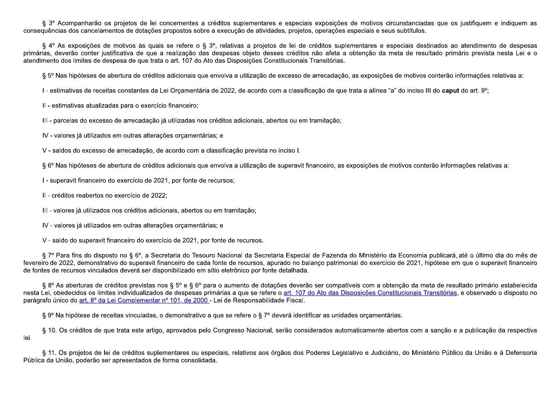§ 3º Acompanharão os projetos de lei concernentes a créditos suplementares e especiais exposições de motivos circunstanciadas que os justifiquem e indiquem as conseguências dos cancelamentos de dotações propostos sobre a execução de atividades, projetos, operações especiais e seus subtítulos,

§ 4º As exposições de motivos às quais se refere o § 3º, relativas a projetos de lei de créditos suplementares e especiais destinados ao atendimento de despesas primárias, deverão conter justificativa de que a realização das despesas objeto desses créditos não afeta a obtenção da meta de resultado primário prevista nesta Lei e o atendimento dos limites de despesa de que trata o art. 107 do Ato das Disposições Constitucionais Transitórias.

§ 5° Nas hipóteses de abertura de créditos adicionais que envolva a utilização de excesso de arrecadação, as exposições de motivos conterão informações relativas a:

I - estimativas de receitas constantes da Lei Orcamentária de 2022, de acordo com a classificação de que trata a alínea "a" do inciso III do caput do art. 9°;

II - estimativas atualizadas para o exercício financeiro;

III - parcelas do excesso de arrecadação já utilizadas nos créditos adicionais, abertos ou em tramitação;

IV - valores já utilizados em outras alterações orçamentárias; e

V - saldos do excesso de arrecadação, de acordo com a classificação prevista no inciso I.

§ 6º Nas hipóteses de abertura de créditos adicionais que envolva a utilização de superavit financeiro, as exposições de motivos conterão informações relativas a:

I - superavit financeiro do exercício de 2021, por fonte de recursos;

II - créditos reabertos no exercício de 2022;

III - valores já utilizados nos créditos adicionais, abertos ou em tramitação;

IV - valores já utilizados em outras alterações orçamentárias; e

V - saldo do superavit financeiro do exercício de 2021, por fonte de recursos.

§ 7º Para fins do disposto no § 6º, a Secretaria do Tesouro Nacional da Secretaria Especial de Fazenda do Ministério da Economia publicará, até o último dia do mês de fevereiro de 2022, demonstrativo do superavit financeiro de cada fonte de recursos, apurado no balanco patrimonial do exercício de 2021, hipótese em que o superavit financeiro de fontes de recursos vinculados deverá ser disponibilizado em sítio eletrônico por fonte detalhada.

§ 8° As aberturas de créditos previstas nos § 5° e § 6° para o aumento de dotações deverão ser compatíveis com a obtenção da meta de resultado primário estabelecida nesta Lei, obedecidos os limites individualizados de despesas primárias a que se refere o art. 107 do Ato das Disposições Constitucionais Transitórias, e observado o disposto no parágrafo único do art. 8º da Lei Complementar nº 101, de 2000 - Lei de Responsabilidade Fiscal.

§ 9° Na hipótese de receitas vinculadas, o demonstrativo a que se refere o § 7° deverá identificar as unidades orcamentárias.

§ 10. Os créditos de que trata este artigo, aprovados pelo Congresso Nacional, serão considerados automaticamente abertos com a sanção e a publicação da respectiva lei.

§ 11. Os projetos de lei de créditos suplementares ou especiais, relativos aos órgãos dos Poderes Legislativo e Judiciário, do Ministério Público da União e à Defensoria Pública da União, poderão ser apresentados de forma consolidada.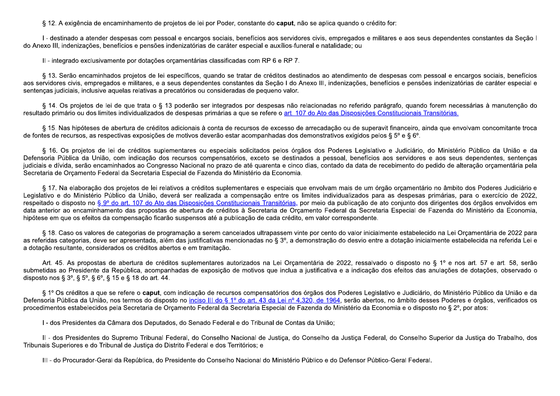§ 12. A exigência de encaminhamento de projetos de lei por Poder, constante do caput, não se aplica quando o crédito for:

I - destinado a atender despesas com pessoal e encargos sociais, benefícios aos servidores civis, empregados e militares e aos seus dependentes constantes da Seção I do Anexo III, indenizações, benefícios e pensões indenizatórias de caráter especial e auxílios-funeral e natalidade; ou

II - integrado exclusivamente por dotações orçamentárias classificadas com RP 6 e RP 7.

§ 13. Serão encaminhados projetos de lei específicos, quando se tratar de créditos destinados ao atendimento de despesas com pessoal e encargos sociais, benefícios aos servidores civis, empregados e militares, e a seus dependentes constantes da Seção I do Anexo III, indenizações, benefícios e pensões indenizatórias de caráter especial e sentenças judiciais, inclusive aquelas relativas a precatórios ou consideradas de pequeno valor.

§ 14. Os projetos de lei de que trata o § 13 poderão ser integrados por despesas não relacionadas no referido parágrafo, quando forem necessárias à manutenção do resultado primário ou dos limites individualizados de despesas primárias a que se refere o art. 107 do Ato das Disposições Constitucionais Transitórias.

§ 15. Nas hipóteses de abertura de créditos adicionais à conta de recursos de excesso de arrecadação ou de superavit financeiro, ainda que envolvam concomitante troca de fontes de recursos, as respectivas exposições de motivos deverão estar acompanhadas dos demonstrativos exigidos pelos § 5° e § 6°.

§ 16. Os projetos de lei de créditos suplementares ou especiais solicitados pelos órgãos dos Poderes Legislativo e Judiciário, do Ministério Público da União e da Defensoria Pública da União, com indicação dos recursos compensatórios, exceto se destinados a pessoal, benefícios aos servidores e aos seus dependentes, sentenças judiciais e dívida, serão encaminhados ao Congresso Nacional no prazo de até quarenta e cinco dias, contado da data de recebimento do pedido de alteração orçamentária pela Secretaria de Orcamento Federal da Secretaria Especial de Fazenda do Ministério da Economia.

§ 17. Na elaboração dos projetos de lei relativos a créditos suplementares e especiais que envolvam mais de um órgão orcamentário no âmbito dos Poderes Judiciário e Legislativo e do Ministério Público da União, deverá ser realizada a compensação entre os limites individualizados para as despesas primárias, para o exercício de 2022, respeitado o disposto no § 9º do art. 107 do Ato das Disposições Constitucionais Transitórias, por meio da publicação de ato conjunto dos dirigentes dos órgãos envolvidos em data anterior ao encaminhamento das propostas de abertura de créditos à Secretaria de Orcamento Federal da Secretaria Especial de Fazenda do Ministério da Economia, hipótese em que os efeitos da compensação ficarão suspensos até a publicação de cada crédito, em valor correspondente.

§ 18. Caso os valores de categorias de programação a serem cancelados ultrapassem vinte por cento do valor inicialmente estabelecido na Lei Orcamentária de 2022 para as referidas categorias, deve ser apresentada, além das justificativas mencionadas no § 3º, a demonstração do desvio entre a dotação inicialmente estabelecida na referida Lei e a dotação resultante, considerados os créditos abertos e em tramitação.

Art. 45. As propostas de abertura de créditos suplementares autorizados na Lei Orcamentária de 2022, ressalvado o disposto no § 1º e nos art. 57 e art. 58, serão submetidas ao Presidente da República, acompanhadas de exposição de motivos que inclua a justificativa e a indicação dos efeitos das anulações de dotações, observado o disposto nos § 3°, § 5°, § 6°, § 15 e § 18 do art. 44.

§ 1º Os créditos a que se refere o caput, com indicação de recursos compensatórios dos órgãos dos Poderes Legislativo e Judiciário, do Ministério Público da União e da Defensoria Pública da União, nos termos do disposto no inciso III do § 1º do art. 43 da Lei nº 4.320, de 1964, serão abertos, no âmbito desses Poderes e órgãos, verificados os procedimentos estabelecidos pela Secretaria de Orcamento Federal da Secretaria Especial de Fazenda do Ministério da Economia e o disposto no § 2<sup>°</sup>, por atos:

I - dos Presidentes da Câmara dos Deputados, do Senado Federal e do Tribunal de Contas da União;

II - dos Presidentes do Supremo Tribunal Federal, do Conselho Nacional de Justica, do Conselho da Justica Federal, do Conselho Superior da Justica do Trabalho, dos Tribunais Superiores e do Tribunal de Justiça do Distrito Federal e dos Territórios; e

III - do Procurador-Geral da República, do Presidente do Conselho Nacional do Ministério Público e do Defensor Público-Geral Federal.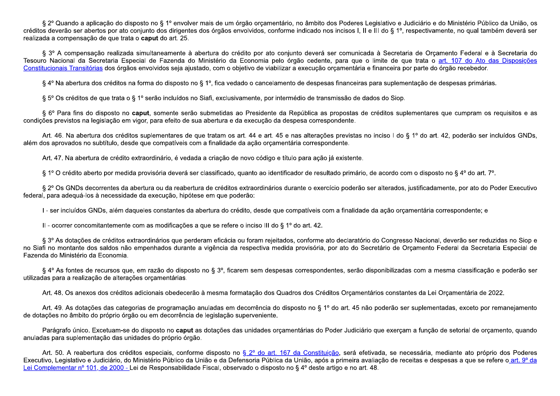§ 2º Quando a aplicação do disposto no § 1º envolver mais de um órgão orçamentário, no âmbito dos Poderes Legislativo e Judiciário e do Ministério Público da União, os créditos deverão ser abertos por ato conjunto dos dirigentes dos órgãos envolvidos, conforme indicado nos incisos I, II e III do § 1º, respectivamente, no qual também deverá ser realizada a compensação de que trata o caput do art. 25.

§ 3º A compensação realizada simultaneamente à abertura do crédito por ato conjunto deverá ser comunicada à Secretaria de Orçamento Federal e à Secretaria do Tesouro Nacional da Secretaria Especial de Fazenda do Ministério da Economia pelo órgão cedente, para que o limite de que trata o art. 107 do Ato das Disposições Constitucionais Transitórias dos órgãos envolvidos seja ajustado, com o objetivo de viabilizar a execução orcamentária e financeira por parte do órgão recebedor.

§ 4º Na abertura dos créditos na forma do disposto no § 1º, fica vedado o cancelamento de despesas financeiras para suplementação de despesas primárias.

§ 5° Os créditos de que trata o § 1° serão incluídos no Siafi, exclusivamente, por intermédio de transmissão de dados do Siop.

§ 6° Para fins do disposto no caput, somente serão submetidas ao Presidente da República as propostas de créditos suplementares que cumpram os requisitos e as condições previstos na legislação em vigor, para efeito de sua abertura e da execução da despesa correspondente.

Art. 46. Na abertura dos créditos suplementares de que tratam os art. 44 e art. 45 e nas alterações previstas no inciso I do § 1º do art. 42, poderão ser incluídos GNDs, além dos aprovados no subtítulo, desde que compatíveis com a finalidade da ação orcamentária correspondente.

Art. 47. Na abertura de crédito extraordinário, é vedada a criação de novo código e título para ação já existente.

§ 1º O crédito aberto por medida provisória deverá ser classificado, quanto ao identificador de resultado primário, de acordo com o disposto no § 4º do art. 7º.

§ 2º Os GNDs decorrentes da abertura ou da reabertura de créditos extraordinários durante o exercício poderão ser alterados, justificadamente, por ato do Poder Executivo federal, para adequá-los à necessidade da execução, hipótese em que poderão:

I - ser incluídos GNDs, além daqueles constantes da abertura do crédito, desde que compatíveis com a finalidade da ação orcamentária correspondente; e

II - ocorrer concomitantemente com as modificações a que se refere o inciso III do § 1º do art. 42.

§ 3º As dotações de créditos extraordinários que perderam eficácia ou foram rejeitados, conforme ato declaratório do Congresso Nacional, deverão ser reduzidas no Siop e no Siafi no montante dos saldos não empenhados durante a vigência da respectiva medida provisória, por ato do Secretário de Orcamento Federal da Secretaria Especial de Fazenda do Ministério da Economia.

§ 4º As fontes de recursos que, em razão do disposto no § 3º, ficarem sem despesas correspondentes, serão disponibilizadas com a mesma classificação e poderão ser utilizadas para a realização de alterações orçamentárias.

Art. 48. Os anexos dos créditos adicionais obedecerão à mesma formatação dos Quadros dos Créditos Orcamentários constantes da Lei Orcamentária de 2022.

Art. 49. As dotações das categorias de programação anuladas em decorrência do disposto no § 1º do art. 45 não poderão ser suplementadas, exceto por remanejamento de dotações no âmbito do próprio órgão ou em decorrência de legislação superveniente.

Parágrafo único. Excetuam-se do disposto no caput as dotações das unidades orçamentárias do Poder Judiciário que exerçam a função de setorial de orçamento, quando anuladas para suplementação das unidades do próprio órgão.

Art. 50. A reabertura dos créditos especiais, conforme disposto no § 2º do art. 167 da Constituição, será efetivada, se necessária, mediante ato próprio dos Poderes Executivo, Legislativo e Judiciário, do Ministério Público da União e da Defensoria Pública da União, após a primeira avaliação de receitas e despesas a que se refere o art. 9° da Lei Complementar nº 101, de 2000 - Lei de Responsabilidade Fiscal, observado o disposto no § 4º deste artigo e no art. 48.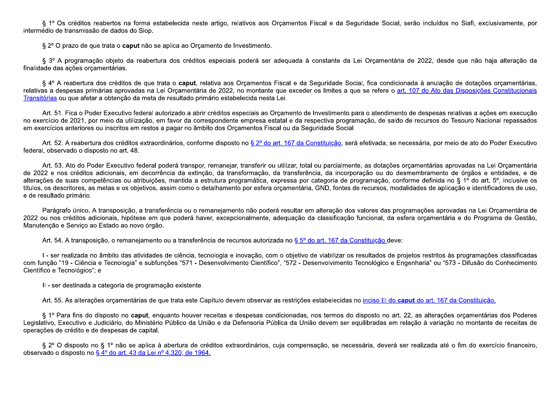§ 1º Os créditos reabertos na forma estabelecida neste artigo, relativos aos Orçamentos Fiscal e da Seguridade Social, serão incluídos no Siafi, exclusivamente, por intermédio de transmissão de dados do Siop.

§ 2º O prazo de que trata o caput não se aplica ao Orçamento de Investimento.

§ 3º A programação objeto da reabertura dos créditos especiais poderá ser adequada à constante da Lei Orçamentária de 2022, desde que não haja alteração da finalidade das ações orçamentárias.

§ 4º A reabertura dos créditos de que trata o caput, relativa aos Orcamentos Fiscal e da Seguridade Social, fica condicionada à anulação de dotações orcamentárias, relativas a despesas primárias aprovadas na Lei Orcamentária de 2022, no montante que exceder os limites a que se refere o art. 107 do Ato das Disposições Constitucionais Transitórias ou que afetar a obtenção da meta de resultado primário estabelecida nesta Lei.

Art. 51. Fica o Poder Executivo federal autorizado a abrir créditos especiais ao Orcamento de Investimento para o atendimento de despesas relativas a ações em execução no exercício de 2021, por meio da utilização, em favor da correspondente empresa estatal e da respectiva programação, de saldo de recursos do Tesouro Nacional repassados em exercícios anteriores ou inscritos em restos a pagar no âmbito dos Orcamentos Fiscal ou da Seguridade Social.

Art. 52. A reabertura dos créditos extraordinários, conforme disposto no § 2º do art. 167 da Constituição, será efetivada, se necessária, por meio de ato do Poder Executivo federal, observado o disposto no art. 48.

Art. 53. Ato do Poder Executivo federal poderá transpor, remanejar, transferir ou utilizar, total ou parcialmente, as dotações orcamentárias aprovadas na Lei Orcamentária de 2022 e nos créditos adicionais, em decorrência da extinção, da transformação, da transferência, da incorporação ou do desmembramento de órgãos e entidades, e de alterações de suas competências ou atribuições, mantida a estrutura programática, expressa por categoria de programação, conforme definida no § 1º do art. 5º, inclusive os títulos, os descritores, as metas e os objetivos, assim como o detalhamento por esfera orcamentária, GND, fontes de recursos, modalidades de aplicação e identificadores de uso, e de resultado primário.

Parágrafo único. A transposição, a transferência ou o remanejamento não poderá resultar em alteração dos valores das programações aprovadas na Lei Orcamentária de 2022 ou nos créditos adicionais, hipótese em que poderá haver, excepcionalmente, adequação da classificação funcional, da esfera orcamentária e do Programa de Gestão, Manutenção e Serviço ao Estado ao novo órgão.

Art. 54. A transposição, o remanejamento ou a transferência de recursos autorizada no § 5º do art. 167 da Constituição deve:

I - ser realizada no âmbito das atividades de ciência, tecnologia e inovação, com o objetivo de viabilizar os resultados de projetos restritos às programações classificadas com função "19 - Ciência e Tecnologia" e subfunções "571 - Desenvolvimento Científico", "572 - Desenvolvimento Tecnológico e Engenharia" ou "573 - Difusão do Conhecimento Científico e Tecnológico"; e

II - ser destinada a categoria de programação existente.

Art. 55. As alterações orcamentárias de que trata este Capítulo devem observar as restrições estabelecidas no inciso III do caput do art. 167 da Constituição.

§ 1º Para fins do disposto no caput, enquanto houver receitas e despesas condicionadas, nos termos do disposto no art. 22, as alterações orcamentárias dos Poderes Legislativo, Executivo e Judiciário, do Ministério Público da União e da Defensoria Pública da União devem ser equilibradas em relação à variação no montante de receitas de operações de crédito e de despesas de capital.

§ 2º O disposto no § 1º não se aplica à abertura de créditos extraordinários, cuja compensação, se necessária, deverá ser realizada até o fim do exercício financeiro, observado o disposto no § 4º do art. 43 da Lei nº 4.320, de 1964.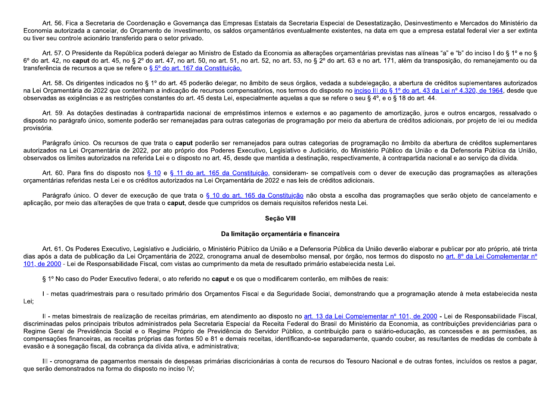Art. 56. Fica a Secretaria de Coordenação e Governança das Empresas Estatais da Secretaria Especial de Desestatização, Desinvestimento e Mercados do Ministério da Economia autorizada a cancelar, do Orcamento de Investimento, os saldos orcamentários eventualmente existentes, na data em que a empresa estatal federal vier a ser extinta ou tiver seu controle acionário transferido para o setor privado.

Art. 57. O Presidente da República poderá delegar ao Ministro de Estado da Economia as alterações orcamentárias previstas nas alíneas "a" e "b" do inciso I do § 1º e no § 6<sup>o</sup> do art. 42, no caput do art. 45, no § 2<sup>o</sup> do art. 47, no art. 50, no art. 51, no art. 52, no art. 53, no § 2<sup>o</sup> do art. 63 e no art. 171, além da transposição, do remanejamento ou da transferência de recursos a que se refere o §  $5^{\circ}$  do art. 167 da Constituição.

Art. 58. Os dirigentes indicados no § 1º do art. 45 poderão delegar, no âmbito de seus órgãos, vedada a subdelegação, a abertura de créditos suplementares autorizados na Lei Orcamentária de 2022 que contenham a indicação de recursos compensatórios, nos termos do disposto no inciso III do § 1° do art. 43 da Lei nº 4.320, de 1964, desde que observadas as exigências e as restrições constantes do art. 45 desta Lei, especialmente aquelas a que se refere o seu § 4º, e o § 18 do art. 44.

Art. 59. As dotações destinadas à contrapartida nacional de empréstimos internos e externos e ao pagamento de amortização, juros e outros encargos, ressalvado o disposto no parágrafo único, somente poderão ser remanejadas para outras categorias de programação por meio da abertura de créditos adicionais, por projeto de lei ou medida provisória.

Parágrafo único. Os recursos de que trata o caput poderão ser remanejados para outras categorias de programação no âmbito da abertura de créditos suplementares autorizados na Lei Orcamentária de 2022, por ato próprio dos Poderes Executivo, Legislativo e Judiciário, do Ministério Público da União e da Defensoria Pública da União, observados os limites autorizados na referida Lei e o disposto no art. 45, desde que mantida a destinação, respectivamente, à contrapartida nacional e ao servico da dívida.

Art. 60. Para fins do disposto nos § 10 e § 11 do art. 165 da Constituição, consideram- se compatíveis com o dever de execução das programações as alterações orcamentárias referidas nesta Lei e os créditos autorizados na Lei Orcamentária de 2022 e nas leis de créditos adicionais.

Parágrafo único. O dever de execução de que trata o § 10 do art. 165 da Constituição não obsta a escolha das programações que serão objeto de cancelamento e aplicação, por meio das alterações de que trata o caput, desde que cumpridos os demais requisitos referidos nesta Lei.

## Seção VIII

## Da limitação orçamentária e financeira

Art. 61. Os Poderes Executivo, Legislativo e Judiciário, o Ministério Público da União e a Defensoria Pública da União deverão elaborar e publicar por ato próprio, até trinta dias após a data de publicação da Lei Orçamentária de 2022, cronograma anual de desembolso mensal, por órgão, nos termos do disposto no art. 8º da Lei Complementar nº 101, de 2000 - Lei de Responsabilidade Fiscal, com vistas ao cumprimento da meta de resultado primário estabelecida nesta Lei.

§ 1º No caso do Poder Executivo federal, o ato referido no **caput** e os que o modificarem conterão, em milhões de reais:

I - metas quadrimestrais para o resultado primário dos Orcamentos Fiscal e da Seguridade Social, demonstrando que a programação atende à meta estabelecida nesta Lei:

II - metas bimestrais de realização de receitas primárias, em atendimento ao disposto no art. 13 da Lei Complementar nº 101, de 2000 - Lei de Responsabilidade Fiscal, discriminadas pelos principais tributos administrados pela Secretaria Especial da Receita Federal do Brasil do Ministério da Economia, as contribuições previdenciárias para o Regime Geral de Previdência Social e o Regime Próprio de Previdência do Servidor Público, a contribuição para o salário-educação, as concessões e as permissões, as compensações financeiras, as receitas próprias das fontes 50 e 81 e demais receitas, identificando-se separadamente, quando couber, as resultantes de medidas de combate à evasão e à sonegação fiscal, da cobrança da dívida ativa, e administrativa;

III - cronograma de pagamentos mensais de despesas primárias discricionárias à conta de recursos do Tesouro Nacional e de outras fontes, incluídos os restos a pagar, que serão demonstrados na forma do disposto no inciso IV;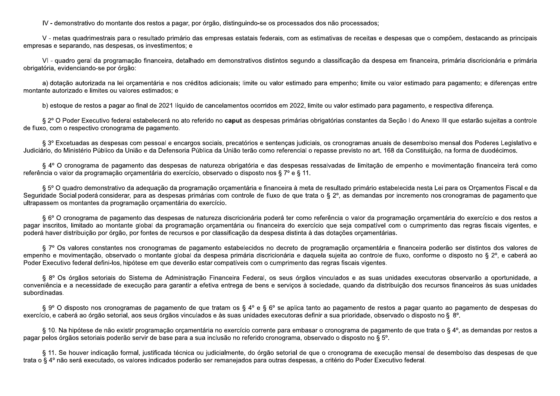IV - demonstrativo do montante dos restos a pagar, por órgão, distinguindo-se os processados dos não processados;

V - metas quadrimestrais para o resultado primário das empresas estatais federais, com as estimativas de receitas e despesas que o compõem, destacando as principais empresas e separando, nas despesas, os investimentos: e

VI-quadro geral da programação financeira, detalhado em demonstrativos distintos segundo a classificação da despesa em financeira, primária discricionária e primária obrigatória, evidenciando-se por órgão:

a) dotação autorizada na lei orçamentária e nos créditos adicionais; limite ou valor estimado para empenho; limite ou valor estimado para pagamento; e diferenças entre montante autorizado e limites ou valores estimados: e

b) estoque de restos a pagar ao final de 2021 líquido de cancelamentos ocorridos em 2022, limite ou valor estimado para pagamento, e respectiva diferença.

§ 2° O Poder Executivo federal estabelecerá no ato referido no caput as despesas primárias obrigatórias constantes da Seção I do Anexo III que estarão sujeitas a controle de fluxo, com o respectivo cronograma de pagamento.

§ 3º Excetuadas as despesas com pessoal e encargos sociais, precatórios e sentencas judiciais, os cronogramas anuais de desembolso mensal dos Poderes Legislativo e Judiciário, do Ministério Público da União e da Defensoria Pública da União terão como referencial o repasse previsto no art. 168 da Constituição, na forma de duodécimos.

§ 4º O cronograma de pagamento das despesas de natureza obrigatória e das despesas ressalvadas de limitação de empenho e movimentação financeira terá como referência o valor da programação orçamentária do exercício, observado o disposto nos § 7º e § 11.

§ 5° O quadro demonstrativo da adequação da programação orcamentária e financeira à meta de resultado primário estabelecida nesta Lei para os Orcamentos Fiscal e da Seguridade Social poderá considerar, para as despesas primárias com controle de fluxo de que trata o § 2°, as demandas por incremento nos cronogramas de pagamento que ultrapassem os montantes da programação orçamentária do exercício.

§ 6º O cronograma de pagamento das despesas de natureza discricionária poderá ter como referência o valor da programação orcamentária do exercício e dos restos a pagar inscritos, limitado ao montante global da programação orcamentária ou financeira do exercício que seja compatível com o cumprimento das regras fiscais vigentes, e poderá haver distribuição por órgão, por fontes de recursos e por classificação da despesa distinta à das dotações orçamentárias.

§ 7º Os valores constantes nos cronogramas de pagamento estabelecidos no decreto de programação orcamentária e financeira poderão ser distintos dos valores de empenho e movimentação, observado o montante global da despesa primária discricionária e daquela sujeita ao controle de fluxo, conforme o disposto no § 2º, e caberá ao Poder Executivo federal defini-los, hipótese em que deverão estar compatíveis com o cumprimento das regras fiscais vigentes.

§ 8º Os órgãos setoriais do Sistema de Administração Financeira Federal, os seus órgãos vinculados e as suas unidades executoras observarão a oportunidade, a conveniência e a necessidade de execução para garantir a efetiva entrega de bens e servicos à sociedade, quando da distribuição dos recursos financeiros às suas unidades subordinadas.

§ 9° O disposto nos cronogramas de pagamento de que tratam os § 4° e § 6° se aplica tanto ao pagamento de restos a pagar quanto ao pagamento de despesas do exercício, e caberá ao órgão setorial, aos seus órgãos vinculados e às suas unidades executoras definir a sua prioridade, observado o disposto no § 8°.

§ 10. Na hipótese de não existir programação orçamentária no exercício corrente para embasar o cronograma de pagamento de que trata o § 4°, as demandas por restos a pagar pelos órgãos setoriais poderão servir de base para a sua inclusão no referido cronograma, observado o disposto no § 5°.

§ 11. Se houver indicação formal, justificada técnica ou judicialmente, do órgão setorial de que o cronograma de execução mensal de desembolso das despesas de que trata o § 4º não será executado, os valores indicados poderão ser remanejados para outras despesas, a critério do Poder Executivo federal.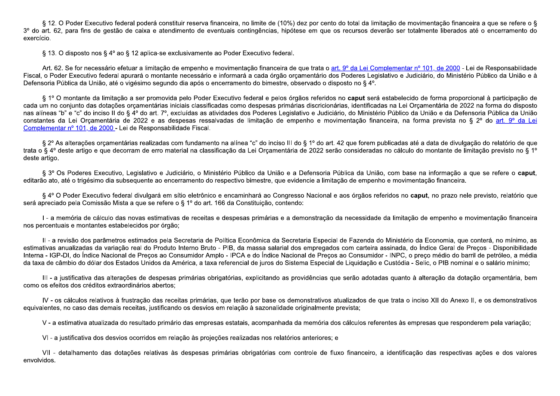§ 12. O Poder Executivo federal poderá constituir reserva financeira, no limite de (10%) dez por cento do total da limitação de movimentação financeira a que se refere o § 3<sup>o</sup> do art. 62, para fins de gestão de caixa e atendimento de eventuais contingências, hipótese em que os recursos deverão ser totalmente liberados até o encerramento do exercício.

§ 13. O disposto nos § 4º ao § 12 aplica-se exclusivamente ao Poder Executivo federal.

Art. 62. Se for necessário efetuar a limitação de empenho e movimentação financeira de que trata o art. 9º da Lei Complementar nº 101, de 2000 - Lei de Responsabilidade Fiscal, o Poder Executivo federal apurará o montante necessário e informará a cada órgão orcamentário dos Poderes Legislativo e Judiciário, do Ministério Público da União e à Defensoria Pública da União, até o vigésimo segundo dia após o encerramento do bimestre, observado o disposto no § 4°.

§ 1º O montante da limitação a ser promovida pelo Poder Executivo federal e pelos órgãos referidos no caput será estabelecido de forma proporcional à participação de cada um no conjunto das dotações orcamentárias iniciais classificadas como despesas primárias discricionárias, identificadas na Lei Orcamentária de 2022 na forma do disposto nas alíneas "b" e "c" do inciso II do § 4º do art. 7º, excluídas as atividades dos Poderes Legislativo e Judiciário, do Ministério Público da União e da Defensoria Pública da União constantes da Lei Orcamentária de 2022 e as despesas ressalvadas de limitação de empenho e movimentação financeira, na forma prevista no § 2º do art. 9º da Lei Complementar nº 101, de 2000 - Lei de Responsabilidade Fiscal.

§ 2º As alterações orcamentárias realizadas com fundamento na alínea "c" do inciso III do § 1º do art. 42 que forem publicadas até a data de divulgação do relatório de que trata o § 4º deste artigo e que decorram de erro material na classificação da Lei Orcamentária de 2022 serão consideradas no cálculo do montante de limitação previsto no § 1º deste artigo.

§ 3º Os Poderes Executivo, Legislativo e Judiciário, o Ministério Público da União e a Defensoria Pública da União, com base na informação a que se refere o caput, editarão ato, até o trigésimo dia subseguente ao encerramento do respectivo bimestre, que evidencie a limitação de empenho e movimentação financeira.

§ 4° O Poder Executivo federal divulgará em sítio eletrônico e encaminhará ao Congresso Nacional e aos órgãos referidos no caput, no prazo nele previsto, relatório que será apreciado pela Comissão Mista a que se refere o § 1º do art. 166 da Constituição, contendo:

I - a memória de cálculo das novas estimativas de receitas e despesas primárias e a demonstração da necessidade da limitação de empenho e movimentação financeira nos percentuais e montantes estabelecidos por órgão;

II - a revisão dos parâmetros estimados pela Secretaria de Política Econômica da Secretaria Especial de Fazenda do Ministério da Economia, que conterá, no mínimo, as estimativas anualizadas da variação real do Produto Interno Bruto - PIB, da massa salarial dos empregados com carteira assinada, do Índice Geral de Precos - Disponibilidade Interna - IGP-DI, do Índice Nacional de Precos ao Consumidor Amplo - IPCA e do Índice Nacional de Precos ao Consumidor - INPC, o preco médio do barril de petróleo, a média da taxa de câmbio do dólar dos Estados Unidos da América, a taxa referencial de juros do Sistema Especial de Liquidação e Custódia - Selic, o PIB nominal e o salário mínimo;

III - a justificativa das alterações de despesas primárias obrigatórias, explicitando as providências que serão adotadas quanto à alteração da dotação orçamentária, bem como os efeitos dos créditos extraordinários abertos;

IV - os cálculos relativos à frustração das receitas primárias, que terão por base os demonstrativos atualizados de que trata o inciso XII do Anexo II, e os demonstrativos equivalentes, no caso das demais receitas, justificando os desvios em relação à sazonalidade originalmente prevista;

V - a estimativa atualizada do resultado primário das empresas estatais, acompanhada da memória dos cálculos referentes às empresas que responderem pela variação;

VI - a justificativa dos desvios ocorridos em relação às projeções realizadas nos relatórios anteriores; e

VII - detalhamento das dotações relativas às despesas primárias obrigatórias com controle de fluxo financeiro, a identificação das respectivas ações e dos valores envolvidos.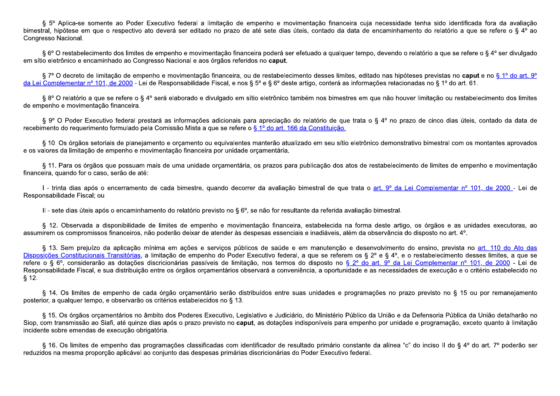§ 5º Aplica-se somente ao Poder Executivo federal a limitação de empenho e movimentação financeira cuja necessidade tenha sido identificada fora da avaliação bimestral, hipótese em que o respectivo ato deverá ser editado no prazo de até sete dias úteis, contado da data de encaminhamento do relatório a que se refere o § 4º ao Congresso Nacional.

§ 6° O restabelecimento dos limites de empenho e movimentação financeira poderá ser efetuado a qualquer tempo, devendo o relatório a que se refere o § 4° ser divulgado em sítio eletrônico e encaminhado ao Congresso Nacional e aos órgãos referidos no caput.

§ 7º O decreto de limitação de empenho e movimentação financeira, ou de restabelecimento desses limites, editado nas hipóteses previstas no caput e no § 1º do art. 9º da Lei Complementar nº 101, de 2000 - Lei de Responsabilidade Fiscal, e nos § 5º e § 6º deste artigo, conterá as informações relacionadas no § 1º do art. 61.

§ 8º O relatório a que se refere o § 4º será elaborado e divulgado em sítio eletrônico também nos bimestres em que não houver limitação ou restabelecimento dos limites de empenho e movimentação financeira.

§ 9° O Poder Executivo federal prestará as informações adicionais para apreciação do relatório de que trata o § 4° no prazo de cinco dias úteis, contado da data de recebimento do requerimento formulado pela Comissão Mista a que se refere o § 1º do art. 166 da Constituição.

§ 10. Os órgãos setoriais de planejamento e orcamento ou equivalentes manterão atualizado em seu sítio eletrônico demonstrativo bimestral com os montantes aprovados e os valores da limitação de empenho e movimentação financeira por unidade orçamentária.

§ 11. Para os órgãos que possuam mais de uma unidade orcamentária, os prazos para publicação dos atos de restabelecimento de limites de empenho e movimentação financeira, quando for o caso, serão de até:

I - trinta dias após o encerramento de cada bimestre, quando decorrer da avaliação bimestral de que trata o art. 9º da Lei Complementar nº 101, de 2000 - Lei de Responsabilidade Fiscal; ou

II - sete dias úteis após o encaminhamento do relatório previsto no § 6°, se não for resultante da referida avaliação bimestral.

§ 12. Observada a disponibilidade de limites de empenho e movimentação financeira, estabelecida na forma deste artigo, os órgãos e as unidades executoras, ao assumirem os compromissos financeiros, não poderão deixar de atender às despesas essenciais e inadiáveis, além da observância do disposto no art. 4°.

§ 13. Sem prejuízo da aplicação mínima em ações e servicos públicos de saúde e em manutenção e desenvolvimento do ensino, prevista no art. 110 do Ato das Disposições Constitucionais Transitórias, a limitação de empenho do Poder Executivo federal, a que se referem os § 2º e § 4º, e o restabelecimento desses limites, a que se refere o § 6º, considerarão as dotações discricionárias passíveis de limitação, nos termos do disposto no § 2º do art. 9º da Lei Complementar nº 101, de 2000 - Lei de Responsabilidade Fiscal, e sua distribuição entre os órgãos orçamentários observará a conveniência, a oportunidade e as necessidades de execução e o critério estabelecido no  $$12.$ 

§ 14. Os limites de empenho de cada órgão orcamentário serão distribuídos entre suas unidades e programações no prazo previsto no § 15 ou por remanejamento posterior, a qualquer tempo, e observarão os critérios estabelecidos no § 13.

§ 15. Os órgãos orcamentários no âmbito dos Poderes Executivo, Legislativo e Judiciário, do Ministério Público da União e da Defensoria Pública da União detalharão no Siop, com transmissão ao Siafi, até quinze dias após o prazo previsto no caput, as dotações indisponíveis para empenho por unidade e programação, exceto quanto à limitação incidente sobre emendas de execução obrigatória.

§ 16. Os limites de empenho das programações classificadas com identificador de resultado primário constante da alínea "c" do inciso II do § 4º do art. 7º poderão ser reduzidos na mesma proporção aplicável ao conjunto das despesas primárias discricionárias do Poder Executivo federal.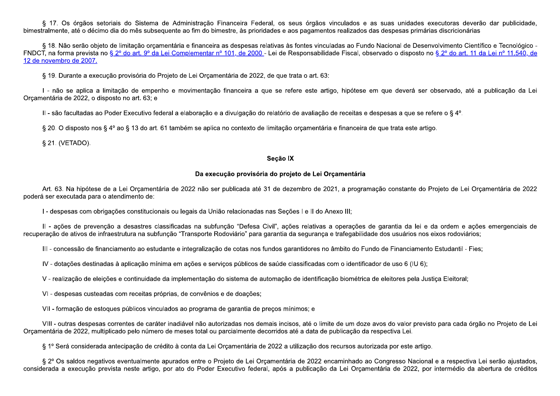§ 17. Os órgãos setoriais do Sistema de Administração Financeira Federal, os seus órgãos vinculados e as suas unidades executoras deverão dar publicidade, bimestralmente, até o décimo dia do mês subsequente ao fim do bimestre, às prioridades e aos pagamentos realizados das despesas primárias discricionárias

§ 18. Não serão objeto de limitação orçamentária e financeira as despesas relativas às fontes vinculadas ao Fundo Nacional de Desenvolvimento Científico e Tecnológico -FNDCT, na forma prevista no § 2º do art. 9º da Lei Complementar nº 101, de 2000 - Lei de Responsabilidade Fiscal, observado o disposto no § 2º do art. 11 da Lei nº 11.540, de 12 de novembro de 2007.

§ 19. Durante a execução provisória do Projeto de Lei Orçamentária de 2022, de que trata o art. 63:

I - não se aplica a limitação de empenho e movimentação financeira a que se refere este artigo, hipótese em que deverá ser observado, até a publicação da Lei Orcamentária de 2022, o disposto no art. 63; e

II - são facultadas ao Poder Executivo federal a elaboração e a divulgação do relatório de avaliação de receitas e despesas a que se refere o § 4º.

§ 20. O disposto nos § 4º ao § 13 do art. 61 também se aplica no contexto de limitação orçamentária e financeira de que trata este artigo.

§ 21. (VETADO).

## Seção IX

## Da execução provisória do projeto de Lei Orçamentária

Art. 63. Na hipótese de a Lei Orcamentária de 2022 não ser publicada até 31 de dezembro de 2021, a programação constante do Projeto de Lei Orcamentária de 2022 poderá ser executada para o atendimento de:

I - despesas com obrigações constitucionais ou legais da União relacionadas nas Seções I e II do Anexo III;

II - ações de prevenção a desastres classificadas na subfunção "Defesa Civil", ações relativas a operações de garantia da lei e da ordem e ações emergenciais de recuperação de ativos de infraestrutura na subfunção "Transporte Rodoviário" para garantia da segurança e trafegabilidade dos usuários nos eixos rodoviários;

III - concessão de financiamento ao estudante e integralização de cotas nos fundos garantidores no âmbito do Fundo de Financiamento Estudantil - Fies;

IV - dotações destinadas à aplicação mínima em ações e servicos públicos de saúde classificadas com o identificador de uso 6 (IU 6);

V - realização de eleições e continuidade da implementação do sistema de automação de identificação biométrica de eleitores pela Justiça Eleitoral;

VI - despesas custeadas com receitas próprias, de convênios e de doações;

VII - formação de estoques públicos vinculados ao programa de garantia de preços mínimos; e

VIII - outras despesas correntes de caráter inadiável não autorizadas nos demais incisos, até o limite de um doze avos do valor previsto para cada órgão no Projeto de Lei Orcamentária de 2022, multiplicado pelo número de meses total ou parcialmente decorridos até a data de publicação da respectiva Lei.

§ 1º Será considerada antecipação de crédito à conta da Lei Orçamentária de 2022 a utilização dos recursos autorizada por este artigo.

§ 2º Os saldos negativos eventualmente apurados entre o Projeto de Lei Orcamentária de 2022 encaminhado ao Congresso Nacional e a respectiva Lei serão ajustados. considerada a execução prevista neste artigo, por ato do Poder Executivo federal, após a publicação da Lei Orçamentária de 2022, por intermédio da abertura de créditos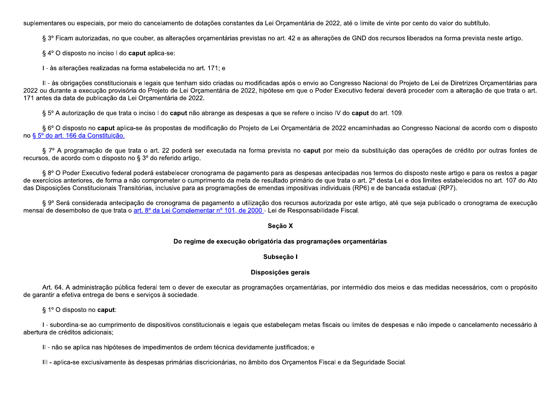suplementares ou especiais, por meio do cancelamento de dotações constantes da Lei Orçamentária de 2022, até o limite de vinte por cento do valor do subtítulo.

§ 3º Ficam autorizadas, no que couber, as alterações orçamentárias previstas no art. 42 e as alterações de GND dos recursos liberados na forma prevista neste artigo.

§ 4° O disposto no inciso I do caput aplica-se:

I - às alterações realizadas na forma estabelecida no art. 171; e

II - às obrigações constitucionais e legais que tenham sido criadas ou modificadas após o envio ao Congresso Nacional do Proieto de Lei de Diretrizes Orcamentárias para 2022 ou durante a execução provisória do Projeto de Lei Orcamentária de 2022, hipótese em que o Poder Executivo federal deverá proceder com a alteração de que trata o art. 171 antes da data de publicação da Lei Orcamentária de 2022.

§ 5° A autorização de que trata o inciso I do caput não abrange as despesas a que se refere o inciso IV do caput do art. 109.

§ 6° O disposto no caput aplica-se às propostas de modificação do Projeto de Lei Orcamentária de 2022 encaminhadas ao Congresso Nacional de acordo com o disposto no § 5º do art. 166 da Constituição.

§ 7º A programação de que trata o art. 22 poderá ser executada na forma prevista no caput por meio da substituição das operações de crédito por outras fontes de recursos, de acordo com o disposto no § 3º do referido artigo.

§ 8° O Poder Executivo federal poderá estabelecer cronograma de pagamento para as despesas antecipadas nos termos do disposto neste artigo e para os restos a pagar de exercícios anteriores, de forma a não comprometer o cumprimento da meta de resultado primário de que trata o art. 2º desta Lei e dos limites estabelecidos no art. 107 do Ato das Disposições Constitucionais Transitórias, inclusive para as programações de emendas impositivas individuais (RP6) e de bancada estadual (RP7).

§ 9º Será considerada antecipação de cronograma de pagamento a utilização dos recursos autorizada por este artigo, até que seja publicado o cronograma de execução mensal de desembolso de que trata o art. 8º da Lei Complementar nº 101, de 2000 - Lei de Responsabilidade Fiscal.

### Seção X

### Do regime de execução obrigatória das programações orçamentárias

### Subseção I

## Disposições gerais

Art. 64. A administração pública federal tem o dever de executar as programações orcamentárias, por intermédio dos meios e das medidas necessários, com o propósito de garantir a efetiva entrega de bens e serviços à sociedade.

 $\S 1^{\circ}$  O disposto no caput:

I - subordina-se ao cumprimento de dispositivos constitucionais e legais que estabeleçam metas fiscais ou limites de despesas e não impede o cancelamento necessário à abertura de créditos adicionais:

II - não se aplica nas hipóteses de impedimentos de ordem técnica devidamente justificados; e

III - aplica-se exclusivamente às despesas primárias discricionárias, no âmbito dos Orcamentos Fiscal e da Seguridade Social.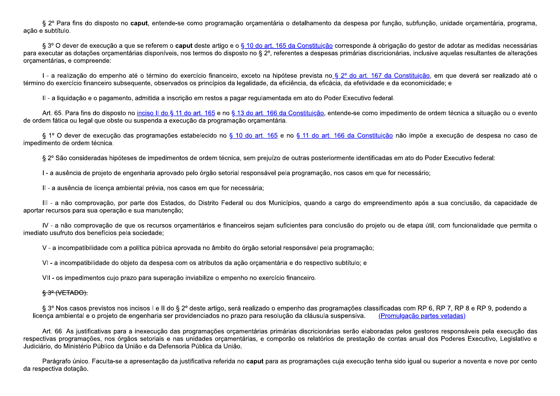§ 2º Para fins do disposto no caput, entende-se como programação orçamentária o detalhamento da despesa por função, subfunção, unidade orçamentária, programa, ação e subtítulo.

§ 3° O dever de execução a que se referem o caput deste artigo e o § 10 do art. 165 da Constituição corresponde à obrigação do gestor de adotar as medidas necessárias para executar as dotações orçamentárias disponíveis, nos termos do disposto no § 2º, referentes a despesas primárias discricionárias, inclusive aquelas resultantes de alterações orçamentárias, e compreende:

I - a realização do empenho até o término do exercício financeiro, exceto na hipótese prevista no § 2º do art. 167 da Constituição, em que deverá ser realizado até o término do exercício financeiro subsequente, observados os princípios da legalidade, da eficiência, da eficácia, da efetividade e da economicidade; e

II - a liguidação e o pagamento, admitida a inscrição em restos a pagar regulamentada em ato do Poder Executivo federal.

Art. 65. Para fins do disposto no inciso II do § 11 do art. 165 e no § 13 do art. 166 da Constituição, entende-se como impedimento de ordem técnica a situação ou o evento de ordem fática ou legal que obste ou suspenda a execução da programação orçamentária.

§ 1º O dever de execução das programações estabelecido no § 10 do art. 165 e no § 11 do art. 166 da Constituição não impõe a execução de despesa no caso de impedimento de ordem técnica.

§ 2º São consideradas hipóteses de impedimentos de ordem técnica, sem prejuízo de outras posteriormente identificadas em ato do Poder Executivo federal:

I - a ausência de projeto de engenharia aprovado pelo órgão setorial responsável pela programação, nos casos em que for necessário;

II - a ausência de licenca ambiental prévia, nos casos em que for necessária;

III - a não comprovação, por parte dos Estados, do Distrito Federal ou dos Municípios, quando a cargo do empreendimento após a sua conclusão, da capacidade de aportar recursos para sua operação e sua manutenção;

IV - a não comprovação de que os recursos orcamentários e financeiros sejam suficientes para conclusão do projeto ou de etapa útil, com funcionalidade que permita o imediato usufruto dos benefícios pela sociedade;

V - a incompatibilidade com a política pública aprovada no âmbito do órgão setorial responsável pela programação;

VI-a incompatibilidade do objeto da despesa com os atributos da ação orcamentária e do respectivo subtítulo; e

VII - os impedimentos cujo prazo para superação inviabilize o empenho no exercício financeiro.

## $\frac{6}{3}$  3<sup>o</sup> (VETADO).

§ 3º Nos casos previstos nos incisos I e II do § 2º deste artigo, será realizado o empenho das programações classificadas com RP 6, RP 7, RP 8 e RP 9, podendo a licença ambiental e o projeto de engenharia ser providenciados no prazo para resolução da cláusula suspensiva. (Promulgação partes vetadas)

Art. 66. As justificativas para a inexecução das programações orçamentárias primárias discricionárias serão elaboradas pelos gestores responsáveis pela execução das respectivas programações, nos órgãos setoriais e nas unidades orcamentárias, e comporão os relatórios de prestação de contas anual dos Poderes Executivo, Legislativo e Judiciário, do Ministério Público da União e da Defensoria Pública da União.

Parágrafo único. Faculta-se a apresentação da justificativa referida no caput para as programações cuja execução tenha sido igual ou superior a noventa e nove por cento da respectiva dotação.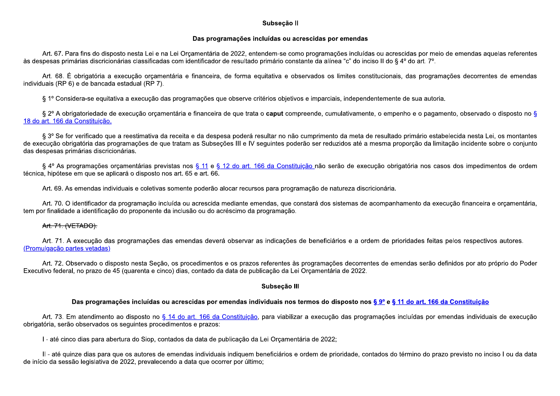### Subseção II

## Das programações incluídas ou acrescidas por emendas

Art. 67. Para fins do disposto nesta Lei e na Lei Orcamentária de 2022, entendem-se como programações incluídas ou acrescidas por meio de emendas aquelas referentes às despesas primárias discricionárias classificadas com identificador de resultado primário constante da alínea "c" do inciso II do § 4º do art. 7º.

Art. 68. É obrigatória a execução orcamentária e financeira, de forma equitativa e observados os limites constitucionais, das programações decorrentes de emendas individuais (RP 6) e de bancada estadual (RP 7).

§ 1º Considera-se equitativa a execução das programações que observe critérios objetivos e imparciais, independentemente de sua autoria.

§ 2º A obrigatoriedade de execução orcamentária e financeira de que trata o caput compreende, cumulativamente, o empenho e o pagamento, observado o disposto no § 18 do art. 166 da Constituição.

§ 3º Se for verificado que a reestimativa da receita e da despesa poderá resultar no não cumprimento da meta de resultado primário estabelecida nesta Lei, os montantes de execução obrigatória das programações de que tratam as Subseções III e IV seguintes poderão ser reduzidos até a mesma proporção da limitação incidente sobre o conjunto das despesas primárias discricionárias.

§ 4º As programações orcamentárias previstas nos § 11 e § 12 do art. 166 da Constituição não serão de execução obrigatória nos casos dos impedimentos de ordem técnica, hipótese em que se aplicará o disposto nos art. 65 e art. 66.

Art. 69. As emendas individuais e coletivas somente poderão alocar recursos para programação de natureza discricionária.

Art. 70. O identificador da programação incluída ou acrescida mediante emendas, que constará dos sistemas de acompanhamento da execução financeira e orçamentária, tem por finalidade a identificação do proponente da inclusão ou do acréscimo da programação.

## Art. 71. (VETADO).

Art. 71. A execução das programações das emendas deverá observar as indicações de beneficiários e a ordem de prioridades feitas pelos respectivos autores. (Promulgação partes vetadas)

Art. 72. Observado o disposto nesta Seção, os procedimentos e os prazos referentes às programações decorrentes de emendas serão definidos por ato próprio do Poder Executivo federal, no prazo de 45 (quarenta e cinco) dias, contado da data de publicação da Lei Orcamentária de 2022.

## Subseção III

## Das programações incluídas ou acrescidas por emendas individuais nos termos do disposto nos § 9° e § 11 do art. 166 da Constituição

Art. 73. Em atendimento ao disposto no § 14 do art. 166 da Constituição, para viabilizar a execução das programações incluídas por emendas individuais de execução obrigatória, serão observados os seguintes procedimentos e prazos:

I - até cinco dias para abertura do Siop, contados da data de publicação da Lei Orçamentária de 2022;

Il - até quinze dias para que os autores de emendas individuais indiquem beneficiários e ordem de prioridade, contados do término do prazo previsto no inciso I ou da data de início da sessão legislativa de 2022, prevalecendo a data que ocorrer por último;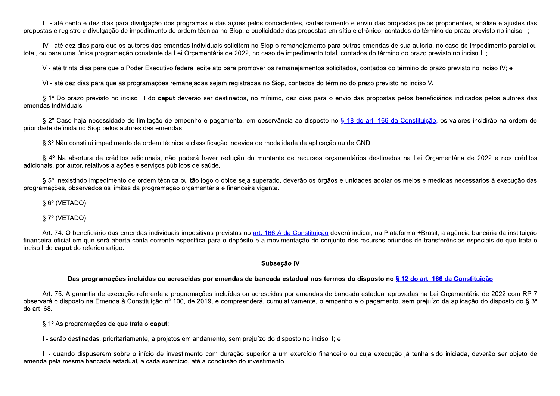III - até cento e dez dias para divulgação dos programas e das ações pelos concedentes, cadastramento e envio das propostas pelos proponentes, análise e ajustes das propostas e registro e divulgação de impedimento de ordem técnica no Siop, e publicidade das propostas em sítio eletrônico, contados do término do prazo previsto no inciso II:

IV - até dez dias para que os autores das emendas individuais solicitem no Siop o remanejamento para outras emendas de sua autoria, no caso de impedimento parcial ou total, ou para uma única programação constante da Lei Orcamentária de 2022, no caso de impedimento total, contados do término do prazo previsto no inciso III;

V - até trinta dias para que o Poder Executivo federal edite ato para promover os remanejamentos solicitados, contados do término do prazo previsto no inciso IV; e

VI - até dez dias para que as programações remanejadas sejam registradas no Siop, contados do término do prazo previsto no inciso V.

§ 1º Do prazo previsto no inciso III do caput deverão ser destinados, no mínimo, dez dias para o envio das propostas pelos beneficiários indicados pelos autores das emendas individuais.

§ 2º Caso haja necessidade de limitação de empenho e pagamento, em observância ao disposto no § 18 do art. 166 da Constituição, os valores incidirão na ordem de prioridade definida no Siop pelos autores das emendas.

§ 3º Não constitui impedimento de ordem técnica a classificação indevida de modalidade de aplicação ou de GND.

§ 4º Na abertura de créditos adicionais, não poderá haver redução do montante de recursos orcamentários destinados na Lei Orcamentária de 2022 e nos créditos adicionais, por autor, relativos a ações e serviços públicos de saúde.

§ 5º Inexistindo impedimento de ordem técnica ou tão logo o óbice seja superado, deverão os órgãos e unidades adotar os meios e medidas necessários à execução das programações, observados os limites da programação orcamentária e financeira vigente.

 $§ 6°$  (VETADO).

 $\S 7^{\circ}$  (VETADO).

Art. 74. O beneficiário das emendas individuais impositivas previstas no art. 166-A da Constituição deverá indicar, na Plataforma +Brasil, a agência bancária da instituição financeira oficial em que será aberta conta corrente específica para o depósito e a movimentação do conjunto dos recursos oriundos de transferências especiais de que trata o inciso I do caput do referido artigo.

### Subseção IV

### Das programações incluídas ou acrescidas por emendas de bancada estadual nos termos do disposto no § 12 do art. 166 da Constituição

Art. 75. A garantia de execução referente a programações incluídas ou acrescidas por emendas de bancada estadual aprovadas na Lei Orcamentária de 2022 com RP 7 observará o disposto na Emenda à Constituição nº 100, de 2019, e compreenderá, cumulativamente, o empenho e o pagamento, sem prejuízo da aplicação do disposto do § 3º do art. 68.

§ 1º As programações de que trata o caput:

I - serão destinadas, prioritariamente, a projetos em andamento, sem prejuízo do disposto no inciso II; e

II - quando dispuserem sobre o início de investimento com duração superior a um exercício financeiro ou cuja execução já tenha sido iniciada, deverão ser objeto de emenda pela mesma bancada estadual, a cada exercício, até a conclusão do investimento.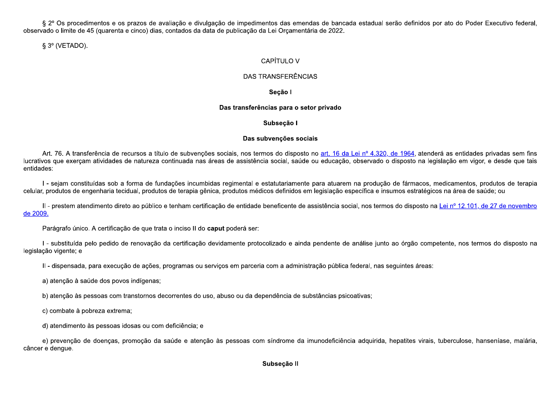§ 2º Os procedimentos e os prazos de avaliação e divulgação de impedimentos das emendas de bancada estadual serão definidos por ato do Poder Executivo federal, observado o limite de 45 (quarenta e cinco) dias, contados da data de publicação da Lei Orcamentária de 2022,

 $\S 3^{\circ}$  (VETADO).

# **CAPÍTULO V**

# DAS TRANSFERÊNCIAS

# Seção I

# Das transferências para o setor privado

# Subseção I

# Das subvenções sociais

Art. 76. A transferência de recursos a título de subvenções sociais, nos termos do disposto no art. 16 da Lei nº 4.320, de 1964, atenderá as entidades privadas sem fins lucrativos que exercam atividades de natureza continuada nas áreas de assistência social, saúde ou educação, observado o disposto na legislação em vigor, e desde que tais entidades:

I - sejam constituídas sob a forma de fundações incumbidas regimental e estatutariamente para atuarem na produção de fármacos, medicamentos, produtos de terapia celular, produtos de engenharia tecidual, produtos de terapia gênica, produtos médicos definidos em legislação específica e insumos estratégicos na área de saúde; ou

Il - prestem atendimento direto ao público e tenham certificação de entidade beneficente de assistência social, nos termos do disposto na Lei nº 12.101, de 27 de novembro de 2009.

Parágrafo único. A certificação de que trata o inciso II do **caput** poderá ser:

I - substituída pelo pedido de renovação da certificação devidamente protocolizado e ainda pendente de análise junto ao órgão competente, nos termos do disposto na legislação vigente; e

II - dispensada, para execução de ações, programas ou serviços em parceria com a administração pública federal, nas seguintes áreas:

a) atenção à saúde dos povos indígenas;

b) atenção às pessoas com transtornos decorrentes do uso, abuso ou da dependência de substâncias psicoativas;

c) combate à pobreza extrema;

d) atendimento às pessoas idosas ou com deficiência; e

e) prevenção de doenças, promoção da saúde e atenção às pessoas com síndrome da imunodeficiência adquirida, hepatites virais, tuberculose, hanseníase, malária, câncer e dengue.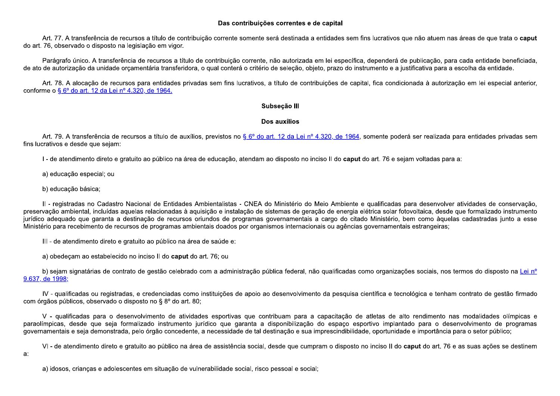## Das contribuições correntes e de capital

Art. 77. A transferência de recursos a título de contribuição corrente somente será destinada a entidades sem fins lucrativos que não atuem nas áreas de que trata o caput do art. 76, observado o disposto na legislação em vigor.

Parágrafo único. A transferência de recursos a título de contribuição corrente, não autorizada em lei específica, dependerá de publicação, para cada entidade beneficiada, de ato de autorização da unidade orcamentária transferidora, o qual conterá o critério de seleção, objeto, prazo do instrumento e a justificativa para a escolha da entidade.

Art. 78. A alocação de recursos para entidades privadas sem fins lucrativos, a título de contribuições de capital, fica condicionada à autorização em lei especial anterior, conforme o § 6° do art. 12 da Lei nº 4.320, de 1964.

## Subseção III

## Dos auxílios

Art. 79. A transferência de recursos a título de auxílios, previstos no § 6º do art. 12 da Lei nº 4.320, de 1964, somente poderá ser realizada para entidades privadas sem fins lucrativos e desde que sejam:

I - de atendimento direto e gratuito ao público na área de educação, atendam ao disposto no inciso II do caput do art. 76 e sejam voltadas para a:

a) educação especial; ou

b) educação básica;

Il - registradas no Cadastro Nacional de Entidades Ambientalistas - CNEA do Ministério do Meio Ambiente e qualificadas para desenvolver atividades de conservação, preservação ambiental, incluídas aquelas relacionadas à aquisição e instalação de sistemas de geração de energia elétrica solar fotovoltaica, desde que formalizado instrumento jurídico adeguado que garanta a destinação de recursos oriundos de programas governamentais a cargo do citado Ministério, bem como àguelas cadastradas junto a esse Ministério para recebimento de recursos de programas ambientais doados por organismos internacionais ou agências governamentais estrangeiras;

III - de atendimento direto e gratuito ao público na área de saúde e:

a) obedecam ao estabelecido no inciso II do caput do art. 76; ou

b) sejam signatárias de contrato de gestão celebrado com a administração pública federal, não qualificadas como organizações sociais, nos termos do disposto na Lei nº 9.637, de 1998:

IV - qualificadas ou registradas, e credenciadas como instituições de apoio ao desenvolvimento da pesquisa científica e tecnológica e tenham contrato de gestão firmado com órgãos públicos, observado o disposto no § 8º do art. 80;

V - qualificadas para o desenvolvimento de atividades esportivas que contribuam para a capacitação de atletas de alto rendimento nas modalidades olímpicas e paraolímpicas, desde que seja formalizado instrumento jurídico que garanta a disponibilização do espaço esportivo implantado para o desenvolvimento de programas governamentais e seja demonstrada, pelo órgão concedente, a necessidade de tal destinação e sua imprescindibilidade, oportunidade e importância para o setor público;

VI - de atendimento direto e gratuito ao público na área de assistência social, desde que cumpram o disposto no inciso II do caput do art. 76 e as suas ações se destinem a:

a) idosos, crianças e adolescentes em situação de vulnerabilidade social, risco pessoal e social;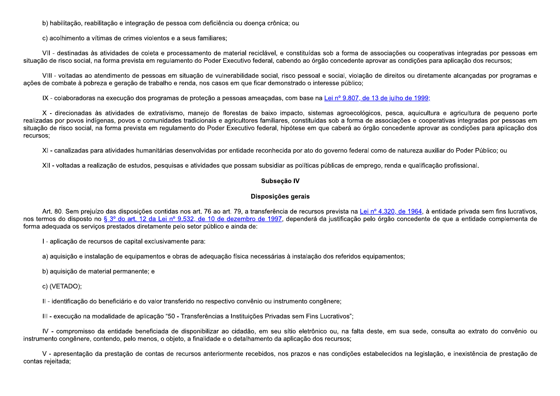b) habilitação, reabilitação e integração de pessoa com deficiência ou doença crônica; ou

c) acolhimento a vítimas de crimes violentos e a seus familiares;

VII - destinadas às atividades de coleta e processamento de material reciclável, e constituídas sob a forma de associações ou cooperativas integradas por pessoas em situação de risco social, na forma prevista em regulamento do Poder Executivo federal, cabendo ao órgão concedente aprovar as condições para aplicação dos recursos;

VIII - voltadas ao atendimento de pessoas em situação de vulnerabilidade social, risco pessoal e social, violação de direitos ou diretamente alcançadas por programas e ações de combate à pobreza e geração de trabalho e renda, nos casos em que ficar demonstrado o interesse público;

IX - colaboradoras na execução dos programas de proteção a pessoas ameaçadas, com base na Lei nº 9.807, de 13 de julho de 1999;

X - direcionadas às atividades de extrativismo, manejo de florestas de baixo impacto, sistemas agroecológicos, pesca, aquicultura e agricultura de pequeno porte realizadas por povos indígenas, povos e comunidades tradicionais e agricultores familiares, constituídas sob a forma de associações e cooperativas integradas por pessoas em situação de risco social, na forma prevista em regulamento do Poder Executivo federal, hipótese em que caberá ao órgão concedente aprovar as condições para aplicação dos recursos:

XI - canalizadas para atividades humanitárias desenvolvidas por entidade reconhecida por ato do governo federal como de natureza auxiliar do Poder Público; ou

XII - voltadas a realização de estudos, pesquisas e atividades que possam subsidiar as políticas públicas de emprego, renda e qualificação profissional.

## Subseção IV

## Disposições gerais

Art. 80. Sem prejuízo das disposições contidas nos art. 76 ao art. 79, a transferência de recursos prevista na Lei nº 4.320, de 1964, à entidade privada sem fins lucrativos, nos termos do disposto no § 3º do art. 12 da Lei nº 9.532, de 10 de dezembro de 1997, dependerá da justificação pelo órgão concedente de que a entidade complementa de forma adequada os servicos prestados diretamente pelo setor público e ainda de:

I - aplicação de recursos de capital exclusivamente para:

a) aquisição e instalação de equipamentos e obras de adequação física necessárias à instalação dos referidos equipamentos;

b) aquisição de material permanente; e

c) (VETADO);

II - identificação do beneficiário e do valor transferido no respectivo convênio ou instrumento congênere;

III - execução na modalidade de aplicação "50 - Transferências a Instituições Privadas sem Fins Lucrativos";

IV - compromisso da entidade beneficiada de disponibilizar ao cidadão, em seu sítio eletrônico ou, na falta deste, em sua sede, consulta ao extrato do convênio ou instrumento congênere, contendo, pelo menos, o objeto, a finalidade e o detalhamento da aplicação dos recursos;

V - apresentação da prestação de contas de recursos anteriormente recebidos, nos prazos e nas condições estabelecidos na legislação, e inexistência de prestação de contas rejeitada;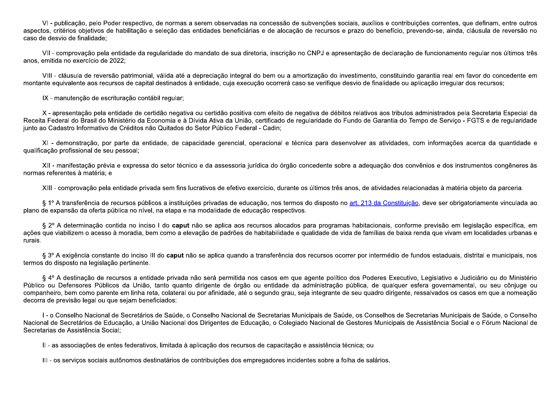VI-publicação, pelo Poder respectivo, de normas a serem observadas na concessão de subvenções sociais, auxílios e contribuições correntes, que definam, entre outros aspectos, critérios objetivos de habilitação e seleção das entidades beneficiárias e de alocação de recursos e prazo do benefício, prevendo-se, ainda, cláusula de reversão no caso de desvio de finalidade:

VII - comprovação pela entidade da regularidade do mandato de sua diretoria, inscrição no CNPJ e apresentação de declaração de funcionamento regular nos últimos três anos, emitida no exercício de 2022;

VIII - cláusula de reversão patrimonial, válida até a depreciação integral do bem ou a amortização do investimento, constituindo garantia real em favor do concedente em montante equivalente aos recursos de capital destinados à entidade, cuja execução ocorrerá caso se verifique desvio de finalidade ou aplicação irregular dos recursos;

IX - manutenção de escrituração contábil regular;

X - apresentação pela entidade de certidão negativa ou certidão positiva com efeito de negativa de débitos relativos aos tributos administrados pela Secretaria Especial da Receita Federal do Brasil do Ministério da Economia e à Dívida Ativa da União, certificado de regularidade do Fundo de Garantia do Tempo de Serviço - FGTS e de regularidade junto ao Cadastro Informativo de Créditos não Quitados do Setor Público Federal - Cadin;

XI - demonstração, por parte da entidade, de capacidade gerencial, operacional e técnica para desenvolver as atividades, com informações acerca da quantidade e qualificação profissional de seu pessoal;

XII - manifestação prévia e expressa do setor técnico e da assessoria jurídica do órgão concedente sobre a adequação dos convênios e dos instrumentos congêneres às normas referentes à matéria; e

XIII - comprovação pela entidade privada sem fins lucrativos de efetivo exercício, durante os últimos três anos, de atividades relacionadas à matéria objeto da parceria.

§ 1º A transferência de recursos públicos a instituições privadas de educação, nos termos do disposto no art. 213 da Constituição, deve ser obrigatoriamente vinculada ao plano de expansão da oferta pública no nível, na etapa e na modalidade de educação respectivos.

§ 2º A determinação contida no inciso I do **caput** não se aplica aos recursos alocados para programas habitacionais, conforme previsão em legislação específica, em ações que viabilizem o acesso à moradia, bem como a elevação de padrões de habitabilidade e qualidade de vida de famílias de baixa renda que vivam em localidades urbanas e rurais.

§ 3º A exigência constante do inciso III do caput não se aplica quando a transferência dos recursos ocorrer por intermédio de fundos estaduais, distrital e municipais, nos termos do disposto na legislação pertinente.

§ 4º A destinação de recursos a entidade privada não será permitida nos casos em que agente político dos Poderes Executivo, Legislativo e Judiciário ou do Ministério Público ou Defensores Públicos da União, tanto quanto dirigente de órgão ou entidade da administração pública, de qualquer esfera governamental, ou seu côniuge ou companheiro, bem como parente em linha reta, colateral ou por afinidade, até o segundo grau, seja integrante de seu guadro dirigente, ressalvados os casos em que a nomeação decorra de previsão legal ou que sejam beneficiados:

I - o Conselho Nacional de Secretários de Saúde, o Conselho Nacional de Secretarias Municipais de Saúde, os Conselhos de Secretarias Municipais de Saúde, o Conselho Nacional de Secretários de Educação, a União Nacional dos Dirigentes de Educação, o Colegiado Nacional de Gestores Municipais de Assistência Social e o Fórum Nacional de Secretarias de Assistência Social;

II - as associações de entes federativos, limitada à aplicação dos recursos de capacitação e assistência técnica; ou

III - os servicos sociais autônomos destinatários de contribuições dos empregadores incidentes sobre a folha de salários.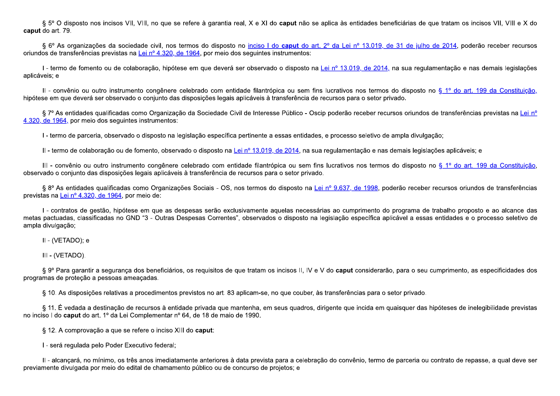§ 5° O disposto nos incisos VII, VIII, no que se refere à garantia real, X e XI do caput não se aplica às entidades beneficiárias de que tratam os incisos VII, VIII e X do caput do art. 79.

§ 6º As organizações da sociedade civil, nos termos do disposto no inciso I do caput do art. 2º da Lei nº 13.019, de 31 de julho de 2014, poderão receber recursos oriundos de transferências previstas na Lei nº 4.320, de 1964, por meio dos seguintes instrumentos:

I - termo de fomento ou de colaboração, hipótese em que deverá ser observado o disposto na Lei nº 13.019, de 2014, na sua regulamentação e nas demais legislações aplicáveis; e

Il - convênio ou outro instrumento congênere celebrado com entidade filantrópica ou sem fins lucrativos nos termos do disposto no § 1º do art. 199 da Constituição, hipótese em que deverá ser observado o conjunto das disposições legais aplicáveis à transferência de recursos para o setor privado.

§ 7º As entidades qualificadas como Organização da Sociedade Civil de Interesse Público - Oscip poderão receber recursos oriundos de transferências previstas na Lei nº 4.320, de 1964, por meio dos seguintes instrumentos:

I - termo de parceria, observado o disposto na legislação específica pertinente a essas entidades, e processo seletivo de ampla divulgação;

II - termo de colaboração ou de fomento, observado o disposto na Lei nº 13.019, de 2014, na sua regulamentação e nas demais legislações aplicáveis; e

III - convênio ou outro instrumento congênere celebrado com entidade filantrópica ou sem fins lucrativos nos termos do disposto no § 1º do art. 199 da Constituição, observado o conjunto das disposições legais aplicáveis à transferência de recursos para o setor privado.

§ 8º As entidades qualificadas como Organizações Sociais - OS, nos termos do disposto na Lei nº 9.637, de 1998, poderão receber recursos oriundos de transferências previstas na Lei nº 4.320, de 1964, por meio de:

I - contratos de gestão, hipótese em que as despesas serão exclusivamente aquelas necessárias ao cumprimento do programa de trabalho proposto e ao alcance das metas pactuadas, classificadas no GND "3 - Outras Despesas Correntes", observados o disposto na legislação específica aplicável a essas entidades e o processo seletivo de ampla divulgação;

II - (VETADO); e

III - (VETADO).

§ 9º Para garantir a seguranca dos beneficiários, os reguisitos de que tratam os incisos II, IV e V do caput considerarão, para o seu cumprimento, as especificidades dos programas de proteção a pessoas ameaçadas.

§ 10. As disposições relativas a procedimentos previstos no art. 83 aplicam-se, no que couber, às transferências para o setor privado.

§ 11. É vedada a destinação de recursos à entidade privada que mantenha, em seus quadros, dirigente que incida em quaisquer das hipóteses de inelegibilidade previstas no inciso I do caput do art. 1º da Lei Complementar nº 64, de 18 de maio de 1990.

§ 12. A comprovação a que se refere o inciso XIII do caput:

I - será regulada pelo Poder Executivo federal;

II - alcancará, no mínimo, os três anos imediatamente anteriores à data prevista para a celebração do convênio, termo de parceria ou contrato de repasse, a qual deve ser previamente divulgada por meio do edital de chamamento público ou de concurso de projetos; e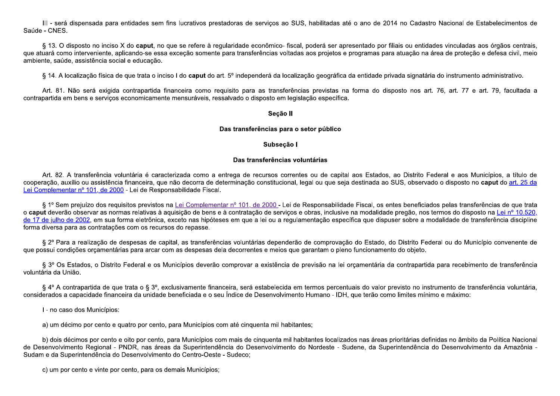III - será dispensada par<br>
Saúde - CNES.<br>
§ 13. O disposto no incis<br>
que atuará como interveniente,<br>
ambiente, saúde, assistência sc<br>
§ 14. A localização física III - será dispensada para entidades<br>Saúde - CNES.<br>§ 13. O disposto no inciso X do capu<br>que atuará como interveniente, aplicando-se<br>ambiente, saúde, assistência social e educa<br>§ 14. A localização física de que trata III - será dispensada para entidades sem fins lucr<br>Saúde - CNES.<br>§ 13. O disposto no inciso X do **caput**, no que se i<br>que atuará como interveniente, aplicando-se essa exceçã<br>ambiente, saúde, assistência social e educação.<br> á dispensada para entidades sem fins lucrativos prestado<br>
S.<br>
J disposto no inciso X do **caput**, no que se refere à regularimo interveniente, aplicando-se essa exceção somente para<br>
Ide, assistência social e educação.<br>
loc para entidades sem fins lucrativos prestadoras de serviços ao SUS, habilitadas até o ano de 2014 no Cadas<br>ciso X do **caput**, no que se refere à regularidade econômico- fiscal, poderá ser apresentado por filiais ou entid<br>e, S, habilitadas até o ano de 2014 no Cadastro Nacional<br>poderá ser apresentado por filiais ou entidades vincula<br>a aos projetos e programas para atuação na área de proto<br>ação geográfica da entidade privada signatária do instr até o ano de 2014 no Cadastro Nacional de Estabeleciment<br>apresentado por filiais ou entidades vinculadas aos órgãos ce<br>s e programas para atuação na área de proteção e defesa civil<br>ica da entidade privada signatária do ins 4 no Cadastro Nacional de Estabelecimentos de<br>
iais ou entidades vinculadas aos órgãos centrais,<br>
atuação na área de proteção e defesa civil, meio<br>
rada signatária do instrumento administrativo. III - será dispensada para entidades sem fins lucrativos prestadoras de serviços ao SUS, habilitadas até o ano de 2014 no Cadastro Nacional de Estabelecimentos de<br>Saúde - CNES.<br>Saúde - CNES.<br>Saúde - CNES.<br>Saúde - CNES - Sa III - será dispensada para entidades se<br>
Saúde - CNES.<br>
§ 13. O disposto no inciso X do **caput**,<br>
que atuará como interveniente, aplicando-se e<br>
ambiente, saúde, assistência social e educaçã<br>
§ 14. A localização física de III - será dispensada para entidades sem f<br>
úde - CNES.<br>
§ 13. O disposto no inciso X do **caput**, no de atuará como interveniente, aplicando-se essa<br>
biente, saúde, assistência social e educação.<br>
§ 14. A localização físic III - será dispensada para entidades sem fins lucrativos presi<br>
- CNES.<br>
§ 13. O disposto no inciso X do **caput**, no que se refere à reguará como interveniente, aplicando-se essa exceção somente<br>
nte, saúde, assistência so da para entidades sem fins lucrativos prestadoras de serviços ao SUS, habilitade inciso X do **caput**, no que se refere à regularidade econômico- fiscal, poderá<br>iente, aplicando-se essa exceção somente para transferências v os prestadoras de serviços ao SUS, habilitadas at<br>re à regularidade econômico- fiscal, poderá ser apromente para transferências voltadas aos projetos e<br>ut do art. 5º independerá da localização geográfica<br>omo requisito para stadoras de serviços ao SUS, habilitadas até o ano de 2014 no Cada<br>gularidade econômico- fiscal, poderá ser apresentado por filiais ou entre para transferências voltadas aos projetos e programas para atuação r<br>rt. 5º indep JS, habilitadas até o ano de 2014 no Cadastro Nacional de Es<br>al, poderá ser apresentado por filiais ou entidades vinculadas ao<br>as aos projetos e programas para atuação na área de proteção<br>zação geográfica da entidade priva ano de 2014 no Cadastro Nacional de Estabelecime<br>entado por filiais ou entidades vinculadas aos órgãos do se defesa civentidade privada signatária do instrumento administration<br>entidade privada signatária do instrumento ad 014 no Cadastro Nacional de Estabelecimentos de<br>filiais ou entidades vinculadas aos órgãos centrais,<br>ra atuação na área de proteção e defesa civil, meio<br>rivada signatária do instrumento administrativo.<br>sposto nos art. 76, III - será dispensada para entidades sem fins lucrativos prestadoras de serviços ao SUS, habilitadas até o ano de 2014 no Cadastro Nacional de Estabelecimentos de<br>Saúde - CNES.<br>(a Saúde - CNES Altangua de Saúde a conservad III - será dispensada para entidades se<br>
Saúde - CNES.<br>
§ 13. O disposto no inciso X do **caput**, r<br>
que atuará como interveniente, aplicando-se es<br>
ambiente, saúde, assistência social e educação<br>
§ 14. A localização física III - será dispensada para entidades sem t<br>
úde - CNES.<br>
§ 13. O disposto no inciso X do **caput**, no estuará como interveniente, aplicando-se essa<br>
biente, saúde, assistência social e educação.<br>
§ 14. A localização física III - será dispensada para entidades sem fins lucrativeles de CNES.<br>Se 13. O disposto no inciso X do **caput**, no que se referente da como interveniente, aplicando-se essa exceção se esta, saúde, assistência social e educaç dispensada para entidades sem fins lucrativos<br>sposto no inciso X do **caput**, no que se refere<br>o interveniente, aplicando-se essa exceção som<br>, assistência social e educação.<br>calização física de que trata o inciso I do **cap** pensada para entidades sem fins lucrativos prestadoras de serviço<br>3230 no inciso X do **caput**, no que se refere à regularidade econômic<br>1232 derveniente, aplicando-se essa exceção somente para transferências<br>3235 sistência sem fins lucrativos prestadoras de serviços ao SUS, les essa exceção somente para transferências voltadas a gão.<br>
o inciso I do **caput** do art. 5º independerá da localização.<br>
o inciso I do **caput** do art. 5º independerá d crativos prestadoras de serviços ao SUS, habilita<br>e refere à regularidade econômico- fiscal, poderá<br>ção somente para transferências voltadas aos pro<br>o caput do art. 5º independerá da localização geo<br>eira como requisito par s prestadoras de serviços ao SUS, habilitadas até o ano de 2014 no Cadastro Nacional de Esta<br>
e à regularidade econômico- fiscal, poderá ser apresentado por filiais ou entidades vinculadas aos<br>
mente para transferências vo III - será dispensada para entidades sem fins lucrativos prestadoras de serviços ao SUS, habilitadas até o ano de 2014 no Cadastro Nacional de Estabelecimentos de<br>
2016 - CNES.<br>
2016 - ST. O disposto no inciso X do **caput** III - será dispensada para entidades ser<br>
Saúde - CNES.<br>
§ 13. O disposto no inciso X do **caput**, no<br>
que atuará como interveniente, aplicando-se es<br>
ambiente, saúde, assistência social e educação<br>
§ 14. A localização físi III - será dispensada para entidades sem fins lucrativos presta<br>
Saúde - CNES.<br>
§ 13. O disposto no inciso X do **caput**, no que se refere à regu<br>
que atuará como interveniente, aplicando-se essa exceção somente p<br>
ambiente da para entidades sem fins lucrativos prestadoras de serviços ao SUS<br>
2 inciso X do **caput**, no que se refere à regularidade econômico- fiscal<br>
iente, aplicando-se essa exceção somente para transferências voltadas<br>
cia soc lucrativos prestadoras de serviços ao SUS, hab<br>
es e refere à regularidade econômico- fiscal, pode<br>
ceção somente para transferências voltadas aos p<br>
I do caput do art. 5º independerá da localização g<br>
noeira como requisit tivos prestadoras de serviços ao SUS, habilitadas até o ano de 2014 no Cada<br>
fere à regularidade econômico- fiscal, poderá ser apresentado por filiais ou enti-<br>
somente para transferências voltadas aos projetos e programas S, habilitadas até o ano de 2014 no Cadastro Nacional de E<br>I, poderá ser apresentado por filiais ou entidades vinculadas a<br>Is aos projetos e programas para atuação na área de proteção<br>Iação geográfica da entidade privada s o ano de 2014 no Cadastro Nacional de Estabelecime<br>sentado por filiais ou entidades vinculadas aos órgãos<br>ogramas para atuação na área de proteção e defesa c<br>a entidade privada signatária do instrumento administratiorma do 014 no Cadastro Nacional de Estabelecimentos de<br>filiais ou entidades vinculadas aos órgãos centrais<br>ara atuação na área de proteção e defesa civil, meio<br>privada signatária do instrumento administrativo.<br>isposto nos art. 76 Cadastro Nacional de Estabelecimentos de<br>
u entidades vinculadas aos órgãos centrais,<br>
ção na área de proteção e defesa civil, meio<br>
ignatária do instrumento administrativo.<br>
nos art. 76, art. 77 e art. 79, facultada a III - será dispensada para entidades sem fins lucrativos prestadoras de serviços ao SUS, habilitadas até o ano de 2014 no Cadastro Nacional de Estabelecimentos de Saúde - CNES.<br>
Si 1.0 disposto no inciso X do **caput**, no q disposto no inciso X do **caput**, no que se refere à regular<br>o interveniente, aplicando-se essa exceção somente par<br>e, assistência social e educação.<br>ocalização física de que trata o inciso I do **caput** do art. 5<sup>1</sup><br>Não ser nciso X do **caput**, no que se refere à regularidate, aplicando-se essa exceção somente para tos dias e educação.<br>
Secial e educação.<br>
Cica de que trata o inciso I do **caput** do art. 5º ir<br>
digida contrapartida financeira c So X do caput, no que se refere à regularidade econômico- fiscal, poderá ser aplicando-se essa exceção somente para transferências voltadas aos projetos ocial e educação.<br>
de que trata o inciso I do caput do art. 5º indepe egularidade econômico- fiscal, poderá ser aprese<br>te para transferências voltadas aos projetos e pro<br>art. 5º independerá da localização geográfica da e<br>requisito para as transferências previstas na for<br>essalvado o disposto idade econômico- fiscal, poderá ser apresentado por filiais de transferências voltadas aos projetos e programas para atua<br>
<sup>9</sup> independerá da localização geográfica da entidade privada<br>
ito para as transferências previstas o- fiscal, poderá ser apresentado por filiais ou entidades vinculadas<br>voltadas aos projetos e programas para atuação na área de proteçã<br>localização geográfica da entidade privada signatária do instrumen<br>sferências prevista Saúde - CNES.<br>
sposts no inciso X do caput, no que se refere à regularidade econômico- fiscal, poderá ser apresentado por filiais ou entidades vinculadas aos órgãos centrais,<br>
specialização fisica de caputato essa exceção § 13. O disposto no inciso X do cap<br>que atuará como interveniente, aplicando-s<br>ambiente, saúde, assistência social e educ<br>§ 14. A localização física de que trat<br>Art. 81. Não será exigida contrapa<br>contrapartida em bens e se § 13. O disposto no inciso X do **caput**, no que se ref<br>que atuará como interveniente, aplicando-se essa exceção s<br>ambiente, saúde, assistência social e educação.<br>§ 14. A localização física de que trata o inciso I do **ca**<br>A isposto no inciso X do **caput**, no que se refere à regu<br>
interveniente, aplicando-se essa exceção somente p<br>
e, assistência social e educação.<br>
calização física de que trata o inciso I do **caput** do art.<br>
Não será exigida inciso X do caput, no que se refere à regularidad<br>ente, aplicando-se essa exceção somente para traticia social e educação.<br>física de que trata o inciso I do caput do art. 5º inde<br>exigida contrapartida financeira como requi

 $\S$  13. O dispecto no inciso X do caput, no que se refere à regularidade econômico- fiscal, poderá ser apresentado por filiais ou<br>que abusta cono interveniente, aplicando-se essa exceção somente para transferências volt Art. 82. A transferência voluntária é cara<br>cooperação, auxílio ou assistência financeira, que<br>Lei Complementar nº 101, de 2000</u> - Lei de Resp<br>§ <sup>1º</sup> Sem prejuízo dos requisitos previstos<br>o **caput** deverão observar as norma Art. 82. A transferência voluntária é caracterizada<br>eração, auxílio ou assistência financeira, que não deo<br><u>omplementar nº 101, de 2000</u> - Lei de Responsabilida<br>§ 1º Sem prejuízo dos requisitos previstos na <u>Lei Cout</u><br>dev Seção<br>
Das transferências pa<br>
Subseç<br>
Das transferências pa<br>
Subseç<br>
Das transferências pa<br>
Subseç<br>
Das transferências pa<br>
Subseç<br>
Das transferências pa<br>
Subseç<br>
Das transferências pa<br>
xuxílio ou assistência financeira, qu Seção II<br>
Das transferências para o setor público<br>
Subseção I<br>
Das transferências voluntárias<br>
acterizada como a entrega de recursos correntes ou de capital ao:<br>
ue não decorra de determinação constitucional, legal ou que Seção II<br>
Subseção I<br>
Das transferências voluntárias<br>
ga de recursos correntes ou de capital aos Estados, ao Distrito Federal e aos Municípios, a título de<br>
sinação constitucional, legal ou que seja destinada ao SUS, obser Segao II<br>
Bas transferências para o setor público<br>
Subseção I<br>
Das transferências voluntárias<br>
Art. 82. A transferência voluntária é caracterizada como a entrega de recursos correntes ou de capital aos Estados, ao Distrito El 82. A transferência voluntária é caracterizada<br>ão, auxílio ou assistência financeira, que não decomportar nº 101, de 2000 - Lei de Responsabilida<br>lº Sem prejuízo dos requisitos previstos na <u>Lei Co</u><br>leverão observar as A transferência voluntária é caracterizada co<br>uxílio ou assistência financeira, que não decorrentar nº 101, de 2000 - Lei de Responsabilidade<br>n prejuízo dos requisitos previstos na <u>Lei Com</u><br>io observar as normas relativas **Das de Casas de Casas de Casas de Casas de Casas de Casas de Seine**<br>
de Casas de Casas de Casas de Casas de Casas de Casas de Casas de Casas de Casas de Casas de Casas de Casas de Casas de Casas de Casas de Casas de Casas **Das transferências para o s<br>
Subseção I<br>
Das transferências vol<br>
2000 - Lei de Responsabilidade Fiscal.<br>
Para financeira, que não decorra de determinação constitucional, la<br>
2000 - Lei de Responsabilidade Fiscal.<br>
Prequis** Das transferências para o setor públicas para o setor públicas estas de la para a setor públicas de la para de recursos correntes ou de la decorra de determinação constitucional, legal ou quabilidade Fiscal.<br>Lei Complement Das transferências para o setor público<br>
Subseção I<br>
Das transferências voluntárias<br>
mo a entrega de recursos correntes ou de capital<br>
a de determinação constitucional, legal ou que seja<br>
Fiscal.<br>
llementar nº 101, de 200 s transferências para o setor público<br>
Subseção I<br>
Das transferências voluntárias<br>
trega de recursos correntes ou de capital aos Estados, ao Distrito F<br>
rminação constitucional, legal ou que seja destinada ao SUS, observa **antárias**<br>
so u de capital aos Estados, ao Distrito Federal e aos Municípios, a título de<br>
gal ou que seja destinada ao SUS, observado o disposto no **caput** do <u>art. 25 da</u><br>
Responsabilidade Fiscal, os entes beneficiados **Das transferências para o setor público**<br> **Das transferências voluntárias**<br>
Art. 82. A transferência voluntária é caracterízada como a entrega de recursos conentes ou de capital aos Estados, ao Distrito Federal e aos Muni Art. 82. A transferência voluntária<br>cooperação, auxílio ou assistência finance<br>Lei Complementar nº 101, de 2000</u> - Lei d<br>§ 1º Sem prejuízo dos requisitos procentar de seguisor<br>o caput deverão observar as normas rela<br>de 17 Art. 82. A transferência voluntária é caracterizada<br>cooperação, auxílio ou assistência financeira, que não de<br>Lei Complementar nº 101, de 2000</u> - Lei de Responsabilid:<br> $\S$  1º Sem prejuízo dos requisitos previstos na Lei C **Das**<br>
Das<br>
A transferência voluntária é caracterizada como a entre<br>
auxílio ou assistência financeira, que não decorra de deterr<br>
<u>priar nº 101, de 2000</u> - Lei de Responsabilidade Fiscal.<br>
m prejuízo dos requisitos previs Das transferências p.<br>
Subset<br>
Subset<br>
Subset<br>
Subset<br>
Das transferência<br>
Conperação, auxílio ou assistência financeira, que não decorra de determinação constituci<br>
<u>Lei Complementar nº 101, de 2000</u> - Lei de Responsabilid **Subse**<br>
Das transferênc<br>
cia voluntária é caracterizada como a entrega de recursos e<br>
tência financeira, que não decorra de determinação constituc<br>
<u>e 2000</u> - Lei de Responsabilidade Fiscal.<br>
s requisitos previstos na <u>Le</u> **Subseção**<br>
Das transferências<br>
aracterizada como a entrega de recursos corre<br>
que não decorra de determinação constituciona<br>
sponsabilidade Fiscal.<br>
tos na <u>Lei Complementar nº 101, de 2000</u> - Lei c<br>
à aquisição de bens e Subseção I<br>Das transferências voluntárias<br>erizada como a entrega de recursos correntes ou de capir<br>não decorra de determinação constitucional, legal ou que se<br>nsabilidade Fiscal.<br>a Lei Complementar nº 101, de 2000 - Lei de Subseção I<br>Das transferências voluntárias<br>entrega de recursos correntes ou de capital aos Estado<br>determinação constitucional, legal ou que seja destinada and.<br>antar nº 101, de 2000 - Lei de Responsabilidade Fiscal, os<br>e à **Subseção I**<br> **sferências voluntárias**<br>
cursos correntes ou de capital aos Estados, ao Distrito Federal e<br>
onstitucional, legal ou que seja destinada ao SUS, observado o dis<br>
<u>2000</u> - Lei de Responsabilidade Fiscal, os ent capital aos Estados, ao Distrito Federal e aos M<br>ue seja destinada ao SUS, observado o disposto n<br>abilidade Fiscal, os entes beneficiados pelas transf<br>nclusive na modalidade pregão, nos termos do dispo<br>o específica que dis aos Estados, ao Distrito Federal e aos Municípios, a título destinada ao SUS, observado o disposto no **caput** do <u>art. 25 de</u><br>le Fiscal, os entes beneficiados pelas transferências de que tra<br>na modalidade pregão, nos termo Distrito Federal e aos Municípios, a título de<br>observado o disposto no **caput** do <u>art. 25 da</u><br>peneficiados pelas transferências de que trata<br>gão, nos termos do disposto na <u>Lei nº 10.520,</u><br>obre a modalidade de transferênc Subseção |<br>
Das transferências voluntárias<br>
Das transferências voluntárias<br>
Das transferências voluntárias<br>
Complementar nº 101, de 2002 - Lei de Responsabilidade Fiscal, as experimentar nº 101 de 2000 - Lei de Responsab **Das transferência voluntária é caracterizada como a entrega de recurso<br>
5 cão, auxílio ou assistência financeira, que não decorra de determinação consti<br>
<u>plementar nº 101, de 2000</u> - Lei de Responsabilidade Fiscal.<br>
1º S Das transferências vo**<br>
e caracterizada como a entrega de recursos correnta, que não decorra de determinação constitucional,<br>
Responsabilidade Fiscal.<br>
vistos na <u>Lei Complementar nº 101, de 2000</u> - Lei de<br>
vas à aquisiç **Das transferências voluntárias**<br>
izada como a entrega de recursos correntes ou de capital aos Estados,<br>
ão decorra de determinação constitucional, legal ou que seja destinada ao<br>
abilidade Fiscal.<br>
Lei Complementar nº 101 ferências voluntárias<br>ursos correntes ou de capital aos Estados, ao Disti<br>nstitucional, legal ou que seja destinada ao SUS, ob<br><u>2000</u> - Lei de Responsabilidade Fiscal, os entes bende<br>serviços e obras, inclusive na modalida s voluntárias<br>ventes ou de capital aos Estados, ao Distrito Federal e aos Mun<br>al, legal ou que seja destinada ao SUS, observado o disposto no c<br>i de Responsabilidade Fiscal, os entes beneficiados pelas transferê<br>os e obras bos Estados, ao Distrito Federal e aos Municípios, a título de<br>stinada ao SUS, observado o disposto no **caput** do <u>art. 25 da</u><br>Fiscal, os entes beneficiados pelas transferências de que trata<br>modalidade pregão, nos termos d Federal e aos Municípios, a título de<br>vado o disposto no **caput** do <u>art. 25 da</u><br>ados pelas transferências de que trata<br>s termos do disposto na <u>Lei nº 10.520,</u><br>modalidade de transferência discipline<br>ederal ou do Município **Das transferências voluntárias**<br>
Art. 82. A transferência voluntária é caracterizada como a entrega de recursos correntes ou de capital aos Estados, ao Distrito Federal e aos Municípios, a título de<br>
Lei Complementar nº 1 **Das transponsion de la composition de la construcción de la constantinación de la constitución de assistência financeira, que não decorra de determinação de la construção de 2000 - Lei de Responsabilidade Fiscal.<br>
o dos r Das transferências voluntárias**<br>
taria é caracterizada como a entrega de recursos correntes ou de capital aos Est<br>
inanceira, que não decorra de determinação constitucional, legal ou que seja destinad<br>
Lei de Responsabili ransferências voluntárias<br>
recursos correntes ou de capital aos Estados, ao Distrito Federal e aos Municípios, a título de<br>
sio constitucional, legal ou que seja destinada ao SUS, observado o disposto no caput do <u>art. 25 </u> ito Federal e aos Municípios, a título de<br>servado o disposto no **caput** do <u>art. 25 da</u><br>fíciados pelas transferências de que trata<br>nos termos do disposto na <u>Lei nº 10.520,</u><br>e a modalidade de transferência discipline<br>De F deral e aos Municípios, a título de<br>o o disposto no **caput** do <u>art. 25 da</u><br>os pelas transferências de que trata<br>ermos do disposto na <u>Lei nº 10.520,</u><br>dalidade de transferência discipline<br>ral ou do Município convenente de<br> **Das transferências voluntárias**<br> **Das transferências voluntárias**<br>
cooperação, auxílio ou assistência financeira, que não decorra de determinação constitucional, legal ou que seja destinada ao SUS, observado o disposto no Art. 82. A transferência voluntária é caracterizada como a entrega de recurso<br>cooperação, auxílio ou assistência financeira, que não decorra de determinação consti<br>Lei Complementar nº 101, de 2000</u> - Lei de Responsabilidad nceira, que não decorra de determinação constitude de Responsabilidade Fiscal.<br>
previstos na <u>Lei Complementar nº 101, de 2000 -</u><br>
lativas à aquisição de bens e à contratação de seletrônica, exceto nas hipóteses em que a l que não decorra de determinação constitucional, lega<br>esponsabilidade Fiscal.<br>tos na <u>Lei Complementar nº 101, de 2000</u> - Lei de Re<br>s à aquisição de bens e à contratação de serviços e ob<br>ica, exceto nas hipóteses em que a l decorra de determinação constitucional, legal ou que sejindade Fiscal.<br>
Complementar nº 101, de 2000 - Lei de Responsabilidade bens e à contratação de serviços e obras, inclusiva<br>
Do nas hipóteses em que a lei ou a regulam sterminação constitucional, legal ou que seja destinada ao SUS, observado o disposto no caput do <u>art. 25 da</u><br>
dar nº 101, de 2000 - Lei de Responsabilidade Fiscal, os entes beneficiados pelas transferências de que trata<br> bservado o disposto no **caput** do <u>art. 25 da</u><br>neficiados pelas transferências de que trata<br>o, nos termos do disposto na <u>Lei nº 10.520,</u><br>pre a modalidade de transferência discipline<br>ito Federal ou do Município convenente o disposto no **caput** do <u>art. 25 da</u><br>pelas transferências de que trata<br>mos do disposto na <u>Lei nº 10.520,</u><br>alidade de transferência discipline<br>al ou do Município convenente de<br>ara recebimento de transferência<br>mento de tra isposto no **caput** do <u>art. 25 da</u><br>as transferências de que trata<br>i do disposto na <u>Lei nº 10.520,</u><br>ade de transferência discipline<br>u do Município convenente de<br>recebimento de transferência<br>to de transferência voluntária,<br> cooperação, auxilio ou assistência financeira, que não decorra de deferminação constitucional, legal ou que seja destinada ao SUS, observado o disposto no **caput** do <u>art. 25 da</u><br>
Lei Complementar nº 101, de 2000 - Lei de Lei Complementar nº 101, de 2000 - Lei de Respons<br>
§ 1º Sem prejuízo dos requisitos previstos na<br> **o caput** deverão observar as normas relativas à aque de 17 de julho de 2002, em sua forma eletrônica, ex<br>
forma diversa pa plementar nº 101, de 2000 - Lei de Responsabilidade Fiscal.<br>1º Sem prejuízo dos requisitos previstos na <u>Lei Complementar nº 101, de 2000</u> - Lei de Responsabilidade Fiscal.<br>1º Sem prejuízo dos requisitos previstos na <u>Lei </u> lade Fiscal.<br>
<u>Complementar nº 101, de 2000</u> - Lei de Responsabilidade Fiscal, complementar nº 101, de 2000 - Lei de Responsabilidade Fiscal, compressor de bens e à contratação de serviços e obras, inclusive na modalinas h de 2000 - Lei de Responsabilidade Fiscal, os entes be<br>ção de serviços e obras, inclusive na modalidade pregá<br>a lei ou a regulamentação específica que dispuser so<br>irias dependerão de comprovação do Estado, do Dist<br>tes e mei Lei de Responsabilidade Fiscal, os entes benefic<br>viços e obras, inclusive na modalidade pregão, no<br>regulamentação específica que dispuser sobre a<br>nderão de comprovação do Estado, do Distrito F<br>s que garantam o pleno funcio e Responsabilidade Fiscal, os entes beneficiade<br>
e obras, inclusive na modalidade pregão, nos te<br>
amentação específica que dispuser sobre a mo<br>
o de comprovação do Estado, do Distrito Fede<br>
e garantam o pleno funcionamento sponsabilidade Fiscal, os entes beneficiados pela<br>pras, inclusive na modalidade pregão, nos termos<br>entação específica que dispuser sobre a modalida<br>e comprovação do Estado, do Distrito Federal ou<br>rantam o pleno funcionamen Lei Complementar nº 101, de 2000 - Lei de Responsabilidade Fiscal.<br>
Signe prejeitzo dos requisitos previstos na Lei Complementar nº 101, de 2000 - Lei de Responsabilidade Fiscal, os entes beneficiados pelas transferênce<br>
o equisitos previstos na Lei Complementar nº 101, de 2000 - Lei de Responsabilidormas relativas à aquisição de bens e à contratação de serviços e obras, inclusiva ia forma eletrônica, exceto nas hipóteses em que a lei ou a r mtar nº 101, de 2000 - Lei de Responsabilidade Fiscal, os en<br>e à contratação de serviços e obras, inclusive na modalidade<br>sses em que a lei ou a regulamentação específica que dispus<br>ncias voluntárias dependerão de comprova 000 - Lei de Responsabilidade Fiscal, os entes beneficiade e serviços e obras, inclusive na modalidade pregão, nos tou a regulamentação específica que dispuser sobre a modependerão de comprovação do Estado, do Distrito Fed esponsabilidade Fiscal, os entes beneficiados pelas trar<br>bras, inclusive na modalidade pregão, nos termos do dis<br>entação específica que dispuser sobre a modalidade de<br>e comprovação do Estado, do Distrito Federal ou do M<br>ra lade Fiscal, os entes beneficiados pelas transferências de que trata<br>ve na modalidade pregão, nos termos do disposto na <u>Lei nº 10.520,</u><br>ecífica que dispuser sobre a modalidade de transferência discipline<br>ção do Estado, do ficiados pelas transferências de que trata<br>nos termos do disposto na <u>Lei nº 10.520,</u><br>e a modalidade de transferência discipline<br>o Federal ou do Município convenente de<br>eto.<br>artida para recebimento de transferência<br>o instr elas transferências de que trata<br>os do disposto na <u>Lei nº 10.520,</u><br>dade de transferência discipline<br>ou do Município convenente de<br>a recebimento de transferência<br>nto de transferência voluntária,<br>máximo: S 1º Sem prejuico dos requisitios previstos na <u>Lei Complementar nº</u> 101, de 2002. Lei de Responsabilidade Fiscal, os enters beneficiadade in the semelonial developed a present and the main statement of the semelon of the o caput deverão observar as normas<br>
<u>de 17 de julho de 2002</u>, em sua forma<br>
forma diversa para as contratações co<br>  $\S 2^{\circ}$  Para a realização de desp<br>
que possui condições orçamentárias p<br>  $\S 3^{\circ}$  Os Estados, o Distrit o caput deverão observar as normas relate de 17 de julho de 2002, em sua forma ele<br>forma diversa para as contratações com o  $\S 2^{\circ}$  Para a realização de despesa<br>que possui condições orçamentárias para<br> $\S 3^{\circ}$  Os Estad

forma diversa para as contratações com os recursos do repasse.<br>
§ 2º Para a realização de despesas de capital, as transferências voluntária<br>
que possui condições orçamentárias para arcar com as despesas dela decorrentes<br>
§ m os recursos do repasse.<br>
sas de capital, as transferências voluntárias de<br>
ara arcar com as despesas dela decorrentes e me<br>
eral e os Municípios deverão comprovar a existá<br>
a o § 3º, exclusivamente financeira, será estab recursos do repasse.<br>
de capital, as transferências voluntárias deper<br>
car com as despesas dela decorrentes e meio<br>
e os Municípios deverão comprovar a existênc<br>
3º, exclusivamente financeira, será estabeleci<br>
idade benefi capital, as transferências voluntárias dependerão de comprovação do Estado, do Dis<br>ir com as despesas dela decorrentes e meios que garantam o pleno funcionamento do<br>s Municípios deverão comprovar a existência de previsão n nderão de comprovação do Estado, do Distrito Federal ou do Munios que garantam o pleno funcionamento do objeto.<br>Cia de previsão na lei orçamentária da contrapartida para recebime<br>cida em termos percentuais do valor previst o do Estado, do Distrito Federal ou do Municípi<br>funcionamento do objeto.<br>rçamentária da contrapartida para recebimento<br>ais do valor previsto no instrumento de transfer<br>que terão como limites mínimo e máximo:<br>os nas áreas p Estado, do Distrito Federal ou do Município conve<br>cionamento do objeto.<br>nentária da contrapartida para recebimento de trans<br>do valor previsto no instrumento de transferência v<br>terão como limites mínimo e máximo:<br>as áreas p do Distrito Federal ou do Município convenente de<br>ento do objeto.<br>da contrapartida para recebimento de transferência<br>previsto no instrumento de transferência voluntária,<br>mo limites mínimo e máximo:<br>s prioritárias definidas to Federal ou do Município convenente de<br>jeto.<br>partida para recebimento de transferência<br>no instrumento de transferência voluntária,<br>s mínimo e máximo:<br>as definidas no âmbito da Política Nacional<br>ência do Desenvolvimento d eral ou do Município convenente de<br>a para recebimento de transferência<br>rumento de transferência voluntária,<br>no e máximo:<br>nidas no âmbito da Política Nacional<br>do Desenvolvimento da Amazônia forma diversa para as contratações com os recursos do repasse.<br>
§ 2º Para a realização de despesas de capital, as transferências voluntárias dependerão de comprovação do Estado, do Distrito Federal ou do Município convene  $\S 2^{\circ}$  Para a realização de despesas de capit<br>que possui condições orçamentárias para arcar con<br> $\S 3^{\circ}$  Os Estados, o Distrito Federal e os Mu<br>voluntária da União.<br> $\S 4^{\circ}$  A contrapartida de que trata o  $\S 3^{\circ}$ , 2º Para a realização de despesas de capital,<br>sui condições orçamentárias para arcar com a<br>3º Os Estados, o Distrito Federal e os Munic<br>ia da União.<br>4º A contrapartida de que trata o § 3º, exclus<br>rados a capacidade finance Para a realização de despesas de capital, as transfer<br>
i condições orçamentárias para arcar com as despesas<br>
POS Estados, o Distrito Federal e os Municípios dever<br>
da União.<br>
PA contrapartida de que trata o § 3º, exclusiva alização de despesas de capital, as transferências vo<br>orçamentárias para arcar com as despesas dela deco<br>os, o Distrito Federal e os Municípios deverão compr<br>artida de que trata o § 3º, exclusivamente financeira,<br>idade fin e despesas de capital, as transferências voluntárias depende<br>tárias para arcar com as despesas dela decorrentes e meios q<br>ito Federal e os Municípios deverão comprovar a existência<br>que trata o § 3º, exclusivamente financei pital, as transferências voluntárias dependerão de comprom<br>om as despesas dela decorrentes e meios que garantam o<br>funicípios deverão comprovar a existência de previsão na<br>cclusivamente financeira, será estabelecida em term erências voluntárias dependerão de comprovação de<br>s dela decorrentes e meios que garantam o pleno fu<br>erão comprovar a existência de previsão na lei orça<br>financeira, será estabelecida em termos percentuais<br>o seu Índice de D voluntárias dependerão de comprovação do Estado,<br>ecorrentes e meios que garantam o pleno funcioname<br>provar a existência de previsão na lei orçamentária<br>a, será estabelecida em termos percentuais do valor<br>dice de Desenvolvi s dependerão de comprovação do Estado, do<br>
i e meios que garantam o pleno funcionamento<br>
existência de previsão na lei orçamentária da<br>
tabelecida em termos percentuais do valor pre<br>
senvolvimento Humano - IDH, que terão c dependerão de comprovação do Estado, do Distrito Federal ou do Município<br>meios que garantam o pleno funcionamento do objeto.<br>stência de previsão na lei orçamentária da contrapartida para recebimento<br>pelecida em termos perc S 2" Para a realização de despesas de capital, as transferências voluntárias dependerão de comprovação do Estado, do Distrito Federal ou do Município convenente de pressui condições orçamentárias para arcar com as despesas que possui condições orçament<br>
§ 3º Os Estados, o Distri<br>
voluntária da União.<br>
§ 4º A contrapartida de q<br>
considerados a capacidade fina<br>
1 - no caso dos Município<br>
a) um décimo por cento e<br>
b) dois décimos por cento<br>
de que possui condições orçamentárias para arcar<br>
§ 3º Os Estados, o Distrito Federal e os<br>
voluntária da União.<br>
§ 4º A contrapartida de que trata o § 3º,<br>
considerados a capacidade financeira da unidad<br>
l - no caso dos Muni que possui condições orçamentárias para arcar com as<br>
§ 3º Os Estados, o Distrito Federal e os Municí<br>
voluntária da União.<br>
§ 4º A contrapartida de que trata o § 3º, exclusivonsiderados a capacidade financeira da unidade § 3° Os Estados, o Distrito Federal e os Municípios deverão<br>ária da União.<br>§ 4° A contrapartida de que trata o § 3°, exclusivamente finar<br>derados a capacidade financeira da unidade beneficiada e o se<br>1 - no caso dos Municí o Distrito Federal e os Municípios deverão comprovar a<br>da de que trata o § 3º, exclusivamente financeira, será e<br>de financeira da unidade beneficiada e o seu Índice de D<br>unicípios:<br>cento e quatro por cento, para Municípios deral e os Municípios deverão comprovar a existência de pre<br>ta o § 3º, exclusivamente financeira, será estabelecida em te<br>ta o § 3º, exclusivamente financeira, será estabelecida em te<br>da unidade beneficiada e o seu Índice vios deverão comprovar a existência de previsão<br>amente financeira, será estabelecida em termos<br>iciada e o seu Índice de Desenvolvimento Humar<br>Municípios com até cinquenta mil habitantes;<br>Aunicípios com mais de cinquenta mi leverão comprovar a existência de previsão na lei orçam<br>te financeira, será estabelecida em termos percentuais da e o seu Índice de Desenvolvimento Humano - IDH, que<br>cípios com até cinquenta mil habitantes;<br>fipios com mais Solventiand de União, a Distrito Federal e os Municípios deverão comprovar a existência de previsão na lei orçamenta<br>
Solventiand de Alonião.<br>
Solventiand de que trata o Solventiand de presidente financeira, será estabelec 4º A contrapartida de que trata o § 3º, exclusivamente finar<br>rados a capacidade financeira da unidade beneficiada e o se<br>- no caso dos Municípios:<br>) um décimo por cento e quatro por cento, para Municípios c<br>) dois décimos da de que trata o § 3º, exclusivamente financeira, será vade financeira da unidade beneficiada e o seu Índice de l<br>unicípios:<br>cento e quatro por cento, para Municípios com até cinqu<br>or cento e oito por cento, para Municípi ata o § 3º, exclusivamente financeira, será estabelecida em termos<br>a da unidade beneficiada e o seu Índice de Desenvolvimento Huma<br>tro por cento, para Municípios com até cinquenta mil habitantes;<br>to por cento, para Municíp nte financeira, será estabelecida em termos pero<br>la e o seu Índice de Desenvolvimento Humano - I<br>icípios com até cinquenta mil habitantes;<br>cípios com mais de cinquenta mil habitantes loca<br>rintendência do Desenvolvimento do nanceira, será estabelecida em termos percentuais do variante de Desenvolvimento Humano - IDH, que terão<br>s com até cinquenta mil habitantes;<br>s com mais de cinquenta mil habitantes;<br>s com mais de cinquenta mil habitantes lo á estabelecida em termos percentuais do valor previsto no i<br>e Desenvolvimento Humano - IDH, que terão como limites m<br>quenta mil habitantes;<br>e cinquenta mil habitantes localizados nas áreas prioritárias c<br>lesenvolvimento do m termos percentuais do valor previsto no instrumento de transferên<br>to Humano - IDH, que terão como limites mínimo e máximo:<br>ntes;<br>abitantes localizados nas áreas prioritárias definidas no âmbito da Po<br>do Nordeste - Sudene valor previsto no instrumento de transferência vo<br>ão como limites mínimo e máximo:<br>áreas prioritárias definidas no âmbito da Política M<br>da Superintendência do Desenvolvimento da Am previsto no instrumento de transferência voluntária,<br>mo limites mínimo e máximo:<br>prioritárias definidas no âmbito da Política Nacional<br>perintendência do Desenvolvimento da Amazônia -State A contrapartida de que trata o State and midade beneficiada e o seu Índice de Desenvolvimento Humano - IDH, que terão como limites mínimo e máximo:<br>
1 - no caso dos Municípios:<br>
1 - no caso dos Municípios:<br>
2) dois d  $\S$  4° A contrapartida de que trata<br>considerados a capacidade financeira da<br> $I$  - no caso dos Municípios:<br>a) um décimo por cento e quatro<br>b) dois décimos por cento e oito p<br>de Desenvolvimento Regional - PNDR,<br>Sudam e da S  $\S 4^{\circ}$  A contrapartida de que trata o  $\S 3^{\circ}$ , exconsiderados a capacidade financeira da unidade<br>
1 - no caso dos Municípios:<br>
a) um décimo por cento e quatro por cento,<br>
b) dois décimos por cento e oito por cento,<br> § 4º A contrapartida de que trata o § 3º, exclus<br>lerados a capacidade financeira da unidade ben<br>l - no caso dos Municípios:<br>a) um décimo por cento e quatro por cento, para<br>b) dois décimos por cento e oito por cento, para<br>s <sup>o</sup> A contrapartida de que trata o § 3º, exclusivamente<br>dos a capacidade financeira da unidade beneficiada e<br>no caso dos Municípios:<br>um décimo por cento e quatro por cento, para Municíp<br>dois décimos por cento e oito por c partida de que trata o § 3º, exclusivamente financeira, será esta<br>acidade financeira da unidade beneficiada e o seu Índice de Dese<br>os Municípios:<br>o por cento e quatro por cento, para Municípios com até cinquenta<br>os por cen o § 3º, exclusivamente financeira, será estabel<br>l'unidade beneficiada e o seu Índice de Desenv<br>lor cento, para Municípios com até cinquenta m<br>or cento, para Municípios com mais de cinquen<br>nas áreas da Superintendência do D 3º, exclusivamente financeira, será estabelecicidade beneficiada e o seu Índice de Desenvolvir<br>idade beneficiada e o seu Índice de Desenvolvir<br>cento, para Municípios com até cinquenta mil ha<br>sento, para Municípios com mais exclusivamente financeira, será estabelecida em termos<br>de beneficiada e o seu Índice de Desenvolvimento Human<br>to, para Municípios com até cinquenta mil habitantes;<br>o, para Municípios com mais de cinquenta mil habitantes l<br> te financeira, será estabelecida em termos percentu<br>la e o seu Índice de Desenvolvimento Humano - IDH, que o seu Índice de Desenvolvimento Humano - IDH, que<br>spipios com mais de cinquenta mil habitantes;<br>pipios com mais de eira, será estabelecida em termos percentuais do valor previ<br>Índice de Desenvolvimento Humano - IDH, que terão como lin<br>n até cinquenta mil habitantes;<br>n mais de cinquenta mil habitantes localizados nas áreas prior<br>cia do lecida em termos percentuais do valor previsto no<br>volvimento Humano - IDH, que terão como limites m<br>nil habitantes;<br>nta mil habitantes localizados nas áreas prioritárias<br>vimento do Nordeste - Sudene, da Superintendêno<br>ment em termos percentuais do valor previsto no instrumento d<br>nto Humano - IDH, que terão como limites mínimo e máxir<br>antes;<br>abitantes localizados nas áreas prioritárias definidas no â<br>do Nordeste - Sudene, da Superintendência centuais do valor previsto no instrumento de tr<br>IDH, que terão como limites mínimo e máximo:<br>Ilizados nas áreas prioritárias definidas no âmb<br>- Sudene, da Superintendência do Desenvolv ntuais do valor previsto no instrumento de trans<br>4, que terão como limites mínimo e máximo:<br>ados nas áreas prioritárias definidas no âmbito c<br>sudene, da Superintendência do Desenvolvime is do valor previsto no instrumento de transferência volur<br>ue terão como limites mínimo e máximo:<br>s nas áreas prioritárias definidas no âmbito da Política Na<br>ene, da Superintendência do Desenvolvimento da Amazi evisto no instrumento de transferência voluntária,<br>limites mínimo e máximo:<br>ioritárias definidas no âmbito da Política Nacional<br>intendência do Desenvolvimento da Amazônia -<br>. instrumento de transferência voluntária,<br>nínimo e máximo:<br>definidas no âmbito da Política Nacional<br>cia do Desenvolvimento da Amazônia e transferência voluntária,<br>no:<br>mbito da Política Nacional<br>rolvimento da Amazônia considerados a capacidade financeira da unidade beneficiada e o seu Indice de Desenvolvimento Humano - IDH, que terão como limites mínimo e máximo:<br>
1 - no caso dos Municípios:<br>
a) um décimo por cento e quatro por cento, p considerados a capacidade financeira da unionente da unionente da unionente da Municípios:<br>
a) um décimo por cento e quatro por combo dois décimos por cento e oito por cento de Desenvolvimento Regional - PNDR, nas Sudam e onsiderados a capacidade financeira da unidade<br>
1 - no caso dos Municípios:<br>
a) um décimo por cento e quatro por cento<br>
b) dois décimos por cento e oito por cento<br>
e Desenvolvimento Regional - PNDR, nas áre<br>
udam e da Supe iderados a capacidade financeira da unidade beneficiada<br>
I - no caso dos Municípios:<br>
a) um décimo por cento e quatro por cento, para Munic<br>
b) dois décimos por cento e oito por cento, para Municí<br>
esenvolvimento Regional pacidade financeira da unidade beneficiada e o seu l<br>dos Municípios:<br>mo por cento e quatro por cento, para Municípios com<br>mos por cento e oito por cento, para Municípios com<br>nto Regional - PNDR, nas áreas da Superintendênc e financeira da unidade beneficiada e o seu Indice de l<br>cípios:<br>mto e quatro por cento, para Municípios com até cinqu<br>cento e oito por cento, para Municípios com mais de d<br>por cento - PNDR, nas áreas da Superintendência do a da unidade beneficiada e o seu Indice de Desentidade e o seu Indice de Desentidade e o seu Indice de Desenti<br>to por cento, para Municípios com mais de cinquenta<br>DR, nas áreas da Superintendência do Desentidades<br>senvolvim a unidade beneficiada e o seu Indice de Desenvolvir<br>por cento, para Municípios com até cinquenta mil ha<br>oor cento, para Municípios com mais de cinquenta m<br>nas áreas da Superintendência do Desenvolvime<br>nvolvimento do Centro considerados a capacidade financeira da unidade beneficiada e o seu Indice de Desenvolvimento Hu<br>
1 - no caso dos Municípios:<br>
a) um décimo por cento e quatro por cento, para Municípios com até cinquenta mil habitantes;<br>
b I - no caso dos Municípios:<br>
a) um décimo por cento e quatro por cento<br>
b) dois décimos por cento e oito por cento<br>
de Desenvolvimento Regional - PNDR, nas áre<br>
Sudam e da Superintendência do Desenvolvimer<br>
c) um por cento I - no caso dos Municípios:<br>a) um décimo por cento e quatro por cento, para Mu<br>b) dois décimos por cento e oito por cento, para Mur<br>esenvolvimento Regional - PNDR, nas áreas da Sur<br>m e da Superintendência do Desenvolviment so dos Municípios:<br>scimo por cento e quatro por cento, para Municípios com até cinque<br>lécimos por cento e oito por cento, para Municípios com mais de cir<br>mento Regional - PNDR, nas áreas da Superintendência do Dese<br>perinte o por cento, para Municípios com até cinquenta mil l<br>por cento, para Municípios com mais de cinquenta<br>R, nas áreas da Superintendência do Desenvolvim<br>envolvimento do Centro-Oeste - Sudeco;<br>p, para os demais Municípios;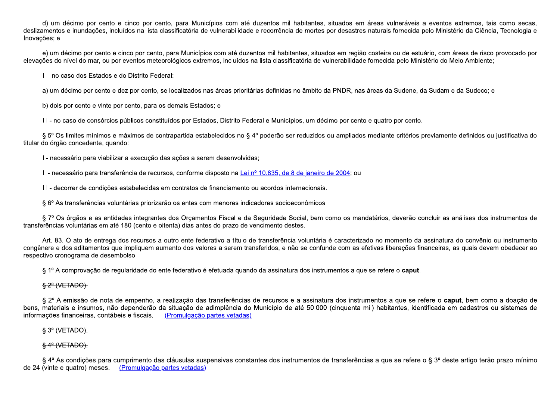d) um décimo por cento e cinco por cento, para Municípios com até duzentos mil habitantes, situados em áreas vulneráveis a eventos extremos, tais como secas, deslizamentos e inundações, incluídos na lista classificatória de vulnerabilidade e recorrência de mortes por desastres naturais fornecida pelo Ministério da Ciência. Tecnologia e Inovações; e

e) um décimo por cento e cinco por cento, para Municípios com até duzentos mil habitantes, situados em região costeira ou de estuário, com áreas de risco provocado por elevações do nível do mar, ou por eventos meteorológicos extremos, incluídos na lista classificatória de vulnerabilidade fornecida pelo Ministério do Meio Ambiente;

II - no caso dos Estados e do Distrito Federal:

a) um décimo por cento e dez por cento, se localizados nas áreas prioritárias definidas no âmbito da PNDR, nas áreas da Sudene, da Sudam e da Sudeco; e

b) dois por cento e vinte por cento, para os demais Estados; e

III - no caso de consórcios públicos constituídos por Estados, Distrito Federal e Municípios, um décimo por cento e quatro por cento.

§ 5° Os limites mínimos e máximos de contrapartida estabelecidos no § 4° poderão ser reduzidos ou ampliados mediante critérios previamente definidos ou justificativa do titular do órgão concedente, quando:

I - necessário para viabilizar a execução das ações a serem desenvolvidas;

II - necessário para transferência de recursos, conforme disposto na Lei nº 10.835, de 8 de janeiro de 2004; ou

III - decorrer de condições estabelecidas em contratos de financiamento ou acordos internacionais.

§ 6° As transferências voluntárias priorizarão os entes com menores indicadores socioeconômicos.

§ 7° Os órgãos e as entidades integrantes dos Orcamentos Fiscal e da Seguridade Social, bem como os mandatários, deverão concluir as análises dos instrumentos de transferências voluntárias em até 180 (cento e oitenta) dias antes do prazo de vencimento destes.

Art. 83. O ato de entrega dos recursos a outro ente federativo a título de transferência voluntária é caracterizado no momento da assinatura do convênio ou instrumento congênere e dos aditamentos que impliquem aumento dos valores a serem transferidos, e não se confunde com as efetivas liberações financeiras, as quais devem obedecer ao respectivo cronograma de desembolso.

§ 1º A comprovação de regularidade do ente federativo é efetuada guando da assinatura dos instrumentos a que se refere o caput.

# \$2<sup>o</sup> (VETADO).

§ 2º A emissão de nota de empenho, a realização das transferências de recursos e a assinatura dos instrumentos a que se refere o caput, bem como a doação de bens, materiais e insumos, não dependerão da situação de adimplência do Município de até 50.000 (cinquenta mil) habitantes, identificada em cadastros ou sistemas de informações financeiras, contábeis e fiscais. (Promulgação partes vetadas)

# $\S 3^{\circ}$  (VETADO).

# $\frac{6}{3}$  4<sup>o</sup> (VETADO).

§ 4º As condições para cumprimento das cláusulas suspensivas constantes dos instrumentos de transferências a que se refere o § 3º deste artigo terão prazo mínimo de 24 (vinte e quatro) meses. (Promulgação partes vetadas)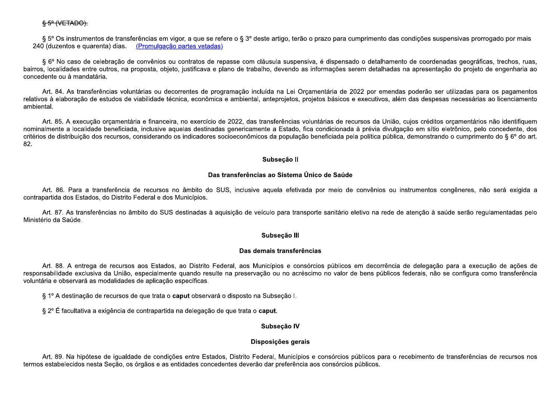§ 5° Os instrumentos de transferências em vigor, a que se refere o § 3° deste artigo, terão o prazo para cumprimento das condições suspensivas prorrogado por mais 240 (duzentos e quarenta) dias. (Promulgação partes vetadas)

§ 6º No caso de celebração de convênios ou contratos de repasse com cláusula suspensiva, é dispensado o detalhamento de coordenadas geográficas, trechos, ruas, bairros, localidades entre outros, na proposta, objeto, justificava e plano de trabalho, devendo as informações serem detalhadas na apresentação do projeto de engenharia ao concedente ou à mandatária.

Art. 84. As transferências voluntárias ou decorrentes de programação incluída na Lei Orcamentária de 2022 por emendas poderão ser utilizadas para os pagamentos relativos à elaboração de estudos de viabilidade técnica, econômica e ambiental, anteprojetos, projetos básicos e executivos, além das despesas necessárias ao licenciamento ambiental

Art. 85. A execução orçamentária e financeira, no exercício de 2022, das transferências voluntárias de recursos da União, cujos créditos orçamentários não identifiquem nominalmente a localidade beneficiada, inclusive aquelas destinadas genericamente a Estado, fica condicionada à prévia divulgação em sítio eletrônico, pelo concedente, dos critérios de distribuição dos recursos, considerando os indicadores socioeconômicos da população beneficiada pela política pública, demonstrando o cumprimento do § 6° do art. 82

### Subseção II

### Das transferências ao Sistema Único de Saúde

Art. 86. Para a transferência de recursos no âmbito do SUS, inclusive aquela efetivada por meio de convênios ou instrumentos congêneres, não será exigida a contrapartida dos Estados, do Distrito Federal e dos Municípios.

Art. 87. As transferências no âmbito do SUS destinadas à aquisição de veículo para transporte sanitário eletivo na rede de atenção à saúde serão regulamentadas pelo Ministério da Saúde.

### Subseção III

#### Das demais transferências

Art. 88. A entrega de recursos aos Estados, ao Distrito Federal, aos Municípios e consórcios públicos em decorrência de delegação para a execução de ações de responsabilidade exclusiva da União, especialmente quando resulte na preservação ou no acréscimo no valor de bens públicos federais, não se configura como transferência voluntária e observará as modalidades de aplicação específicas.

§ 1º A destinação de recursos de que trata o caput observará o disposto na Subseção I.

§ 2º É facultativa a exigência de contrapartida na delegação de que trata o caput.

## Subseção IV

## Disposições gerais

Art. 89. Na hipótese de igualdade de condições entre Estados, Distrito Federal, Municípios e consórcios públicos para o recebimento de transferências de recursos nos termos estabelecidos nesta Secão, os órgãos e as entidades concedentes deverão dar preferência aos consórcios públicos.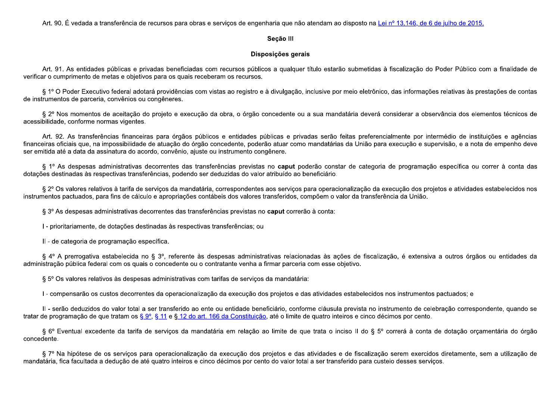Art. 90. É vedada a transferência de recursos para obras e serviços de engenharia que não atendam ao disposto na Lei nº 13.146, de 6 de julho de 2015.

## Seção III

# Disposições gerais

Art. 91. As entidades públicas e privadas beneficiadas com recursos públicos a qualquer título estarão submetidas à fiscalização do Poder Público com a finalidade de verificar o cumprimento de metas e objetivos para os quais receberam os recursos.

§ 1º O Poder Executivo federal adotará providências com vistas ao registro e à divulgação, inclusive por meio eletrônico, das informações relativas às prestações de contas de instrumentos de parceria, convênios ou congêneres.

§ 2º Nos momentos de aceitação do projeto e execução da obra, o órgão concedente ou a sua mandatária deverá considerar a observância dos elementos técnicos de acessibilidade, conforme normas vigentes.

Art. 92. As transferências financeiras para órgãos públicos e entidades públicas e privadas serão feitas preferencialmente por intermédio de instituições e agências financeiras oficiais que, na impossibilidade de atuação do órgão concedente, poderão atuar como mandatárias da União para execução e supervisão, e a nota de empenho deve ser emitida até a data da assinatura do acordo, convênio, aiuste ou instrumento congênere.

§ 1º As despesas administrativas decorrentes das transferências previstas no caput poderão constar de categoria de programação específica ou correr à conta das dotações destinadas às respectivas transferências, podendo ser deduzidas do valor atribuído ao beneficiário.

§ 2º Os valores relativos à tarifa de servicos da mandatária, correspondentes aos servicos para operacionalização da execução dos projetos e atividades estabelecidos nos instrumentos pactuados, para fins de cálculo e apropriações contábeis dos valores transferidos, compõem o valor da transferência da União.

§ 3º As despesas administrativas decorrentes das transferências previstas no caput correrão à conta:

I - prioritariamente, de dotações destinadas às respectivas transferências; ou

II - de categoria de programação específica.

§ 4º A prerrogativa estabelecida no § 3º, referente às despesas administrativas relacionadas às ações de fiscalização, é extensiva a outros órgãos ou entidades da administração pública federal com os quais o concedente ou o contratante venha a firmar parceria com esse objetivo.

§ 5° Os valores relativos às despesas administrativas com tarifas de serviços da mandatária:

I - compensarão os custos decorrentes da operacionalização da execução dos projetos e das atividades estabelecidos nos instrumentos pactuados; e

II - serão deduzidos do valor total a ser transferido ao ente ou entidade beneficiário, conforme cláusula prevista no instrumento de celebração correspondente, quando se tratar de programação de que tratam os § 9°, § 11 e § 12 do art. 166 da Constituição, até o limite de quatro inteiros e cinco décimos por cento.

§ 6º Eventual excedente da tarifa de serviços da mandatária em relação ao limite de que trata o inciso II do § 5º correrá à conta de dotação orçamentária do órgão concedente.

§ 7º Na hipótese de os serviços para operacionalização da execução dos projetos e das atividades e de fiscalização serem exercidos diretamente, sem a utilização de mandatária, fica facultada a deducão de até quatro inteiros e cinco décimos por cento do valor total a ser transferido para custeio desses servicos.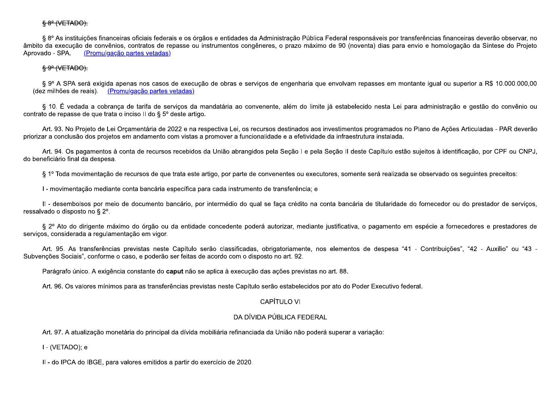## 88<sup>e</sup> (VETADO).

§ 8º As instituições financeiras oficiais federais e os órgãos e entidades da Administração Pública Federal responsáveis por transferências financeiras deverão observar, no âmbito da execução de convênios, contratos de repasse ou instrumentos congêneres, o prazo máximo de 90 (noventa) dias para envio e homologação da Síntese do Projeto Aprovado - SPA. (Promulgação partes vetadas)

## <del>§ 9° (VETADO).</del>

§ 9° A SPA será exigida apenas nos casos de execução de obras e serviços de engenharia que envolvam repasses em montante igual ou superior a R\$ 10.000.000,00 (dez milhões de reais). (Promulgação partes vetadas)

§ 10. É vedada a cobranca de tarifa de servicos da mandatária ao convenente, além do limite já estabelecido nesta Lei para administração e gestão do convênio ou contrato de repasse de que trata o inciso II do § 5<sup>°</sup> deste artigo.

Art. 93. No Projeto de Lei Orcamentária de 2022 e na respectiva Lei, os recursos destinados aos investimentos programados no Plano de Ações Articuladas - PAR deverão priorizar a conclusão dos projetos em andamento com vistas a promover a funcionalidade e a efetividade da infraestrutura instalada.

Art. 94. Os pagamentos à conta de recursos recebidos da União abrangidos pela Seção I e pela Seção II deste Capítulo estão sujeitos à identificação, por CPF ou CNPJ, do beneficiário final da despesa.

§ 1º Toda movimentação de recursos de que trata este artigo, por parte de convenentes ou executores, somente será realizada se observado os seguintes preceitos:

I - movimentação mediante conta bancária específica para cada instrumento de transferência; e

II - desembolsos por meio de documento bancário, por intermédio do qual se faca crédito na conta bancária de titularidade do fornecedor ou do prestador de servicos, ressalvado o disposto no § 2°.

§ 2º Ato do dirigente máximo do órgão ou da entidade concedente poderá autorizar, mediante justificativa, o pagamento em espécie a fornecedores e prestadores de serviços, considerada a regulamentação em vigor.

Art. 95. As transferências previstas neste Capítulo serão classificadas, obrigatoriamente, nos elementos de despesa "41 - Contribuições", "42 - Auxílio" ou "43 -Subvenções Sociais", conforme o caso, e poderão ser feitas de acordo com o disposto no art. 92.

Parágrafo único. A exigência constante do caput não se aplica à execução das ações previstas no art. 88.

Art. 96. Os valores mínimos para as transferências previstas neste Capítulo serão estabelecidos por ato do Poder Executivo federal.

## CAPÍTULO VI

## DA DÍVIDA PÚBLICA FEDERAL

Art. 97. A atualização monetária do principal da dívida mobiliária refinanciada da União não poderá superar a variação:

I - (VETADO); e

II - do IPCA do IBGE, para valores emitidos a partir do exercício de 2020.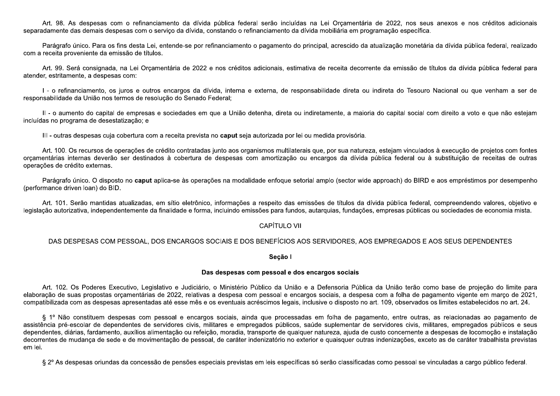Art. 98. As despesas com o refinanciamento da dívida pública federal serão incluídas na Lei Orcamentária de 2022, nos seus anexos e nos créditos adicionais separadamente das demais despesas com o servico da dívida, constando o refinanciamento da dívida mobiliária em programação específica.

Parágrafo único. Para os fins desta Lei, entende-se por refinanciamento o pagamento do principal, acrescido da atualização monetária da dívida pública federal, realizado com a receita proveniente da emissão de títulos.

Art. 99. Será consignada, na Lei Orcamentária de 2022 e nos créditos adicionais, estimativa de receita decorrente da emissão de títulos da dívida pública federal para atender, estritamente, a despesas com:

I - o refinanciamento, os juros e outros encargos da dívida, interna e externa, de responsabilidade direta ou indireta do Tesouro Nacional ou que venham a ser de responsabilidade da União nos termos de resolução do Senado Federal:

II - o aumento do capital de empresas e sociedades em que a União detenha, direta ou indiretamente, a maioria do capital social com direito a voto e que não estejam incluídas no programa de desestatização; e

III - outras despesas cuja cobertura com a receita prevista no caput seja autorizada por lei ou medida provisória.

Art. 100. Os recursos de operações de crédito contratadas junto aos organismos multilaterais que, por sua natureza, estejam vinculados à execução de projetos com fontes orcamentárias internas deverão ser destinados à cobertura de despesas com amortização ou encargos da dívida pública federal ou à substituição de receitas de outras operações de crédito externas.

Parágrafo único. O disposto no caput aplica-se às operações na modalidade enfoque setorial amplo (sector wide approach) do BIRD e aos empréstimos por desempenho (performance driven loan) do BID.

Art. 101. Serão mantidas atualizadas, em sítio eletrônico, informações a respeito das emissões de títulos da dívida pública federal, compreendendo valores, objetivo e legislação autorizativa, independentemente da finalidade e forma, incluindo emissões para fundos, autarquias, fundações, empresas públicas ou sociedades de economia mista.

# **CAPÍTULO VII**

### DAS DESPESAS COM PESSOAL, DOS ENCARGOS SOCIAIS E DOS BENEFÍCIOS AOS SERVIDORES, AOS EMPREGADOS E AOS SEUS DEPENDENTES

Secão I

#### Das despesas com pessoal e dos encargos sociais

Art. 102. Os Poderes Executivo, Legislativo e Judiciário, o Ministério Público da União e a Defensoria Pública da União terão como base de projeção do limite para elaboração de suas propostas orcamentárias de 2022, relativas a despesa com pessoal e encargos sociais, a despesa com a folha de pagamento vigente em marco de 2021, compatibilizada com as despesas apresentadas até esse mês e os eventuais acréscimos legais, inclusive o disposto no art. 109, observados os limites estabelecidos no art. 24.

§ 1º Não constituem despesas com pessoal e encargos sociais, ainda que processadas em folha de pagamento, entre outras, as relacionadas ao pagamento de assistência pré-escolar de dependentes de servidores civis, militares e empregados públicos, saúde suplementar de servidores civis, militares, empregados públicos e seus dependentes, diárias, fardamento, auxílios alimentação ou refeição, moradia, transporte de qualquer natureza, ajuda de custo concernente a despesas de locomoção e instalação decorrentes de mudanca de sede e de movimentação de pessoal, de caráter indenizatório no exterior e quaisquer outras indenizações, exceto as de caráter trabalhista previstas em lei.

§ 2º As despesas oriundas da concessão de pensões especiais previstas em leis específicas só serão classificadas como pessoal se vinculadas a cargo público federal.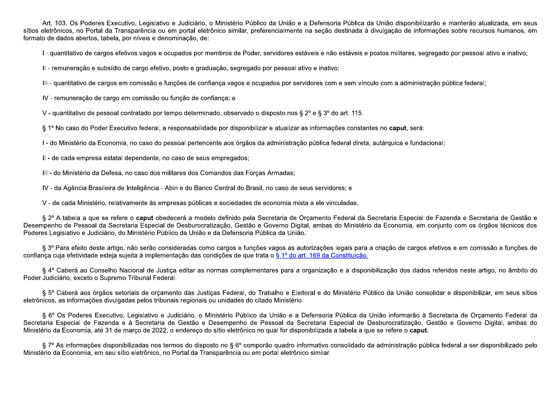Art. 103. Os Poderes Executivo, Legislativo e Judiciário, o Ministério Público da União e a Defensoria Pública da União disponibilizarão e manterão atualizada, em seus sítios eletrônicos, no Portal da Transparência ou em portal eletrônico similar, preferencialmente na seção destinada à divulgação de informações sobre recursos humanos, em formato de dados abertos, tabela, por níveis e denominação, de:

I - quantitativo de cargos efetivos vagos e ocupados por membros de Poder, servidores estáveis e não estáveis e postos militares, segregado por pessoal ativo e inativo;

II - remuneração e subsídio de cargo efetivo, posto e graduação, segregado por pessoal ativo e inativo;

III - quantitativo de cargos em comissão e funções de confiança vagos e ocupados por servidores com e sem vínculo com a administração pública federal;

IV - remuneração de cargo em comissão ou função de confiança; e

V - quantitativo de pessoal contratado por tempo determinado, observado o disposto nos § 2º e § 3º do art. 115.

§ 1º No caso do Poder Executivo federal, a responsabilidade por disponibilizar e atualizar as informações constantes no caput, será:

I - do Ministério da Economia, no caso do pessoal pertencente aos órgãos da administração pública federal direta, autárquica e fundacional;

II - de cada empresa estatal dependente, no caso de seus empregados;

III - do Ministério da Defesa, no caso dos militares dos Comandos das Forcas Armadas;

IV - da Agência Brasileira de Inteligência - Abin e do Banco Central do Brasil, no caso de seus servidores; e

V - de cada Ministério, relativamente às empresas públicas e sociedades de economia mista a ele vinculadas.

§ 2º A tabela a que se refere o caput obedecerá a modelo definido pela Secretaria de Orcamento Federal da Secretaria Especial de Fazenda e Secretaria de Gestão e Desempenho de Pessoal da Secretaria Especial de Desburocratização, Gestão e Governo Digital, ambas do Ministério da Economia, em conjunto com os órgãos técnicos dos Poderes Legislativo e Judiciário, do Ministério Público da União e da Defensoria Pública da União.

§ 3º Para efeito deste artigo, não serão consideradas como cargos e funções vagos as autorizações legais para a criação de cargos efetivos e em comissão e funções de confiança cuja efetividade esteja sujeita à implementação das condições de que trata o § 1º do art. 169 da Constituição.

§ 4º Caberá ao Conselho Nacional de Justica editar as normas complementares para a organização e a disponibilização dos dados referidos neste artigo, no âmbito do Poder Judiciário, exceto o Supremo Tribunal Federal.

§ 5º Caberá aos órgãos setoriais de orcamento das Justicas Federal, do Trabalho e Eleitoral e do Ministério Público da União consolidar e disponibilizar, em seus sítios eletrônicos, as informações divulgadas pelos tribunais regionais ou unidades do citado Ministério.

§ 6º Os Poderes Executivo, Legislativo e Judiciário, o Ministério Público da União e a Defensoria Pública da União informarão à Secretaria de Orcamento Federal da Secretaria Especial de Fazenda e à Secretaria de Gestão e Desempenho de Pessoal da Secretaria Especial de Desburocratização, Gestão e Governo Digital, ambas do Ministério da Economia, até 31 de marco de 2022, o endereco do sítio eletrônico no qual for disponibilizada a tabela a que se refere o caput.

§ 7º As informações disponibilizadas nos termos do disposto no § 6º comporão quadro informativo consolidado da administração pública federal a ser disponibilizado pelo Ministério da Economia, em seu sítio eletrônico, no Portal da Transparência ou em portal eletrônico similar.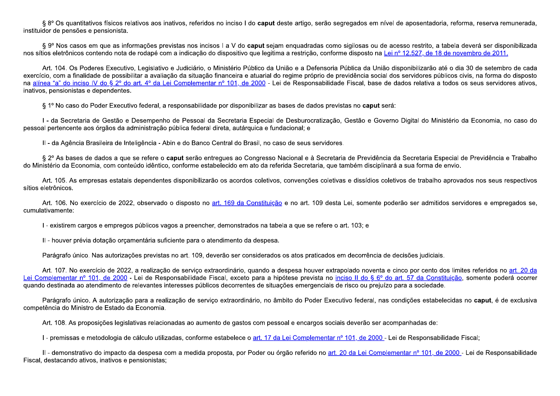§ 8° Os quantitativos físicos relativos aos inativos, referidos no inciso I do caput deste artigo, serão segregados em nível de aposentadoria, reforma, reserva remunerada, instituidor de pensões e pensionista.

§ 9° Nos casos em que as informações previstas nos incisos I a V do caput sejam enquadradas como sigilosas ou de acesso restrito, a tabela deverá ser disponibilizada nos sítios eletrônicos contendo nota de rodapé com a indicação do dispositivo que legitima a restrição, conforme disposto na Lei nº 12.527, de 18 de novembro de 2011,

Art. 104. Os Poderes Executivo, Legislativo e Judiciário, o Ministério Público da União e a Defensoria Pública da União disponibilizarão até o dia 30 de setembro de cada exercício, com a finalidade de possibilitar a avaliação da situação financeira e atuarial do regime próprio de previdência social dos servidores públicos civis, na forma do disposto na alínea "a" do inciso IV do § 2º do art. 4º da Lei Complementar nº 101, de 2000 - Lei de Responsabilidade Fiscal, base de dados relativa a todos os seus servidores ativos, inativos, pensionistas e dependentes.

§ 1º No caso do Poder Executivo federal, a responsabilidade por disponibilizar as bases de dados previstas no caput será:

I - da Secretaria de Gestão e Desempenho de Pessoal da Secretaria Especial de Desburocratização, Gestão e Governo Digital do Ministério da Economia, no caso do pessoal pertencente aos órgãos da administração pública federal direta, autárquica e fundacional; e

II - da Agência Brasileira de Inteligência - Abin e do Banco Central do Brasil, no caso de seus servidores.

§ 2º As bases de dados a que se refere o caput serão entreques ao Congresso Nacional e à Secretaria de Previdência da Secretaria Especial de Previdência e Trabalho do Ministério da Economia, com conteúdo idêntico, conforme estabelecido em ato da referida Secretaria, que também disciplinará a sua forma de envio.

Art. 105. As empresas estatais dependentes disponibilizarão os acordos coletivos, convenções coletivas e dissídios coletivos de trabalho aprovados nos seus respectivos sítios eletrônicos.

Art. 106. No exercício de 2022, observado o disposto no art. 169 da Constituição e no art. 109 desta Lei, somente poderão ser admitidos servidores e empregados se, cumulativamente:

I - existirem cargos e empregos públicos vagos a preencher, demonstrados na tabela a que se refere o art. 103; e

II - houver prévia dotação orcamentária suficiente para o atendimento da despesa.

Parágrafo único. Nas autorizações previstas no art. 109, deverão ser considerados os atos praticados em decorrência de decisões judiciais.

Art. 107. No exercício de 2022, a realização de servico extraordinário, quando a despesa houver extrapolado noventa e cinco por cento dos limites referidos no art. 20 da Lei Complementar nº 101, de 2000 - Lei de Responsabilidade Fiscal, exceto para a hipótese prevista no inciso II do § 6º do art. 57 da Constituição, somente poderá ocorrer guando destinada ao atendimento de relevantes interesses públicos decorrentes de situações emergenciais de risco ou prejuízo para a sociedade.

Parágrafo único. A autorização para a realização de serviço extraordinário, no âmbito do Poder Executivo federal, nas condições estabelecidas no caput, é de exclusiva competência do Ministro de Estado da Economia.

Art. 108. As proposições legislativas relacionadas ao aumento de gastos com pessoal e encargos sociais deverão ser acompanhadas de:

I - premissas e metodologia de cálculo utilizadas, conforme estabelece o art. 17 da Lei Complementar nº 101, de 2000 - Lei de Responsabilidade Fiscal;

II - demonstrativo do impacto da despesa com a medida proposta, por Poder ou órgão referido no art. 20 da Lei Complementar nº 101, de 2000 - Lei de Responsabilidade Fiscal, destacando ativos, inativos e pensionistas;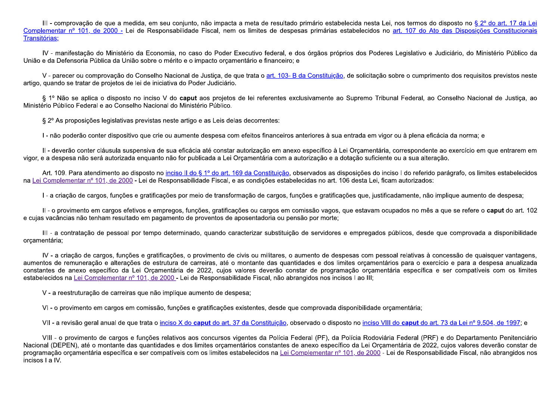III - comprovação de que a medida, em seu conjunto, não impacta a meta de resultado primário estabelecida nesta Lei, nos termos do disposto no § 2º do art. 17 da Lei Complementar nº 101, de 2000 - Lei de Responsabilidade Fiscal, nem os limites de despesas primárias estabelecidos no art. 107 do Ato das Disposições Constitucionais Transitórias:

IV - manifestação do Ministério da Economia, no caso do Poder Executivo federal, e dos órgãos próprios dos Poderes Legislativo e Judiciário, do Ministério Público da União e da Defensoria Pública da União sobre o mérito e o impacto orcamentário e financeiro; e

V - parecer ou comprovação do Conselho Nacional de Justica, de que trata o art. 103- B da Constituição, de solicitação sobre o cumprimento dos requisitos previstos neste artigo, quando se tratar de projetos de lei de iniciativa do Poder Judiciário.

§ 1º Não se aplica o disposto no inciso V do caput aos projetos de lei referentes exclusivamente ao Supremo Tribunal Federal, ao Conselho Nacional de Justica, ao Ministério Público Federal e ao Conselho Nacional do Ministério Público

§ 2° As proposições legislativas previstas neste artigo e as Leis delas decorrentes:

I - não poderão conter dispositivo que crie ou aumente despesa com efeitos financeiros anteriores à sua entrada em vigor ou à plena eficácia da norma; e

II - deverão conter cláusula suspensiva de sua eficácia até constar autorização em anexo específico à Lei Orcamentária, correspondente ao exercício em que entrarem em vigor, e a despesa não será autorizada enguanto não for publicada a Lei Orcamentária com a autorização e a dotação suficiente ou a sua alteração.

Art. 109. Para atendimento ao disposto no inciso II do § 1º do art. 169 da Constituição, observados as disposições do inciso I do referido parágrafo, os limites estabelecidos na Lei Complementar nº 101, de 2000 - Lei de Responsabilidade Fiscal, e as condições estabelecidas no art. 106 desta Lei, ficam autorizados:

I - a criação de cargos, funções e gratificações por meio de transformação de cargos, funções e gratificações que, justificadamente, não implique aumento de despesa;

II - o provimento em cargos efetivos e empregos, funções, gratificações ou cargos em comissão vagos, que estavam ocupados no mês a que se refere o caput do art. 102 e cuias vacâncias não tenham resultado em pagamento de proventos de aposentadoria ou pensão por morte:

III - a contratação de pessoal por tempo determinado, quando caracterizar substituição de servidores e empregados públicos, desde que comprovada a disponibilidade orcamentária;

IV - a criação de cargos, funções e gratificações, o provimento de civis ou militares, o aumento de despesas com pessoal relativas à concessão de quaisquer vantagens, aumentos de remuneração e alterações de estrutura de carreiras, até o montante das quantidades e dos limites orcamentários para o exercício e para a despesa anualizada constantes de anexo específico da Lei Orcamentária de 2022, cujos valores deverão constar de programação orcamentária específica e ser compatíveis com os limites estabelecidos na Lei Complementar nº 101, de 2000 - Lei de Responsabilidade Fiscal, não abrangidos nos incisos I ao III;

V - a reestruturação de carreiras que não implique aumento de despesa;

VI-o provimento em cargos em comissão, funções e gratificações existentes, desde que comprovada disponibilidade orcamentária;

VII - a revisão geral anual de que trata o inciso X do caput do art. 37 da Constituição, observado o disposto no inciso VIII do caput do art. 73 da Lei nº 9.504, de 1997; e

VIII - o provimento de cargos e funções relativos aos concursos vigentes da Polícia Federal (PF), da Polícia Rodoviária Federal (PRF) e do Departamento Penitenciário Nacional (DEPEN), até o montante das quantidades e dos limites orcamentários constantes de anexo específico da Lei Orcamentária de 2022, cujos valores deverão constar de programação orcamentária específica e ser compatíveis com os limites estabelecidos na Lei Complementar nº 101, de 2000 - Lei de Responsabilidade Fiscal, não abrangidos nos incisos I a IV.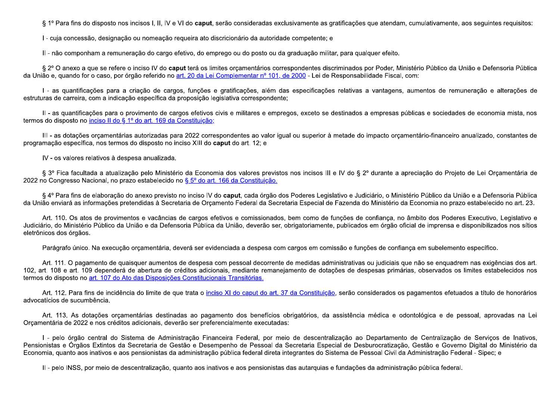§ 1º Para fins do disposto nos incisos I, II, IV e VI do caput, serão consideradas exclusivamente as gratificações que atendam, cumulativamente, aos seguintes requisitos:

I - cuja concessão, designação ou nomeação requeira ato discricionário da autoridade competente; e

II - não componham a remuneração do cargo efetivo, do emprego ou do posto ou da graduação militar, para qualquer efeito.

§ 2º O anexo a que se refere o inciso IV do caput terá os limites orcamentários correspondentes discriminados por Poder, Ministério Público da União e Defensoria Pública da União e, quando for o caso, por órgão referido no art. 20 da Lei Complementar nº 101, de 2000 - Lei de Responsabilidade Fiscal, com:

I - as quantificações para a criação de cargos, funções e gratificações, além das especificações relativas a vantagens, aumentos de remuneração e alterações de estruturas de carreira, com a indicação específica da proposição legislativa correspondente:

II - as quantificações para o provimento de cargos efetivos civis e militares e empregos, exceto se destinados a empresas públicas e sociedades de economia mista, nos termos do disposto no inciso II do 8 1º do art. 169 da Constituição:

III - as dotações orçamentárias autorizadas para 2022 correspondentes ao valor igual ou superior à metade do impacto orçamentário-financeiro anualizado, constantes de programação específica, nos termos do disposto no inciso XIII do caput do art. 12; e

IV - os valores relativos à despesa anualizada.

§ 3º Fica facultada a atualização pelo Ministério da Economia dos valores previstos nos incisos III e IV do § 2º durante a apreciação do Projeto de Lei Orcamentária de 2022 no Congresso Nacional, no prazo estabelecido no § 5° do art. 166 da Constituição.

§ 4º Para fins de elaboração do anexo previsto no inciso IV do caput, cada órgão dos Poderes Legislativo e Judiciário, o Ministério Público da União e a Defensoria Pública da União enviará as informações pretendidas à Secretaria de Orcamento Federal da Secretaria Especial de Fazenda do Ministério da Economia no prazo estabelecido no art. 23.

Art. 110. Os atos de provimentos e vacâncias de cargos efetivos e comissionados, bem como de funções de confiança, no âmbito dos Poderes Executivo, Legislativo e Judiciário, do Ministério Público da União e da Defensoria Pública da União, deverão ser, obrigatoriamente, publicados em órgão oficial de imprensa e disponibilizados nos sítios eletrônicos dos órgãos.

Parágrafo único. Na execução orcamentária, deverá ser evidenciada a despesa com cargos em comissão e funções de confiança em subelemento específico.

Art. 111. O pagamento de quaisquer aumentos de despesa com pessoal decorrente de medidas administrativas ou judiciais que não se enguadrem nas exigências dos art. 102, art. 108 e art. 109 dependerá de abertura de créditos adicionais, mediante remanejamento de dotações de despesas primárias, observados os limites estabelecidos nos termos do disposto no art. 107 do Ato das Disposições Constitucionais Transitórias.

Art. 112. Para fins de incidência do limite de que trata o inciso XI do caput do art. 37 da Constituição, serão considerados os pagamentos efetuados a título de honorários advocatícios de sucumbência.

Art. 113. As dotações orcamentárias destinadas ao pagamento dos benefícios obrigatórios, da assistência médica e odontológica e de pessoal, aprovadas na Lei Orcamentária de 2022 e nos créditos adicionais, deverão ser preferencialmente executadas:

I - pelo órgão central do Sistema de Administração Financeira Federal, por meio de descentralização ao Departamento de Centralização de Servicos de Inativos, Pensionistas e Órgãos Extintos da Secretaria de Gestão e Desempenho de Pessoal da Secretaria Especial de Desburocratização, Gestão e Governo Digital do Ministério da Economia, quanto aos inativos e aos pensionistas da administração pública federal direta integrantes do Sistema de Pessoal Civil da Administração Federal - Sipec; e

II - pelo INSS, por meio de descentralização, quanto aos inativos e aos pensionistas das autarquias e fundações da administração pública federal.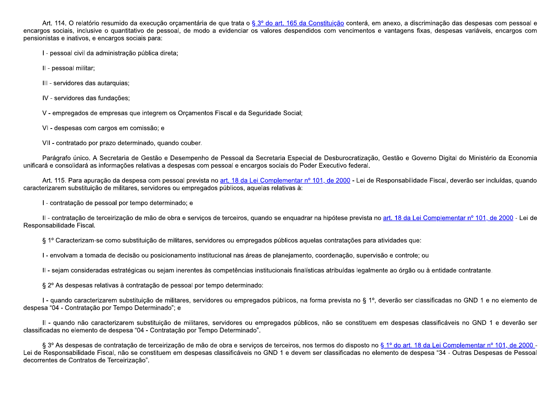Art. 114. O relatório resumido da execução orçamentária de que trata o § 3º do art. 165 da Constituição conterá, em anexo, a discriminação das despesas com pessoal e encargos sociais, inclusive o quantitativo de pessoal, de modo a evidenciar os valores despendidos com vencimentos e vantagens fixas, despesas variáveis, encargos com pensionistas e inativos, e encargos sociais para:

I - pessoal civil da administração pública direta;

II - pessoal militar;

III - servidores das autarquias;

IV - servidores das fundações;

V - empregados de empresas que integrem os Orcamentos Fiscal e da Seguridade Social;

VI - despesas com cargos em comissão; e

VII - contratado por prazo determinado, quando couber.

Parágrafo único. A Secretaria de Gestão e Desempenho de Pessoal da Secretaria Especial de Desburocratização, Gestão e Governo Digital do Ministério da Economia unificará e consolidará as informações relativas a despesas com pessoal e encargos sociais do Poder Executivo federal.

Art. 115. Para apuração da despesa com pessoal prevista no art. 18 da Lei Complementar nº 101, de 2000 - Lei de Responsabilidade Fiscal, deverão ser incluídas, quando caracterizarem substituicão de militares, servidores ou empregados públicos, aquelas relativas à:

I - contratação de pessoal por tempo determinado; e

Il - contratação de terceirização de mão de obra e serviços de terceiros, quando se enquadrar na hipótese prevista no art. 18 da Lei Complementar nº 101, de 2000 - Lei de Responsabilidade Fiscal.

§ 1º Caracterizam-se como substituição de militares, servidores ou empregados públicos aquelas contratações para atividades que:

I - envolvam a tomada de decisão ou posicionamento institucional nas áreas de planejamento, coordenação, supervisão e controle; ou

II - sejam consideradas estratégicas ou sejam inerentes às competências institucionais finalísticas atribuídas legalmente ao órgão ou à entidade contratante.

§ 2° As despesas relativas à contratação de pessoal por tempo determinado:

I - quando caracterizarem substituição de militares, servidores ou empregados públicos, na forma prevista no § 1º, deverão ser classificadas no GND 1 e no elemento de despesa "04 - Contratação por Tempo Determinado"; e

II - quando não caracterizarem substituição de militares, servidores ou empregados públicos, não se constituem em despesas classificáveis no GND 1 e deverão ser classificadas no elemento de despesa "04 - Contratação por Tempo Determinado".

§ 3º As despesas de contratação de terceirização de mão de obra e serviços de terceiros, nos termos do disposto no § 1º do art. 18 da Lei Complementar nº 101, de 2000 -Lei de Responsabilidade Fiscal, não se constituem em despesas classificáveis no GND 1 e devem ser classificadas no elemento de despesa "34 - Outras Despesas de Pessoal decorrentes de Contratos de Terceirização".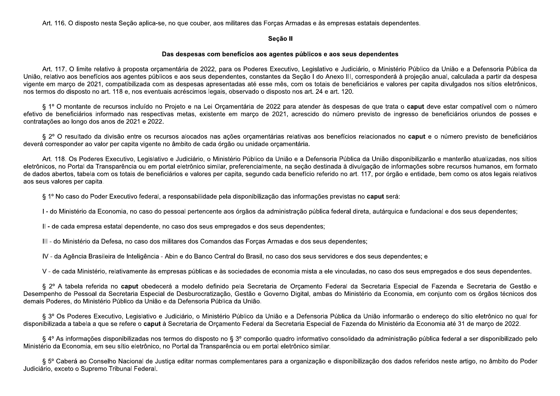Art. 116. O disposto nesta Seção aplica-se, no que couber, aos militares das Forças Armadas e às empresas estatais dependentes.

#### Seção II

#### Das despesas com benefícios aos agentes públicos e aos seus dependentes

Art. 117. O limite relativo à proposta orcamentária de 2022, para os Poderes Executivo, Legislativo e Judiciário, o Ministério Público da União e a Defensoria Pública da União, relativo aos benefícios aos agentes públicos e aos seus dependentes, constantes da Seção I do Anexo III, corresponderá à projeção anual, calculada a partir da despesa vigente em março de 2021, compatibilizada com as despesas apresentadas até esse mês, com os totais de beneficiários e valores per capita divulgados nos sítios eletrônicos, nos termos do disposto no art. 118 e, nos eventuais acréscimos legais, observado o disposto nos art. 24 e art. 120.

§ 1º O montante de recursos incluído no Projeto e na Lei Orcamentária de 2022 para atender às despesas de que trata o caput deve estar compatível com o número efetivo de beneficiários informado nas respectivas metas, existente em marco de 2021, acrescido do número previsto de ingresso de beneficiários oriundos de posses e contratações ao longo dos anos de 2021 e 2022.

§ 2º O resultado da divisão entre os recursos alocados nas ações orcamentárias relativas aos benefícios relacionados no caput e o número previsto de beneficiários deverá corresponder ao valor per capita vigente no âmbito de cada órgão ou unidade orcamentária.

Art. 118. Os Poderes Executivo, Legislativo e Judiciário, o Ministério Público da União e a Defensoria Pública da União disponibilizarão e manterão atualizadas, nos sítios eletrônicos, no Portal da Transparência ou em portal eletrônico similar, preferencialmente, na seção destinada à divulgação de informações sobre recursos humanos, em formato de dados abertos, tabela com os totais de beneficiários e valores per capita, segundo cada benefício referido no art. 117, por órgão e entidade, bem como os atos legais relativos aos seus valores per capita.

§ 1º No caso do Poder Executivo federal, a responsabilidade pela disponibilização das informações previstas no caput será:

I - do Ministério da Economia, no caso do pessoal pertencente aos órgãos da administração pública federal direta, autárquica e fundacional e dos seus dependentes;

II - de cada empresa estatal dependente, no caso dos seus empregados e dos seus dependentes;

III - do Ministério da Defesa, no caso dos militares dos Comandos das Forcas Armadas e dos seus dependentes;

IV - da Agência Brasileira de Inteligência - Abin e do Banco Central do Brasil, no caso dos seus servidores e dos seus dependentes; e

V - de cada Ministério, relativamente às empresas públicas e às sociedades de economia mista a ele vinculadas, no caso dos seus empregados e dos seus dependentes.

§ 2º A tabela referida no caput obedecerá a modelo definido pela Secretaria de Orçamento Federal da Secretaria Especial de Fazenda e Secretaria de Gestão e Desempenho de Pessoal da Secretaria Especial de Desburocratização, Gestão e Governo Digital, ambas do Ministério da Economia, em conjunto com os órgãos técnicos dos demais Poderes, do Ministério Público da União e da Defensoria Pública da União.

§ 3º Os Poderes Executivo, Legislativo e Judiciário, o Ministério Público da União e a Defensoria Pública da União informarão o endereco do sítio eletrônico no qual for disponibilizada a tabela a que se refere o caput à Secretaria de Orcamento Federal da Secretaria Especial de Fazenda do Ministério da Economia até 31 de marco de 2022.

§ 4º As informações disponibilizadas nos termos do disposto no § 3º comporão quadro informativo consolidado da administração pública federal a ser disponibilizado pelo Ministério da Economia, em seu sítio eletrônico, no Portal da Transparência ou em portal eletrônico similar.

§ 5º Caberá ao Conselho Nacional de Justica editar normas complementares para a organização e disponibilização dos dados referidos neste artigo, no âmbito do Poder Judiciário, exceto o Supremo Tribunal Federal.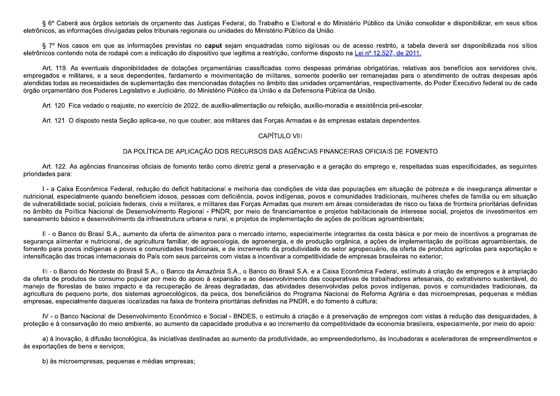§ 6º Caberá aos órgãos setoriais de orçamento das Justiças Federal, do Trabalho e Eleitoral e do Ministério Público da União consolidar e disponibilizar, em seus sítios eletrônicos, as informações divulgadas pelos tribunais regionais ou unidades do Ministério Público da União.

§ 7º Nos casos em que as informações previstas no caput sejam enguadradas como sigilosas ou de acesso restrito, a tabela deverá ser disponibilizada nos sítios eletrônicos contendo nota de rodapé com a indicação do dispositivo que legitima a restrição, conforme disposto na Lei nº 12.527, de 2011.

Art. 119. As eventuais disponibilidades de dotações orçamentárias classificadas como despesas primárias obrigatórias, relativas aos benefícios aos servidores civis, empregados e militares, e a seus dependentes, fardamento e movimentação de militares, somente poderão ser remanejadas para o atendimento de outras despesas após atendidas todas as necessidades de suplementação das mencionadas dotações no âmbito das unidades orçamentárias, respectivamente, do Poder Executivo federal ou de cada órgão orcamentário dos Poderes Legislativo e Judiciário, do Ministério Público da União e da Defensoria Pública da União.

Art. 120. Fica vedado o reajuste, no exercício de 2022, de auxílio-alimentação ou refeição, auxílio-moradia e assistência pré-escolar.

Art. 121. O disposto nesta Seção aplica-se, no que couber, aos militares das Forcas Armadas e às empresas estatais dependentes.

# **CAPÍTULO VIII**

# DA POLÍTICA DE APLICAÇÃO DOS RECURSOS DAS AGÊNCIAS FINANCEIRAS OFICIAIS DE FOMENTO

Art. 122. As agências financeiras oficiais de fomento terão como diretriz geral a preservação e a geração do emprego e, respeitadas suas especificidades, as seguintes prioridades para:

I - a Caixa Econômica Federal, redução do deficit habitacional e melhoria das condições de vida das populações em situação de pobreza e de insegurança alimentar e nutricional, especialmente quando beneficiem idosos, pessoas com deficiência, povos indígenas, povos e comunidades tradicionais, mulheres chefes de família ou em situação de vulnerabilidade social, policiais federais, civis e militares, e militares das Forcas Armadas que morem em áreas consideradas de risco ou faixa de fronteira prioritárias definidas no âmbito da Política Nacional de Desenvolvimento Regional - PNDR, por meio de financiamentos e projetos habitacionais de interesse social, projetos de investimentos em saneamento básico e desenvolvimento da infraestrutura urbana e rural, e projetos de implementação de ações de políticas agroambientais;

II - o Banco do Brasil S.A., aumento da oferta de alimentos para o mercado interno, especialmente integrantes da cesta básica e por meio de incentivos a programas de seguranca alimentar e nutricional, de agricultura familiar, de agroecologia, de agroenergia, e de produção orgânica, a ações de implementação de políticas agroambientais, de fomento para povos indígenas e povos e comunidades tradicionais, e de incremento da produtividade do setor agropecuário, da oferta de produtos agrícolas para exportação e intensificação das trocas internacionais do País com seus parceiros com vistas a incentivar a competitividade de empresas brasileiras no exterior;

III - o Banco do Nordeste do Brasil S.A., o Banco da Amazônia S.A., o Banco do Brasil S.A. e a Caixa Econômica Federal, estímulo à criação de empregos e à ampliação da oferta de produtos de consumo popular por meio do apoio à expansão e ao desenvolvimento das cooperativas de trabalhadores artesanais, do extrativismo sustentável, do manejo de florestas de baixo impacto e da recuperação de áreas degradadas, das atividades desenvolvidas pelos povos indígenas, povos e comunidades tradicionais, da agricultura de pequeno porte, dos sistemas agroecológicos, da pesca, dos beneficiários do Programa Nacional de Reforma Agrária e das microempresas, pequenas e médias empresas, especialmente daquelas localizadas na faixa de fronteira prioritárias definidas na PNDR, e do fomento à cultura;

IV - o Banco Nacional de Desenvolvimento Econômico e Social - BNDES, o estímulo à criação e à preservação de empregos com vistas à redução das desigualdades, à proteção e à conservação do meio ambiente, ao aumento da capacidade produtiva e ao incremento da competitividade da economia brasileira, especialmente, por meio do apoio:

a) à inovação, à difusão tecnológica, às iniciativas destinadas ao aumento da produtividade, ao empreendedorismo, às incubadoras e aceleradoras de empreendimentos e às exportações de bens e serviços;

b) às microempresas, pequenas e médias empresas;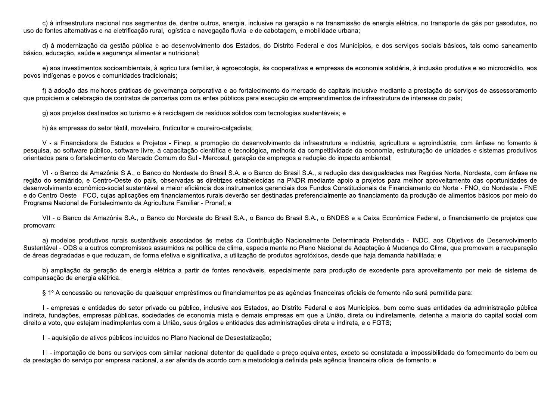c) à infraestrutura nacional nos segmentos de, dentre outros, energia, inclusive na geração e na transmissão de energia elétrica, no transporte de gás por gasodutos, no uso de fontes alternativas e na eletrificação rural, logística e navegação fluvial e de cabotagem, e mobilidade urbana:

d) à modernização da gestão pública e ao desenvolvimento dos Estados, do Distrito Federal e dos Municípios, e dos serviços sociais básicos, tais como saneamento básico, educação, saúde e segurança alimentar e nutricional:

e) aos investimentos socioambientais, à agricultura familiar, à agroecologia, às cooperativas e empresas de economia solidária, à inclusão produtiva e ao microcrédito, aos povos indígenas e povos e comunidades tradicionais;

f) à adoção das melhores práticas de governança corporativa e ao fortalecimento do mercado de capitais inclusive mediante a prestação de serviços de assessoramento gue propiciem a celebração de contratos de parcerias com os entes públicos para execução de empreendimentos de infraestrutura de interesse do país:

g) aos projetos destinados ao turismo e à reciclagem de resíduos sólidos com tecnologias sustentáveis; e

h) às empresas do setor têxtil, moveleiro, fruticultor e coureiro-calcadista;

V - a Financiadora de Estudos e Projetos - Finep, a promoção do desenvolvimento da infraestrutura e indústria, agricultura e agroindústria, com ênfase no fomento à pesquisa, ao software público, software livre, à capacitação científica e tecnológica, melhoria da competitividade da economia, estruturação de unidades e sistemas produtivos orientados para o fortalecimento do Mercado Comum do Sul - Mercosul, geração de empregos e redução do impacto ambiental;

VI - o Banco da Amazônia S.A., o Banco do Nordeste do Brasil S.A. e o Banco do Brasil S.A., a redução das desigualdades nas Regiões Norte, Nordeste, com ênfase na região do semiárido, e Centro-Oeste do país, observadas as diretrizes estabelecidas na PNDR mediante apoio a projetos para melhor aproveitamento das oportunidades de desenvolvimento econômico-social sustentável e maior eficiência dos instrumentos gerenciais dos Fundos Constitucionais de Financiamento do Norte - FNO, do Nordeste - FNE e do Centro-Oeste - FCO, cujas aplicações em financiamentos rurais deverão ser destinadas preferencialmente ao financiamento da produção de alimentos básicos por meio do Programa Nacional de Fortalecimento da Agricultura Familiar - Pronaf; e

VII - o Banco da Amazônia S.A., o Banco do Nordeste do Brasil S.A., o Banco do Brasil S.A., o BNDES e a Caixa Econômica Federal, o financiamento de projetos que promovam:

a) modelos produtivos rurais sustentáveis associados às metas da Contribuição Nacionalmente Determinada Pretendida - INDC, aos Objetivos de Desenvolvimento Sustentável - ODS e a outros compromissos assumidos na política de clima, especialmente no Plano Nacional de Adaptação à Mudança do Clima, que promovam a recuperação de áreas degradadas e que reduzam, de forma efetiva e significativa, a utilização de produtos agrotóxicos, desde que haja demanda habilitada; e

b) ampliação da geração de energia elétrica a partir de fontes renováveis, especialmente para produção de excedente para aproveitamento por meio de sistema de compensação de energia elétrica.

§ 1º A concessão ou renovação de quaisquer empréstimos ou financiamentos pelas agências financeiras oficiais de fomento não será permitida para:

I - empresas e entidades do setor privado ou público, inclusive aos Estados, ao Distrito Federal e aos Municípios, bem como suas entidades da administração pública indireta, fundações, empresas públicas, sociedades de economia mista e demais empresas em que a União, direta ou indiretamente, detenha a maioria do capital social com direito a voto, que estejam inadimplentes com a União, seus órgãos e entidades das administrações direta e indireta, e o FGTS;

II - aquisição de ativos públicos incluídos no Plano Nacional de Desestatização:

III - importação de bens ou serviços com similar nacional detentor de qualidade e preço equivalentes, exceto se constatada a impossibilidade do fornecimento do bem ou da prestação do servico por empresa nacional, a ser aferida de acordo com a metodologia definida pela agência financeira oficial de fomento; e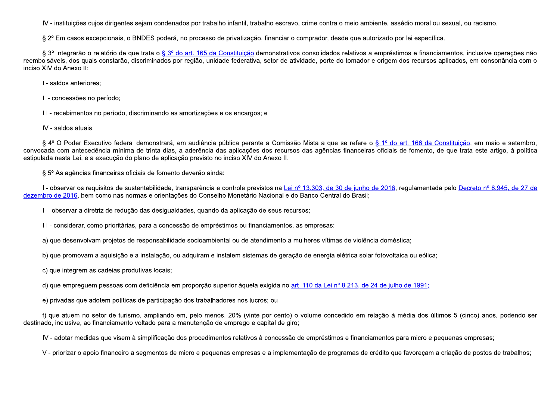IV - instituições cuios dirigentes sejam condenados por trabalho infantil, trabalho escravo, crime contra o meio ambiente, assédio moral ou sexual, ou racismo,

§ 2º Em casos excepcionais, o BNDES poderá, no processo de privatização, financiar o comprador, desde que autorizado por lei específica.

§ 3º Integrarão o relatório de que trata o § 3º do art. 165 da Constituição demonstrativos consolidados relativos a empréstimos e financiamentos, inclusive operações não reembolsáveis, dos quais constarão, discriminados por região, unidade federativa, setor de atividade, porte do tomador e origem dos recursos aplicados, em consonância com o inciso XIV do Anexo II:

I - saldos anteriores;

II - concessões no período;

III - recebimentos no período, discriminando as amortizações e os encargos; e

IV - saldos atuais.

§ 4º O Poder Executivo federal demonstrará, em audiência pública perante a Comissão Mista a que se refere o § 1º do art. 166 da Constituição, em maio e setembro, convocada com antecedência mínima de trinta dias, a aderência das aplicações dos recursos das agências financeiras oficiais de fomento, de que trata este artigo, à política estipulada nesta Lei, e a execução do plano de aplicação previsto no inciso XIV do Anexo II.

§ 5º As agências financeiras oficiais de fomento deverão ainda:

I - observar os requisitos de sustentabilidade, transparência e controle previstos na Lei nº 13.303, de 30 de junho de 2016, requiamentada pelo Decreto nº 8.945, de 27 de dezembro de 2016, bem como nas normas e orientações do Conselho Monetário Nacional e do Banco Central do Brasil:

II - observar a diretriz de redução das desigualdades, quando da aplicação de seus recursos;

III - considerar, como prioritárias, para a concessão de empréstimos ou financiamentos, as empresas:

a) que desenvolvam projetos de responsabilidade socioambiental ou de atendimento a mulheres vítimas de violência doméstica;

b) que promovam a aquisição e a instalação, ou adquiram e instalem sistemas de geração de energia elétrica solar fotovoltaica ou eólica;

c) que integrem as cadeias produtivas locais;

d) que emprequem pessoas com deficiência em proporção superior àquela exigida no art. 110 da Lei nº 8.213, de 24 de julho de 1991;

e) privadas que adotem políticas de participação dos trabalhadores nos lucros; ou

f) que atuem no setor de turismo, ampliando em, pelo menos, 20% (vinte por cento) o volume concedido em relação à média dos últimos 5 (cinco) anos, podendo ser destinado, inclusive, ao financiamento voltado para a manutenção de emprego e capital de giro;

IV - adotar medidas que visem à simplificação dos procedimentos relativos à concessão de empréstimos e financiamentos para micro e pequenas empresas;

V - priorizar o apoio financeiro a segmentos de micro e pequenas empresas e a implementação de programas de crédito que favorecam a criação de postos de trabalhos;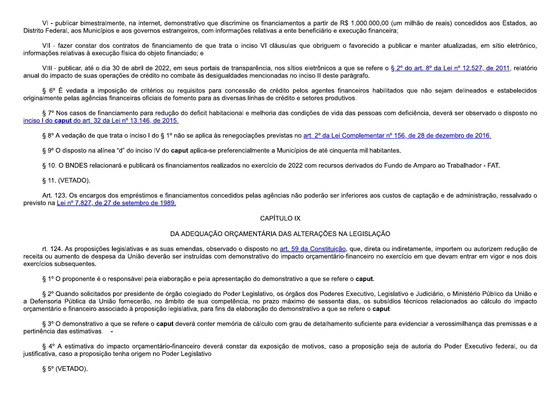VI - publicar bimestralmente, na internet, demonstrativo que discrimine os financiamentos a partir de R\$ 1.000.000,00 (um milhão de reais) concedidos aos Estados, ao Distrito Federal, aos Municípios e aos governos estrangeiros, com informações relativas a ente beneficiário e execução financeira:

VII - fazer constar dos contratos de financiamento de que trata o inciso VI cláusulas que obriguem o favorecido a publicar e manter atualizadas, em sítio eletrônico, informações relativas à execução física do objeto financiado; e

VIII - publicar, até o dia 30 de abril de 2022, em seus portais de transparência, nos sítios eletrônicos a que se refere o § 2° do art. 8° da Lei nº 12.527, de 2011, relatório anual do impacto de suas operações de crédito no combate às desigualdades mencionadas no inciso II deste parágrafo.

§ 6º É vedada a imposição de critérios ou requisitos para concessão de crédito pelos agentes financeiros habilitados que não sejam delineados e estabelecidos originalmente pelas agências financeiras oficiais de fomento para as diversas linhas de crédito e setores produtivos.

§ 7º Nos casos de financiamento para redução do deficit habitacional e melhoria das condições de vida das pessoas com deficiência, deverá ser observado o disposto no inciso I do caput do art. 32 da Lei nº 13.146, de 2015.

§ 8º A vedação de que trata o inciso I do § 1º não se aplica às renegociações previstas no art. 2º da Lei Complementar nº 156, de 28 de dezembro de 2016.

§ 9° O disposto na alínea "d" do inciso IV do caput aplica-se preferencialmente a Municípios de até cinquenta mil habitantes.

§ 10. O BNDES relacionará e publicará os financiamentos realizados no exercício de 2022 com recursos derivados do Fundo de Amparo ao Trabalhador - FAT.

§ 11. (VETADO).

Art. 123. Os encargos dos empréstimos e financiamentos concedidos pelas agências não poderão ser inferiores aos custos de captação e de administração, ressalvado o previsto na Lei nº 7.827, de 27 de setembro de 1989

# **CAPÍTULO IX**

# DA ADEQUAÇÃO ORCAMENTÁRIA DAS ALTERAÇÕES NA LEGISLAÇÃO

rt. 124. As proposições legislativas e as suas emendas, observado o disposto no art. 59 da Constituição, que, direta ou indiretamente, importem ou autorizem redução de receita ou aumento de despesa da União deverão ser instruídas com demonstrativo do impacto orcamentário-financeiro no exercício em que devam entrar em vigor e nos dois exercícios subsequentes.

§ 1º O proponente é o responsável pela elaboração e pela apresentação do demonstrativo a que se refere o caput.

§ 2º Quando solicitados por presidente de órgão colegiado do Poder Legislativo, os órgãos dos Poderes Executivo, Legislativo e Judiciário, o Ministério Público da União e a Defensoria Pública da União fornecerão, no âmbito de sua competência, no prazo máximo de sessenta dias, os subsídios técnicos relacionados ao cálculo do impacto orcamentário e financeiro associado à proposição legislativa, para fins da elaboração do demonstrativo a que se refere o caput.

§ 3º O demonstrativo a que se refere o caput deverá conter memória de cálculo com grau de detalhamento suficiente para evidenciar a verossimilhança das premissas e a pertinência das estimativas. -

§ 4º A estimativa do impacto orçamentário-financeiro deverá constar da exposição de motivos, caso a proposição seja de autoria do Poder Executivo federal, ou da justificativa, caso a proposição tenha origem no Poder Legislativo

 $\S 5^{\circ}$  (VETADO).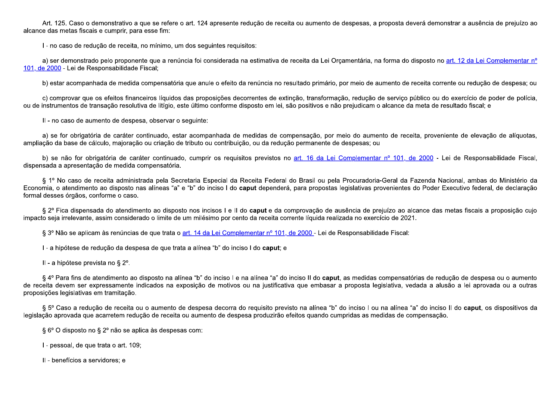Art. 125. Caso o demonstrativo a que se refere o art. 124 apresente redução de receita ou aumento de despesas, a proposta deverá demonstrar a ausência de prejuízo ao alcance das metas fiscais e cumprir, para esse fim:

I - no caso de redução de receita, no mínimo, um dos seguintes reguisitos:

a) ser demonstrado pelo proponente que a renúncia foi considerada na estimativa de receita da Lei Orcamentária, na forma do disposto no art. 12 da Lei Complementar nº 101, de 2000 - Lei de Responsabilidade Fiscal;

b) estar acompanhada de medida compensatória que anule o efeito da renúncia no resultado primário, por meio de aumento de receita corrente ou redução de despesa; ou

c) comprovar que os efeitos financeiros líquidos das proposições decorrentes de extinção, transformação, redução de serviço público ou do exercício de poder de polícia, ou de instrumentos de transação resolutiva de litígio, este último conforme disposto em lei, são positivos e não prejudicam o alcance da meta de resultado fiscal; e

II - no caso de aumento de despesa, observar o seguinte:

a) se for obrigatória de caráter continuado, estar acompanhada de medidas de compensação, por meio do aumento de receita, proveniente de elevação de alíquotas, ampliação da base de cálculo, majoração ou criação de tributo ou contribuição, ou da redução permanente de despesas; ou

b) se não for obrigatória de caráter continuado, cumprir os requisitos previstos no art. 16 da Lei Complementar nº 101, de 2000 - Lei de Responsabilidade Fiscal, dispensada a apresentação de medida compensatória.

§ 1º No caso de receita administrada pela Secretaria Especial da Receita Federal do Brasil ou pela Procuradoria-Geral da Fazenda Nacional, ambas do Ministério da Economia, o atendimento ao disposto nas alíneas "a" e "b" do inciso I do caput dependerá, para propostas legislativas provenientes do Poder Executivo federal, de declaração formal desses órgãos, conforme o caso.

§ 2º Fica dispensada do atendimento ao disposto nos incisos I e II do caput e da comprovação de ausência de prejuízo ao alcance das metas fiscais a proposição cujo impacto seja irrelevante, assim considerado o limite de um milésimo por cento da receita corrente líquida realizada no exercício de 2021.

§ 3º Não se aplicam às renúncias de que trata o art. 14 da Lei Complementar nº 101, de 2000 - Lei de Responsabilidade Fiscal:

I - a hipótese de redução da despesa de que trata a alínea "b" do inciso I do caput; e

II - a hipótese prevista no § 2<sup>o</sup>.

§ 4º Para fins de atendimento ao disposto na alínea "b" do inciso I e na alínea "a" do inciso II do caput, as medidas compensatórias de redução de despesa ou o aumento de receita devem ser expressamente indicados na exposição de motivos ou na justificativa que embasar a proposta legislativa, vedada a alusão a lei aprovada ou a outras proposições legislativas em tramitação.

§ 5° Caso a redução de receita ou o aumento de despesa decorra do requisito previsto na alínea "b" do inciso I ou na alínea "a" do inciso II do caput, os dispositivos da legislação aprovada que acarretem redução de receita ou aumento de despesa produzirão efeitos quando cumpridas as medidas de compensação.

§ 6° O disposto no § 2° não se aplica às despesas com:

I - pessoal, de que trata o art. 109;

II - benefícios a servidores; e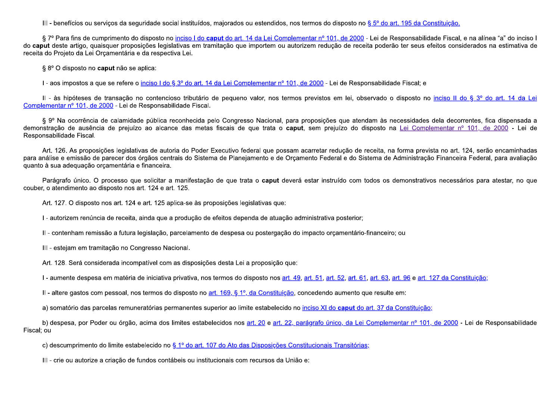III - benefícios ou serviços da seguridade social instituídos, majorados ou estendidos, nos termos do disposto no § 5º do art. 195 da Constituição.

§ 7º Para fins de cumprimento do disposto no inciso I do caput do art. 14 da Lei Complementar nº 101, de 2000 - Lei de Responsabilidade Fiscal, e na alínea "a" do inciso I do caput deste artigo, quaisquer proposicões legislativas em tramitação que importem ou autorizem redução de receita poderão ter seus efeitos considerados na estimativa de receita do Proieto da Lei Orcamentária e da respectiva Lei.

§ 8° O disposto no caput não se aplica:

I - aos impostos a que se refere o inciso I do § 3º do art. 14 da Lei Complementar nº 101, de 2000 - Lei de Responsabilidade Fiscal; e

II - às hipóteses de transação no contencioso tributário de pequeno valor, nos termos previstos em lei, observado o disposto no inciso II do § 3º do art. 14 da Lei Complementar nº 101, de 2000 - Lei de Responsabilidade Fiscal.

§ 9º Na ocorrência de calamidade pública reconhecida pelo Congresso Nacional, para proposições que atendam às necessidades dela decorrentes, fica dispensada a demonstração de ausência de prejuízo ao alcance das metas fiscais de que trata o caput, sem prejuízo do disposto na Lei Complementar nº 101, de 2000 - Lei de Responsabilidade Fiscal.

Art. 126. As proposições legislativas de autoria do Poder Executivo federal que possam acarretar redução de receita, na forma prevista no art. 124, serão encaminhadas para análise e emissão de parecer dos órgãos centrais do Sistema de Planejamento e de Orcamento Federal e do Sistema de Administração Financeira Federal, para avaliação quanto à sua adequação orçamentária e financeira.

Parágrafo único. O processo que solicitar a manifestação de que trata o caput deverá estar instruído com todos os demonstrativos necessários para atestar, no que couber, o atendimento ao disposto nos art. 124 e art. 125.

Art. 127. O disposto nos art. 124 e art. 125 aplica-se às proposições legislativas que:

I - autorizem renúncia de receita, ainda que a produção de efeitos dependa de atuação administrativa posterior;

II - contenham remissão a futura legislação, parcelamento de despesa ou postergação do impacto orcamentário-financeiro; ou

III - estejam em tramitação no Congresso Nacional.

Art. 128. Será considerada incompatível com as disposições desta Lei a proposição que:

I - aumente despesa em matéria de iniciativa privativa, nos termos do disposto nos art. 49, art. 51, art. 52, art. 61, art. 63, art. 96 e art. 127 da Constituição;

II - altere gastos com pessoal, nos termos do disposto no art. 169, § 1º, da Constituição, concedendo aumento que resulte em:

a) somatório das parcelas remuneratórias permanentes superior ao limite estabelecido no inciso XI do caput do art. 37 da Constituição:

b) despesa, por Poder ou órgão, acima dos limites estabelecidos nos art. 20 e art. 22, parágrafo único, da Lei Complementar nº 101, de 2000 - Lei de Responsabilidade Fiscal; ou

c) descumprimento do limite estabelecido no § 1º do art. 107 do Ato das Disposições Constitucionais Transitórias;

III - crie ou autorize a criação de fundos contábeis ou institucionais com recursos da União e: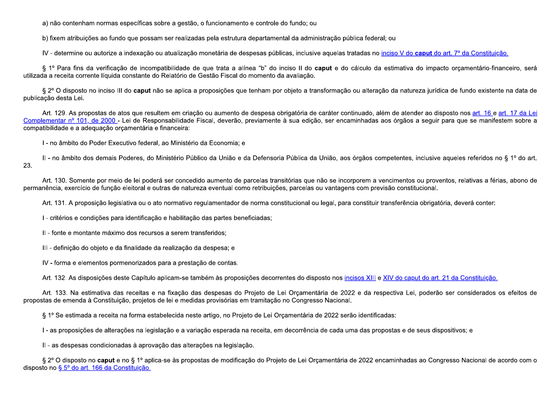a) não contenham normas específicas sobre a gestão, o funcionamento e controle do fundo; ou

b) fixem atribuições ao fundo que possam ser realizadas pela estrutura departamental da administração pública federal; ou

IV - determine ou autorize a indexação ou atualização monetária de despesas públicas, inclusive aquelas tratadas no inciso V do caput do art. 7º da Constituição.

§ 1º Para fins da verificação de incompatibilidade de que trata a alínea "b" do inciso II do caput e do cálculo da estimativa do impacto orcamentário-financeiro, será utilizada a receita corrente líquida constante do Relatório de Gestão Fiscal do momento da avaliação.

§ 2º O disposto no inciso III do caput não se aplica a proposições que tenham por objeto a transformação ou alteração da natureza jurídica de fundo existente na data de publicação desta Lei.

Art. 129. As propostas de atos que resultem em criação ou aumento de despesa obrigatória de caráter continuado, além de atender ao disposto nos art. 16 e art. 17 da Lei Complementar nº 101, de 2000 - Lei de Responsabilidade Fiscal, deverão, previamente à sua edição, ser encaminhadas aos órgãos a seguir para que se manifestem sobre a compatibilidade e a adequação orçamentária e financeira:

I - no âmbito do Poder Executivo federal, ao Ministério da Economia; e

II - no âmbito dos demais Poderes, do Ministério Público da União e da Defensoria Pública da União, aos órgãos competentes, inclusive aqueles referidos no § 1º do art. 23.

Art. 130. Somente por meio de lei poderá ser concedido aumento de parcelas transitórias que não se incorporem a vencimentos ou proventos, relativas a férias, abono de permanência, exercício de função eleitoral e outras de natureza eventual como retribuições, parcelas ou vantagens com previsão constitucional.

Art. 131. A proposição legislativa ou o ato normativo regulamentador de norma constitucional ou legal, para constituir transferência obrigatória, deverá conter:

I - critérios e condições para identificação e habilitação das partes beneficiadas;

II - fonte e montante máximo dos recursos a serem transferidos;

III-definição do objeto e da finalidade da realização da despesa; e

IV - forma e elementos pormenorizados para a prestação de contas.

Art. 132. As disposições deste Capítulo aplicam-se também às proposições decorrentes do disposto nos incisos XIII e XIV do caput do art. 21 da Constituição.

Art. 133. Na estimativa das receitas e na fixação das despesas do Projeto de Lei Orcamentária de 2022 e da respectiva Lei, poderão ser considerados os efeitos de propostas de emenda à Constituição, projetos de lei e medidas provisórias em tramitação no Congresso Nacional.

§ 1º Se estimada a receita na forma estabelecida neste artigo, no Projeto de Lei Orcamentária de 2022 serão identificadas:

I - as proposições de alterações na legislação e a variação esperada na receita, em decorrência de cada uma das propostas e de seus dispositivos; e

II - as despesas condicionadas à aprovação das alterações na legislação.

§ 2º O disposto no caput e no § 1º aplica-se às propostas de modificação do Projeto de Lei Orcamentária de 2022 encaminhadas ao Congresso Nacional de acordo com o disposto no § 5º do art. 166 da Constituição.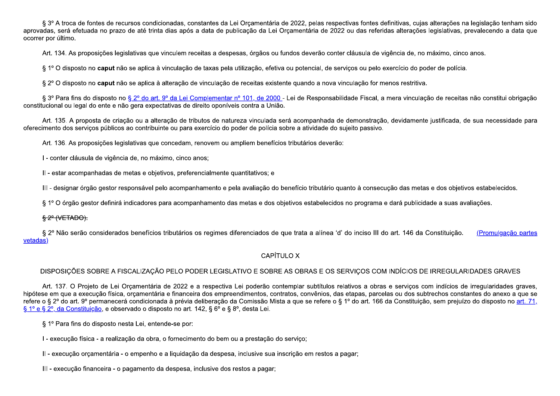§ 3º A troca de fontes de recursos condicionadas, constantes da Lei Orçamentária de 2022, pelas respectivas fontes definitivas, cujas alterações na legislação tenham sido aprovadas, será efetuada no prazo de até trinta dias após a data de publicação da Lei Orcamentária de 2022 ou das referidas alterações legislativas, prevalecendo a data que ocorrer por último.

Art. 134. As proposições legislativas que vinculem receitas a despesas, órgãos ou fundos deverão conter cláusula de vigência de, no máximo, cinco anos.

§ 1º O disposto no caput não se aplica à vinculação de taxas pela utilização, efetiva ou potencial, de serviços ou pelo exercício do poder de polícia.

§ 2º O disposto no caput não se aplica à alteração de vinculação de receitas existente quando a nova vinculação for menos restritiva.

§ 3º Para fins do disposto no § 2º do art. 9º da Lei Complementar nº 101, de 2000 - Lei de Responsabilidade Fiscal, a mera vinculação de receitas não constitui obrigação constitucional ou legal do ente e não gera expectativas de direito oponíveis contra a União.

Art. 135. A proposta de criação ou a alteração de tributos de natureza vinculada será acompanhada de demonstração, devidamente justificada, de sua necessidade para oferecimento dos servicos públicos ao contribuinte ou para exercício do poder de polícia sobre a atividade do sujeito passivo.

Art. 136. As proposições legislativas que concedam, renovem ou ampliem benefícios tributários deverão:

I - conter cláusula de vigência de, no máximo, cinco anos;

II - estar acompanhadas de metas e objetivos, preferencialmente quantitativos; e

III - designar órgão gestor responsável pelo acompanhamento e pela avaliação do benefício tributário quanto à consecução das metas e dos objetivos estabelecidos.

§ 1º O órgão gestor definirá indicadores para acompanhamento das metas e dos objetivos estabelecidos no programa e dará publicidade a suas avaliações.

# $$2^{\circ}$  (VETADO).

§ 2º Não serão considerados benefícios tributários os regimes diferenciados de que trata a alínea 'd' do inciso III do art. 146 da Constituição. (Promulgação partes vetadas

# CAPÍTULO X

# DISPOSICÕES SOBRE A FISCALIZAÇÃO PELO PODER LEGISLATIVO E SOBRE AS OBRAS E OS SERVICOS COM INDÍCIOS DE IRREGULARIDADES GRAVES

Art. 137. O Projeto de Lei Orçamentária de 2022 e a respectiva Lei poderão contemplar subtítulos relativos a obras e serviços com indícios de irregularidades graves, hipótese em que a execução física, orcamentária e financeira dos empreendimentos, contratos, convênios, das etapas, parcelas ou dos subtrechos constantes do anexo a que se refere o § 2º do art. 9º permanecerá condicionada à prévia deliberação da Comissão Mista a que se refere o § 1º do art. 166 da Constituição, sem prejuízo do disposto no art. 71, § 1º e § 2º, da Constituição, e observado o disposto no art. 142, § 6º e § 8º, desta Lei.

§ 1º Para fins do disposto nesta Lei, entende-se por:

I - execução física - a realização da obra, o fornecimento do bem ou a prestação do servico;

II - execução orçamentária - o empenho e a liquidação da despesa, inclusive sua inscrição em restos a pagar;

III - execução financeira - o pagamento da despesa, inclusive dos restos a pagar;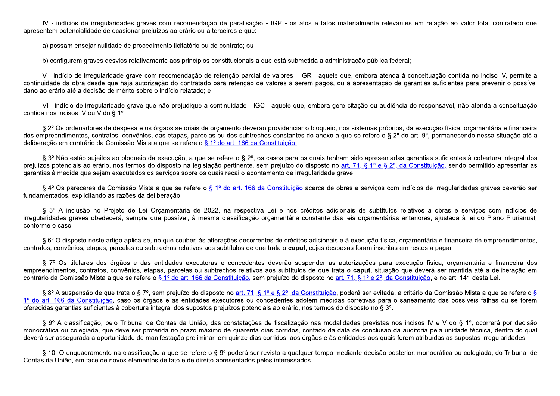IV - indícios de irregularidades graves com recomendação de paralisação - IGP - os atos e fatos materialmente relevantes em relação ao valor total contratado que apresentem potencialidade de ocasionar prejuízos ao erário ou a terceiros e que:

a) possam ensejar nulidade de procedimento licitatório ou de contrato; ou

b) configurem graves desvios relativamente aos princípios constitucionais a que está submetida a administração pública federal;

V - indício de irregularidade grave com recomendação de retenção parcial de valores - IGR - aquele que, embora atenda à conceituação contida no inciso IV, permite a continuidade da obra desde que haja autorização do contratado para retenção de valores a serem pagos, ou a apresentação de garantias suficientes para prevenir o possível dano ao erário até a decisão de mérito sobre o indício relatado: e

VI-indício de irregularidade grave que não prejudique a continuidade - IGC - aquele que, embora gere citação ou audiência do responsável, não atenda à conceituação contida nos incisos IV ou V do § 1º.

§ 2º Os ordenadores de despesa e os órgãos setoriais de orcamento deverão providenciar o bloqueio, nos sistemas próprios, da execução física, orçamentária e financeira dos empreendimentos, contratos, convênios, das etapas, parcelas ou dos subtrechos constantes do anexo a que se refere o § 2° do art. 9°, permanecendo nessa situação até a deliberação em contrário da Comissão Mista a que se refere o § 1º do art. 166 da Constituição.

§ 3º Não estão sujeitos ao bloqueio da execução, a que se refere o § 2º, os casos para os quais tenham sido apresentadas garantias suficientes à cobertura integral dos prejuízos potenciais ao erário, nos termos do disposto na legislação pertinente, sem prejuízo do disposto no art. 71, § 1º e § 2º, da Constituição, sendo permitido apresentar as garantias à medida que sejam executados os servicos sobre os quais recai o apontamento de irregularidade grave.

§ 4º Os pareceres da Comissão Mista a que se refere o § 1º do art. 166 da Constituição acerca de obras e serviços com indícios de irregularidades graves deverão ser fundamentados, explicitando as razões da deliberação.

§ 5º A inclusão no Projeto de Lei Orcamentária de 2022, na respectiva Lei e nos créditos adicionais de subtítulos relativos a obras e servicos com indícios de irregularidades graves obedecerá, sempre que possível, à mesma classificação orcamentária constante das leis orcamentárias anteriores, ajustada à lei do Plano Plurianual, conforme o caso.

§ 6° O disposto neste artigo aplica-se, no que couber, às alterações decorrentes de créditos adicionais e à execução física, orcamentária e financeira de empreendimentos, contratos, convênios, etapas, parcelas ou subtrechos relativos aos subtítulos de que trata o caput, cujas despesas foram inscritas em restos a pagar.

§ 7° Os titulares dos órgãos e das entidades executoras e concedentes deverão suspender as autorizações para execução física, orcamentária e financeira dos empreendimentos, contratos, convênios, etapas, parcelas ou subtrechos relativos aos subtítulos de que trata o caput, situação que deverá ser mantida até a deliberação em contrário da Comissão Mista a que se refere o § 1º do art. 166 da Constituição, sem prejuízo do disposto no art. 71, § 1º e 2º, da Constituição, e no art. 141 desta Lei.

§ 8º A suspensão de que trata o § 7º, sem prejuízo do disposto no art. 71, § 1º e § 2º, da Constituição, poderá ser evitada, a critério da Comissão Mista a que se refere o § 1º do art. 166 da Constituição, caso os órgãos e as entidades executores ou concedentes adotem medidas corretivas para o saneamento das possíveis falhas ou se forem oferecidas garantias suficientes à cobertura integral dos supostos prejuízos potenciais ao erário, nos termos do disposto no § 3°.

§ 9º A classificação, pelo Tribunal de Contas da União, das constatações de fiscalização nas modalidades previstas nos incisos IV e V do § 1º, ocorrerá por decisão monocrática ou colegiada, que deve ser proferida no prazo máximo de quarenta dias corridos, contado da data de conclusão da auditoria pela unidade técnica, dentro do qual deverá ser assegurada a oportunidade de manifestação preliminar, em quinze dias corridos, aos órgãos e às entidades aos quais forem atribuídas as supostas irregularidades.

§ 10. O enquadramento na classificação a que se refere o § 9º poderá ser revisto a qualquer tempo mediante decisão posterior, monocrática ou colegiada, do Tribunal de Contas da União, em face de novos elementos de fato e de direito apresentados pelos interessados.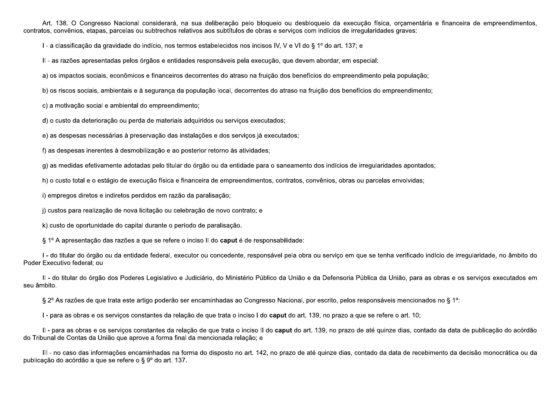Art. 138. O Congresso Nacional considerará, na sua deliberação pelo bloqueio ou desbloqueio da execução física, orçamentária e financeira de empreendimentos, contratos, convênios, etapas, parcelas ou subtrechos relativos aos subtítulos de obras e serviços com indícios de irregularidades graves:

I - a classificação da gravidade do indício, nos termos estabelecidos nos incisos IV, V e VI do § 1º do art. 137; e

II - as razões apresentadas pelos órgãos e entidades responsáveis pela execução, que devem abordar, em especial:

a) os impactos sociais, econômicos e financeiros decorrentes do atraso na fruição dos benefícios do empreendimento pela população;

b) os riscos sociais, ambientais e à segurança da população local, decorrentes do atraso na fruição dos benefícios do empreendimento;

c) a motivação social e ambiental do empreendimento;

d) o custo da deterioração ou perda de materiais adquiridos ou serviços executados;

e) as despesas necessárias à preservação das instalações e dos serviços já executados;

f) as despesas inerentes à desmobilização e ao posterior retorno às atividades;

g) as medidas efetivamente adotadas pelo titular do órgão ou da entidade para o saneamento dos indícios de irregularidades apontados;

h) o custo total e o estágio de execução física e financeira de empreendimentos, contratos, convênios, obras ou parcelas envolvidas;

i) empregos diretos e indiretos perdidos em razão da paralisação;

j) custos para realização de nova licitação ou celebração de novo contrato; e

k) custo de oportunidade do capital durante o período de paralisação.

§ 1º A apresentação das razões a que se refere o inciso II do caput é de responsabilidade:

I - do titular do órgão ou da entidade federal, executor ou concedente, responsável pela obra ou serviço em que se tenha verificado indício de irregularidade, no âmbito do Poder Executivo federal; ou

II - do titular do órgão dos Poderes Legislativo e Judiciário, do Ministério Público da União e da Defensoria Pública da União, para as obras e os serviços executados em seu âmbito.

§ 2° As razões de que trata este artigo poderão ser encaminhadas ao Congresso Nacional, por escrito, pelos responsáveis mencionados no § 1°:

I - para as obras e os servicos constantes da relação de que trata o inciso I do **caput** do art. 139, no prazo a que se refere o art. 10;

II - para as obras e os serviços constantes da relação de que trata o inciso II do caput do art. 139, no prazo de até quinze dias, contado da data de publicação do acórdão do Tribunal de Contas da União que aprove a forma final da mencionada relação; e

III - no caso das informações encaminhadas na forma do disposto no art. 142, no prazo de até quinze dias, contado da data de recebimento da decisão monocrática ou da publicação do acórdão a que se refere o § 9º do art. 137.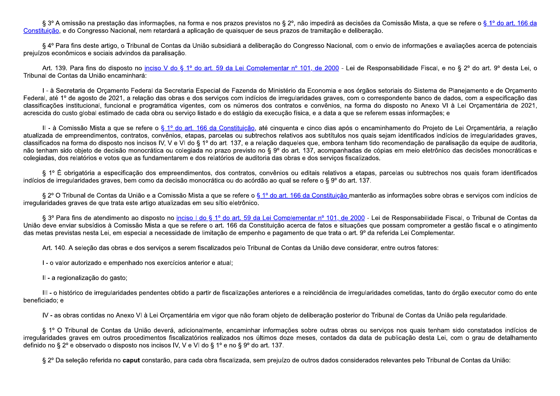§ 3º A omissão na prestação das informações, na forma e nos prazos previstos no § 2º, não impedirá as decisões da Comissão Mista, a que se refere o § 1º do art. 166 da Constituição, e do Congresso Nacional, nem retardará a aplicação de quaisquer de seus prazos de tramitação e deliberação,

§ 4º Para fins deste artigo, o Tribunal de Contas da União subsidiará a deliberação do Congresso Nacional, com o envio de informações e avaliações acerca de potenciais prejuízos econômicos e sociais advindos da paralisação.

Art. 139. Para fins do disposto no inciso V do § 1º do art. 59 da Lei Complementar nº 101, de 2000 - Lei de Responsabilidade Fiscal, e no § 2º do art. 9º desta Lei, o Tribunal de Contas da União encaminhará:

I - à Secretaria de Orcamento Federal da Secretaria Especial de Fazenda do Ministério da Economia e aos órgãos setoriais do Sistema de Planejamento e de Orcamento Federal, até 1º de agosto de 2021, a relação das obras e dos serviços com indícios de irregularidades graves, com o correspondente banco de dados, com a especificação das classificações institucional, funcional e programática vigentes, com os números dos contratos e convênios, na forma do disposto no Anexo VI à Lei Orcamentária de 2021, acrescida do custo global estimado de cada obra ou servico listado e do estágio da execução física, e a data a que se referem essas informações; e

II - à Comissão Mista a que se refere o § 1º do art. 166 da Constituição, até cinquenta e cinco dias após o encaminhamento do Projeto de Lei Orcamentária, a relação atualizada de empreendimentos, contratos, convênios, etapas, parcelas ou subtrechos relativos aos subtítulos nos quais sejam identificados indícios de irregularidades graves, classificados na forma do disposto nos incisos IV, V e VI do § 1º do art. 137, e a relação daqueles que, embora tenham tido recomendação de paralisação da equipe de auditoria, não tenham sido objeto de decisão monocrática ou colegiada no prazo previsto no § 9º do art. 137, acompanhadas de cópias em meio eletrônico das decisões monocráticas e colegiadas, dos relatórios e votos que as fundamentarem e dos relatórios de auditoria das obras e dos servicos fiscalizados.

§ 1º É obrigatória a especificação dos empreendimentos, dos contratos, convênios ou editais relativos a etapas, parcelas ou subtrechos nos quais foram identificados indícios de irregularidades graves, bem como da decisão monocrática ou do acórdão ao qual se refere o § 9º do art. 137.

§ 2º O Tribunal de Contas da União e a Comissão Mista a que se refere o § 1º do art. 166 da Constituição manterão as informações sobre obras e serviços com indícios de irregularidades graves de que trata este artigo atualizadas em seu sítio eletrônico.

§ 3º Para fins de atendimento ao disposto no inciso I do § 1º do art. 59 da Lei Complementar nº 101, de 2000 - Lei de Responsabilidade Fiscal, o Tribunal de Contas da União deve enviar subsídios à Comissão Mista a que se refere o art. 166 da Constituição acerca de fatos e situações que possam comprometer a gestão fiscal e o atingimento das metas previstas nesta Lei, em especial a necessidade de limitação de empenho e pagamento de que trata o art. 9º da referida Lei Complementar.

Art. 140. A seleção das obras e dos servicos a serem fiscalizados pelo Tribunal de Contas da União deve considerar, entre outros fatores:

I - o valor autorizado e empenhado nos exercícios anterior e atual;

II - a regionalização do gasto;

III - o histórico de irregularidades pendentes obtido a partir de fiscalizações anteriores e a reincidência de irregularidades cometidas, tanto do órgão executor como do ente beneficiado; e

IV - as obras contidas no Anexo VI à Lei Orcamentária em vigor que não foram objeto de deliberação posterior do Tribunal de Contas da União pela regularidade.

§ 1° O Tribunal de Contas da União deverá, adicionalmente, encaminhar informações sobre outras obras ou serviços nos quais tenham sido constatados indícios de irregularidades graves em outros procedimentos fiscalizatórios realizados nos últimos doze meses, contados da data de publicação desta Lei, com o grau de detalhamento definido no § 2º e observado o disposto nos incisos IV, V e VI do § 1º e no § 9º do art. 137.

§ 2º Da seleção referida no caput constarão, para cada obra fiscalizada, sem prejuízo de outros dados considerados relevantes pelo Tribunal de Contas da União: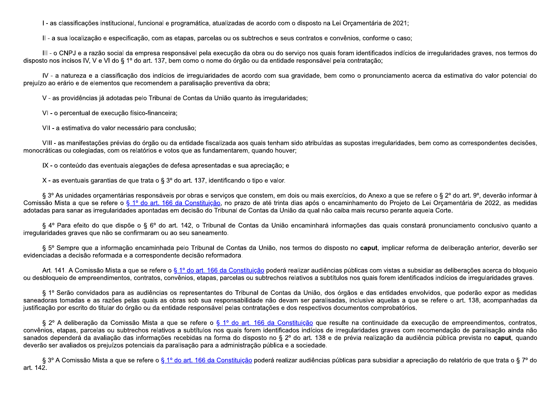I - as classificações institucional, funcional e programática, atualizadas de acordo com o disposto na Lei Orcamentária de 2021;

II - a sua localização e especificação, com as etapas, parcelas ou os subtrechos e seus contratos e convênios, conforme o caso;

III - o CNPJ e a razão social da empresa responsável pela execução da obra ou do serviço nos quais foram identificados indícios de irregularidades graves, nos termos do disposto nos incisos IV, V e VI do § 1º do art. 137, bem como o nome do órgão ou da entidade responsável pela contratação;

IV - a natureza e a classificação dos indícios de irregularidades de acordo com sua gravidade, bem como o pronunciamento acerca da estimativa do valor potencial do prejuízo ao erário e de elementos que recomendem a paralisação preventiva da obra;

V - as providências já adotadas pelo Tribunal de Contas da União quanto às irregularidades;

VI - o percentual de execução físico-financeira;

VII - a estimativa do valor necessário para conclusão;

VIII - as manifestações prévias do órgão ou da entidade fiscalizada aos quais tenham sido atribuídas as supostas irregularidades, bem como as correspondentes decisões, monocráticas ou colegiadas, com os relatórios e votos que as fundamentarem, quando houver;

IX - o conteúdo das eventuais alegações de defesa apresentadas e sua apreciação; e

X - as eventuais garantias de que trata o §  $3^{\circ}$  do art. 137, identificando o tipo e valor.

§ 3° As unidades orcamentárias responsáveis por obras e servicos que constem, em dois ou mais exercícios, do Anexo a que se refere o § 2° do art. 9°, deverão informar à Comissão Mista a que se refere o § 1º do art. 166 da Constituição, no prazo de até trinta dias após o encaminhamento do Projeto de Lei Orcamentária de 2022, as medidas adotadas para sanar as irregularidades apontadas em decisão do Tribunal de Contas da União da gual não caiba mais recurso perante aguela Corte.

§ 4º Para efeito do que dispõe o § 6º do art. 142, o Tribunal de Contas da União encaminhará informações das quais constará pronunciamento conclusivo quanto a irregularidades graves que não se confirmaram ou ao seu saneamento.

§ 5º Sempre que a informação encaminhada pelo Tribunal de Contas da União, nos termos do disposto no caput, implicar reforma de deliberação anterior, deverão ser evidenciadas a decisão reformada e a correspondente decisão reformadora.

Art. 141. A Comissão Mista a que se refere o § 1º do art. 166 da Constituição poderá realizar audiências públicas com vistas a subsidiar as deliberações acerca do bloqueio ou desbloqueio de empreendimentos, contratos, convênios, etapas, parcelas ou subtrechos relativos a subtítulos nos quais forem identificados indícios de irregularidades graves.

§ 1º Serão convidados para as audiências os representantes do Tribunal de Contas da União, dos órgãos e das entidades envolvidos, que poderão expor as medidas saneadoras tomadas e as razões pelas quais as obras sob sua responsabilidade não devam ser paralisadas, inclusive aquelas a que se refere o art. 138, acompanhadas da justificação por escrito do titular do órgão ou da entidade responsável pelas contratações e dos respectivos documentos comprobatórios.

§ 2º A deliberação da Comissão Mista a que se refere o § 1º do art. 166 da Constituição que resulte na continuidade da execução de empreendimentos, contratos, convênios, etapas, parcelas ou subtrechos relativos a subtítulos nos quais forem identificados indícios de irregularidades graves com recomendação de paralisação ainda não sanados dependerá da avaliação das informações recebidas na forma do disposto no § 2º do art. 138 e de prévia realização da audiência pública prevista no caput, quando deverão ser avaliados os prejuízos potenciais da paralisação para a administração pública e a sociedade.

§ 3º A Comissão Mista a que se refere o § 1º do art. 166 da Constituição poderá realizar audiências públicas para subsidiar a apreciação do relatório de que trata o § 7º do art. 142.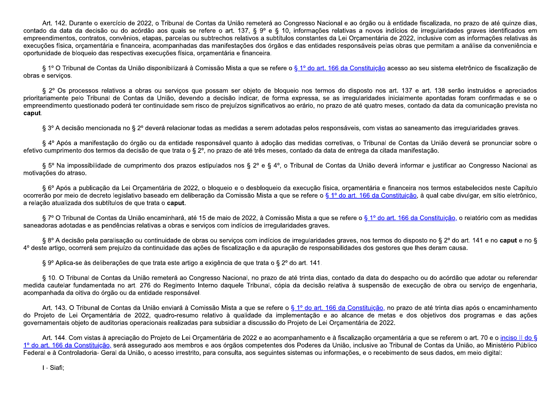Art. 142. Durante o exercício de 2022, o Tribunal de Contas da União remeterá ao Congresso Nacional e ao órgão ou à entidade fiscalizada, no prazo de até quinze dias, contado da data da decisão ou do acórdão aos quais se refere o art. 137, § 9º e § 10, informações relativas a novos indícios de irregularidades graves identificados em empreendimentos, contratos, convênios, etapas, parcelas ou subtrechos relativos a subtítulos constantes da Lei Orcamentária de 2022, inclusive com as informações relativas às execuções física, orçamentária e financeira, acompanhadas das manifestações dos órgãos e das entidades responsáveis pelas obras que permitam a análise da conveniência e oportunidade de bloqueio das respectivas execuções física, orcamentária e financeira.

§ 1º O Tribunal de Contas da União disponibilizará à Comissão Mista a que se refere o § 1º do art. 166 da Constituição acesso ao seu sistema eletrônico de fiscalização de obras e serviços.

§ 2° Os processos relativos a obras ou servicos que possam ser objeto de bloqueio nos termos do disposto nos art. 137 e art. 138 serão instruídos e apreciados prioritariamente pelo Tribunal de Contas da União, devendo a decisão indicar, de forma expressa, se as irregularidades inicialmente apontadas foram confirmadas e se o empreendimento questionado poderá ter continuidade sem risco de prejuízos significativos ao erário, no prazo de até quatro meses, contado da data da comunicação prevista no caput.

§ 3º A decisão mencionada no § 2º deverá relacionar todas as medidas a serem adotadas pelos responsáveis, com vistas ao saneamento das irregularidades graves.

§ 4º Após a manifestação do órgão ou da entidade responsável quanto à adoção das medidas corretivas, o Tribunal de Contas da União deverá se pronunciar sobre o efetivo cumprimento dos termos da decisão de que trata o § 2º, no prazo de até três meses, contado da data de entrega da citada manifestação.

§ 5° Na impossibilidade de cumprimento dos prazos estipulados nos § 2° e § 4°, o Tribunal de Contas da União deverá informar e justificar ao Congresso Nacional as motivações do atraso.

§ 6º Após a publicação da Lei Orcamentária de 2022, o bloqueio e o desbloqueio da execução física, orcamentária e financeira nos termos estabelecidos neste Capítulo ocorrerão por meio de decreto legislativo baseado em deliberação da Comissão Mista a que se refere o § 1º do art. 166 da Constituição, à qual cabe divulgar, em sítio eletrônico, a relação atualizada dos subtítulos de que trata o caput.

§7° O Tribunal de Contas da União encaminhará, até 15 de maio de 2022, à Comissão Mista a que se refere o § 1° do art. 166 da Constituição, o relatório com as medidas saneadoras adotadas e as pendências relativas a obras e servicos com indícios de irregularidades graves.

§ 8º A decisão pela paralisação ou continuidade de obras ou servicos com indícios de irregularidades graves, nos termos do disposto no § 2º do art. 141 e no caput e no § 4º deste artigo, ocorrerá sem prejuízo da continuidade das ações de fiscalização e da apuração de responsabilidades dos gestores que lhes deram causa.

§ 9º Aplica-se às deliberações de que trata este artigo a exigência de que trata o § 2º do art. 141.

§ 10. O Tribunal de Contas da União remeterá ao Congresso Nacional, no prazo de até trinta dias, contado da data do despacho ou do acórdão que adotar ou referendar medida cautelar fundamentada no art. 276 do Regimento Interno daguele Tribunal, cópia da decisão relativa à suspensão de execução de obra ou servico de engenharia, acompanhada da oitiva do órgão ou da entidade responsável.

Art. 143. O Tribunal de Contas da União enviará à Comissão Mista a que se refere o § 1º do art. 166 da Constituição, no prazo de até trinta dias após o encaminhamento do Projeto de Lei Orcamentária de 2022, quadro-resumo relativo à qualidade da implementação e ao alcance de metas e dos objetivos dos programas e das ações governamentais objeto de auditorias operacionais realizadas para subsidiar a discussão do Projeto de Lei Orcamentária de 2022.

Art. 144. Com vistas à apreciação do Projeto de Lei Orcamentária de 2022 e ao acompanhamento e à fiscalização orcamentária a que se referem o art. 70 e o inciso II do § 1º do art. 166 da Constituição, será assegurado aos membros e aos órgãos competentes dos Poderes da União, inclusive ao Tribunal de Contas da União, ao Ministério Público Federal e à Controladoria- Geral da União, o acesso irrestrito, para consulta, aos seguintes sistemas ou informações, e o recebimento de seus dados, em meio digital:

I - Siafi;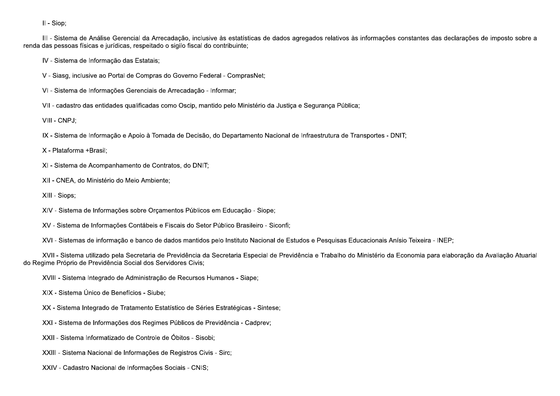II - Siop;

III - Sistema de Análise Gerencial da Arrecadação, inclusive às estatísticas de dados agregados relativos às informações constantes das declarações de imposto sobre a renda das pessoas físicas e jurídicas, respeitado o sigilo fiscal do contribuinte;

IV - Sistema de Informação das Estatais;

V - Siasg, inclusive ao Portal de Compras do Governo Federal - ComprasNet;

VI - Sistema de Informações Gerenciais de Arrecadação - Informar;

VII - cadastro das entidades qualificadas como Oscip, mantido pelo Ministério da Justica e Segurança Pública;

VIII - CNPJ;

IX - Sistema de Informação e Apoio à Tomada de Decisão, do Departamento Nacional de Infraestrutura de Transportes - DNIT;

X - Plataforma +Brasil;

XI - Sistema de Acompanhamento de Contratos, do DNIT;

XII - CNEA, do Ministério do Meio Ambiente;

XIII - Siops;

XIV - Sistema de Informações sobre Orçamentos Públicos em Educação - Siope;

XV - Sistema de Informações Contábeis e Fiscais do Setor Público Brasileiro - Siconfi;

XVI - Sistemas de informação e banco de dados mantidos pelo Instituto Nacional de Estudos e Pesquisas Educacionais Anísio Teixeira - INEP;

XVII - Sistema utilizado pela Secretaria de Previdência da Secretaria Especial de Previdência e Trabalho do Ministério da Economia para elaboração da Avaliação Atuarial do Regime Próprio de Previdência Social dos Servidores Civis;

XVIII - Sistema Integrado de Administração de Recursos Humanos - Siape;

XIX - Sistema Único de Benefícios - Siube;

XX - Sistema Integrado de Tratamento Estatístico de Séries Estratégicas - Sintese;

XXI - Sistema de Informações dos Regimes Públicos de Previdência - Cadprev;

XXII - Sistema Informatizado de Controle de Óbitos - Sisobi;

XXIII - Sistema Nacional de Informações de Registros Civis - Sirc;

XXIV - Cadastro Nacional de Informações Sociais - CNIS;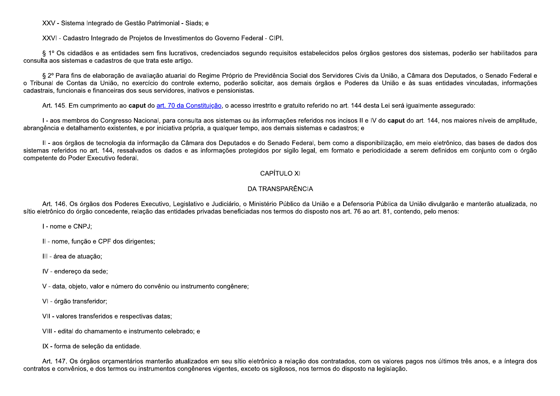XXV - Sistema Integrado de Gestão Patrimonial - Siads; e

XXVI - Cadastro Integrado de Projetos de Investimentos do Governo Federal - CIPI.

§ 1º Os cidadãos e as entidades sem fins lucrativos, credenciados segundo reguisitos estabelecidos pelos órgãos gestores dos sistemas, poderão ser habilitados para consulta aos sistemas e cadastros de que trata este artigo.

§ 2º Para fins de elaboração de avaliação atuarial do Regime Próprio de Previdência Social dos Servidores Civis da União, a Câmara dos Deputados, o Senado Federal e o Tribunal de Contas da União, no exercício do controle externo, poderão solicitar, aos demais órgãos e Poderes da União e às suas entidades vinculadas, informações cadastrais, funcionais e financeiras dos seus servidores, inativos e pensionistas.

Art. 145. Em cumprimento ao caput do art. 70 da Constituição, o acesso irrestrito e gratuito referido no art. 144 desta Lei será igualmente assegurado:

I - aos membros do Congresso Nacional, para consulta aos sistemas ou às informações referidos nos incisos II e IV do caput do art. 144, nos maiores níveis de amplitude, abrangência e detalhamento existentes, e por iniciativa própria, a qualquer tempo, aos demais sistemas e cadastros; e

II - aos órgãos de tecnologia da informação da Câmara dos Deputados e do Senado Federal, bem como a disponibilização, em meio eletrônico, das bases de dados dos sistemas referidos no art. 144, ressalvados os dados e as informações protegidos por sigilo legal, em formato e periodicidade a serem definidos em conjunto com o órgão competente do Poder Executivo federal.

# **CAPÍTULO XI**

# DA TRANSPARÊNCIA

Art. 146. Os órgãos dos Poderes Executivo, Legislativo e Judiciário, o Ministério Público da União e a Defensoria Pública da União divulgarão e manterão atualizada, no sítio eletrônico do órgão concedente, relação das entidades privadas beneficiadas nos termos do disposto nos art. 76 ao art. 81, contendo, pelo menos:

I - nome e CNPJ;

II - nome, função e CPF dos dirigentes;

III - área de atuação;

IV - endereco da sede:

V - data, objeto, valor e número do convênio ou instrumento congênere;

VI - órgão transferidor;

VII - valores transferidos e respectivas datas;

VIII - edital do chamamento e instrumento celebrado; e

IX - forma de seleção da entidade.

Art. 147. Os órgãos orcamentários manterão atualizados em seu sítio eletrônico a relação dos contratados, com os valores pagos nos últimos três anos, e a íntegra dos contratos e convênios, e dos termos ou instrumentos congêneres vigentes, exceto os sigilosos, nos termos do disposto na legislação.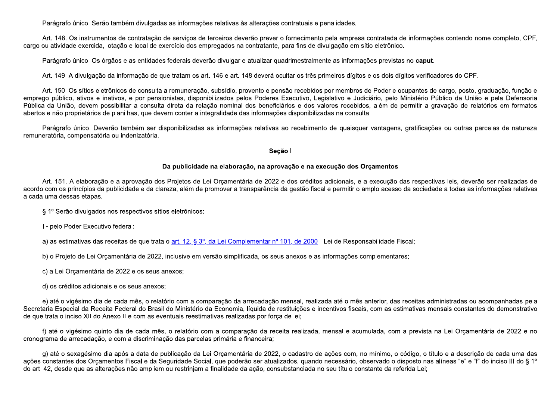Parágrafo único. Serão também divulgadas as informações relativas às alterações contratuais e penalidades.

Art. 148. Os instrumentos de contratação de serviços de terceiros deverão prever o fornecimento pela empresa contratada de informações contendo nome completo, CPF, cargo ou atividade exercida, lotação e local de exercício dos empregados na contratante, para fins de divulgação em sítio eletrônico.

Parágrafo único. Os órgãos e as entidades federais deverão divulgar e atualizar quadrimestralmente as informações previstas no caput.

Art. 149. A divulgação da informação de que tratam os art. 146 e art. 148 deverá ocultar os três primeiros dígitos e os dois dígitos verificadores do CPF.

Art. 150. Os sítios eletrônicos de consulta a remuneração, subsídio, provento e pensão recebidos por membros de Poder e ocupantes de cargo, posto, graduação, função e emprego público, ativos e inativos, e por pensionistas, disponibilizados pelos Poderes Executivo, Legislativo e Judiciário, pelo Ministério Público da União e pela Defensoria Pública da União, devem possibilitar a consulta direta da relação nominal dos beneficiários e dos valores recebidos, além de permitir a gravação de relatórios em formatos abertos e não proprietários de planilhas, que devem conter a integralidade das informações disponibilizadas na consulta.

Parágrafo único. Deverão também ser disponibilizadas as informações relativas ao recebimento de quaisquer vantagens, gratificações ou outras parcelas de natureza remuneratória, compensatória ou indenizatória.

### Seção I

# Da publicidade na elaboração, na aprovação e na execução dos Orçamentos

Art. 151. A elaboração e a aprovação dos Projetos de Lei Orcamentária de 2022 e dos créditos adicionais, e a execução das respectivas leis, deverão ser realizadas de acordo com os princípios da publicidade e da clareza, além de promover a transparência da gestão fiscal e permitir o amplo acesso da sociedade a todas as informações relativas a cada uma dessas etapas.

§ 1º Serão divulgados nos respectivos sítios eletrônicos:

I - pelo Poder Executivo federal:

a) as estimativas das receitas de que trata o art. 12, § 3º, da Lei Complementar nº 101, de 2000 - Lei de Responsabilidade Fiscal;

b) o Projeto de Lei Orçamentária de 2022, inclusive em versão simplificada, os seus anexos e as informações complementares;

c) a Lei Orcamentária de 2022 e os seus anexos;

d) os créditos adicionais e os seus anexos;

e) até o vigésimo dia de cada mês, o relatório com a comparação da arrecadação mensal, realizada até o mês anterior, das receitas administradas ou acompanhadas pela Secretaria Especial da Receita Federal do Brasil do Ministério da Economia, líquida de restituições e incentivos fiscais, com as estimativas mensais constantes do demonstrativo de que trata o inciso XII do Anexo II e com as eventuais reestimativas realizadas por forca de lei;

f) até o vigésimo quinto dia de cada mês, o relatório com a comparação da receita realizada, mensal e acumulada, com a prevista na Lei Orçamentária de 2022 e no cronograma de arrecadação, e com a discriminação das parcelas primária e financeira;

g) até o sexagésimo dia após a data de publicação da Lei Orçamentária de 2022, o cadastro de ações com, no mínimo, o código, o título e a descrição de cada uma das ações constantes dos Orçamentos Fiscal e da Seguridade Social, que poderão ser atualizados, quando necessário, observado o disposto nas alíneas "e" e "f" do inciso III do § 1º do art. 42, desde que as alterações não ampliem ou restrinjam a finalidade da ação, consubstanciada no seu título constante da referida Lei;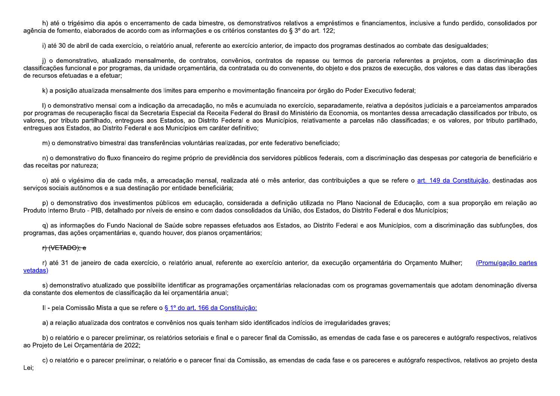h) até o trigésimo dia após o encerramento de cada bimestre, os demonstrativos relativos a empréstimos e financiamentos, inclusive a fundo perdido, consolidados por agência de fomento, elaborados de acordo com as informações e os critérios constantes do § 3º do art. 122;

i) até 30 de abril de cada exercício, o relatório anual, referente ao exercício anterior, de impacto dos programas destinados ao combate das desigualdades;

j) o demonstrativo, atualizado mensalmente, de contratos, convênios, contratos de repasse ou termos de parceria referentes a projetos, com a discriminação das classificações funcional e por programas, da unidade orcamentária, da contratada ou do convenente, do objeto e dos prazos de execução, dos valores e das datas das liberações de recursos efetuadas e a efetuar:

k) a posição atualizada mensalmente dos limites para empenho e movimentação financeira por órgão do Poder Executivo federal;

I) o demonstrativo mensal com a indicação da arrecadação, no mês e acumulada no exercício, separadamente, relativa a depósitos judiciais e a parcelamentos amparados por programas de recuperação fiscal da Secretaria Especial da Receita Federal do Brasil do Ministério da Economia, os montantes dessa arrecadação classificados por tributo, os valores, por tributo partilhado, entregues aos Estados, ao Distrito Federal e aos Municípios, relativamente a parcelas não classificadas; e os valores, por tributo partilhado, entregues aos Estados, ao Distrito Federal e aos Municípios em caráter definitivo;

m) o demonstrativo bimestral das transferências voluntárias realizadas, por ente federativo beneficiado;

n) o demonstrativo do fluxo financeiro do regime próprio de previdência dos servidores públicos federais, com a discriminação das despesas por categoria de beneficiário e das receitas por natureza;

o) até o vigésimo dia de cada mês, a arrecadação mensal, realizada até o mês anterior, das contribuições a que se refere o art. 149 da Constituição, destinadas aos serviços sociais autônomos e a sua destinação por entidade beneficiária;

p) o demonstrativo dos investimentos públicos em educação, considerada a definição utilizada no Plano Nacional de Educação, com a sua proporção em relação ao Produto Interno Bruto - PIB, detalhado por níveis de ensino e com dados consolidados da União, dos Estados, do Distrito Federal e dos Municípios;

g) as informações do Fundo Nacional de Saúde sobre repasses efetuados aos Estados, ao Distrito Federal e aos Municípios, com a discriminação das subfunções, dos programas, das ações orcamentárias e, quando houver, dos planos orcamentários;

### <del>r) (VETADO); e</del>

r) até 31 de janeiro de cada exercício, o relatório anual, referente ao exercício anterior, da execução orcamentária do Orcamento Mulher; (Promulgação partes vetadas)

s) demonstrativo atualizado que possibilite identificar as programações orcamentárias relacionadas com os programas governamentais que adotam denominação diversa da constante dos elementos de classificação da lei orcamentária anual;

II - pela Comissão Mista a que se refere o § 1º do art. 166 da Constituição:

a) a relação atualizada dos contratos e convênios nos quais tenham sido identificados indícios de irregularidades graves;

b) o relatório e o parecer preliminar, os relatórios setoriais e final e o parecer final da Comissão, as emendas de cada fase e os pareceres e autógrafo respectivos, relativos ao Projeto de Lei Orçamentária de 2022;

c) o relatório e o parecer preliminar, o relatório e o parecer final da Comissão, as emendas de cada fase e os pareceres e autógrafo respectivos, relativos ao projeto desta Lei: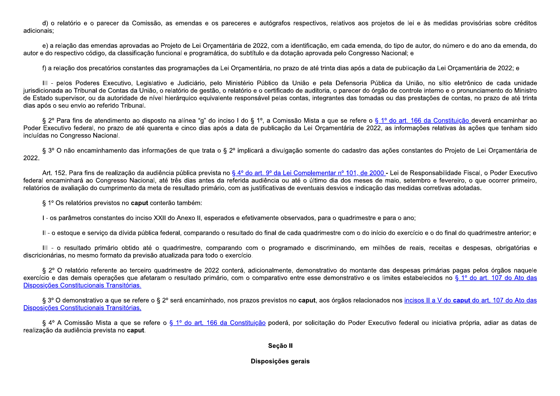d) o relatório e o parecer da Comissão, as emendas e os pareceres e autógrafos respectivos, relativos aos projetos de lei e às medidas provisórias sobre créditos adicionais:

e) a relação das emendas aprovadas ao Projeto de Lei Orçamentária de 2022, com a identificação, em cada emenda, do tipo de autor, do número e do ano da emenda, do autor e do respectivo código, da classificação funcional e programática, do subtítulo e da dotação aprovada pelo Congresso Nacional; e

f) a relação dos precatórios constantes das programações da Lei Orcamentária, no prazo de até trinta dias após a data de publicação da Lei Orcamentária de 2022; e

III - pelos Poderes Executivo, Legislativo e Judiciário, pelo Ministério Público da União e pela Defensoria Pública da União, no sítio eletrônico de cada unidade jurisdicionada ao Tribunal de Contas da União, o relatório de gestão, o relatório e o certificado de auditoria, o parecer do órgão de controle interno e o pronunciamento do Ministro de Estado supervisor, ou da autoridade de nível hierárquico equivalente responsável pelas contas, integrantes das tomadas ou das prestações de contas, no prazo de até trinta dias após o seu envio ao referido Tribunal.

§ 2º Para fins de atendimento ao disposto na alínea "q" do inciso I do § 1º, a Comissão Mista a que se refere o § 1º do art. 166 da Constituição deverá encaminhar ao Poder Executivo federal, no prazo de até quarenta e cinco dias após a data de publicação da Lei Orcamentária de 2022, as informações relativas às ações que tenham sido incluídas no Congresso Nacional.

§ 3º O não encaminhamento das informações de que trata o § 2º implicará a divulgação somente do cadastro das ações constantes do Projeto de Lei Orçamentária de 2022

Art. 152. Para fins de realização da audiência pública prevista no § 4º do art. 9º da Lei Complementar nº 101, de 2000 - Lei de Responsabilidade Fiscal, o Poder Executivo federal encaminhará ao Congresso Nacional, até três dias antes da referida audiência ou até o último dia dos meses de maio, setembro e fevereiro, o que ocorrer primeiro, relatórios de avaliação do cumprimento da meta de resultado primário, com as justificativas de eventuais desvios e indicação das medidas corretivas adotadas.

§ 1º Os relatórios previstos no caput conterão também:

I - os parâmetros constantes do inciso XXII do Anexo II, esperados e efetivamente observados, para o quadrimestre e para o ano;

Il - o estoque e servico da dívida pública federal, comparando o resultado do final de cada quadrimestre com o do início do exercício e o do final do quadrimestre anterior; e

III - o resultado primário obtido até o quadrimestre, comparando com o programado e discriminando, em milhões de reais, receitas e despesas, obrigatórias e discricionárias, no mesmo formato da previsão atualizada para todo o exercício.

§ 2º O relatório referente ao terceiro quadrimestre de 2022 conterá, adicionalmente, demonstrativo do montante das despesas primárias pagas pelos órgãos naquele exercício e das demais operações que afetaram o resultado primário, com o comparativo entre esse demonstrativo e os limites estabelecidos no § 1º do art. 107 do Ato das Disposições Constitucionais Transitórias.

§ 3° O demonstrativo a que se refere o § 2° será encaminhado, nos prazos previstos no caput, aos órgãos relacionados nos incisos II a V do caput do art. 107 do Ato das Disposições Constitucionais Transitórias.

§ 4º A Comissão Mista a que se refere o § 1º do art. 166 da Constituição poderá, por solicitação do Poder Executivo federal ou iniciativa própria, adiar as datas de realização da audiência prevista no caput.

### Seção II

## Disposições gerais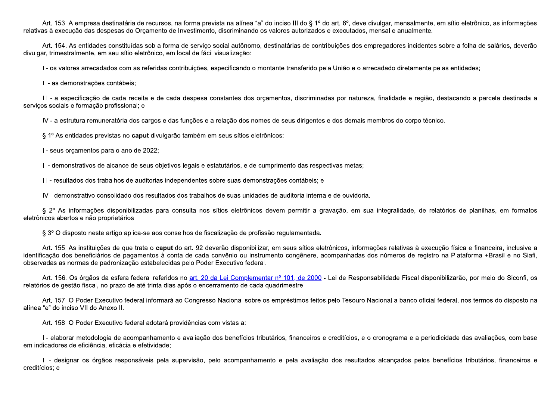Art. 153. A empresa destinatária de recursos, na forma prevista na alínea "a" do inciso III do § 1º do art. 6º, deve divulgar, mensalmente, em sítio eletrônico, as informações relativas à execução das despesas do Orçamento de Investimento, discriminando os valores autorizados e executados, mensal e anualmente.

Art. 154. As entidades constituídas sob a forma de servico social autônomo, destinatárias de contribuições dos empregadores incidentes sobre a folha de salários, deverão divulgar, trimestralmente, em seu sítio eletrônico, em local de fácil visualização:

I - os valores arrecadados com as referidas contribuições, especificando o montante transferido pela União e o arrecadado diretamente pelas entidades;

II - as demonstrações contábeis;

III - a especificação de cada receita e de cada despesa constantes dos orcamentos, discriminadas por natureza, finalidade e região, destacando a parcela destinada a serviços sociais e formação profissional; e

IV - a estrutura remuneratória dos cargos e das funções e a relação dos nomes de seus dirigentes e dos demais membros do corpo técnico.

§ 1º As entidades previstas no caput divulgarão também em seus sítios eletrônicos:

I - seus orcamentos para o ano de 2022;

II - demonstrativos de alcance de seus objetivos legais e estatutários, e de cumprimento das respectivas metas;

III - resultados dos trabalhos de auditorias independentes sobre suas demonstrações contábeis; e

IV - demonstrativo consolidado dos resultados dos trabalhos de suas unidades de auditoria interna e de ouvidoria.

§ 2º As informações disponibilizadas para consulta nos sítios eletrônicos devem permitir a gravação, em sua integralidade, de relatórios de planilhas, em formatos eletrônicos abertos e não proprietários.

§ 3º O disposto neste artigo aplica-se aos conselhos de fiscalização de profissão regulamentada.

Art. 155. As instituições de que trata o caput do art. 92 deverão disponibilizar, em seus sítios eletrônicos, informações relativas à execução física e financeira, inclusive a identificação dos beneficiários de pagamentos à conta de cada convênio ou instrumento congênere, acompanhadas dos números de registro na Plataforma +Brasil e no Siafi, observadas as normas de padronização estabelecidas pelo Poder Executivo federal.

Art. 156. Os órgãos da esfera federal referidos no art. 20 da Lei Complementar nº 101, de 2000 - Lei de Responsabilidade Fiscal disponibilizarão, por meio do Siconfi, os relatórios de gestão fiscal, no prazo de até trinta dias após o encerramento de cada quadrimestre.

Art. 157. O Poder Executivo federal informará ao Congresso Nacional sobre os empréstimos feitos pelo Tesouro Nacional a banco oficial federal, nos termos do disposto na alínea "e" do inciso VII do Anexo II.

Art. 158. O Poder Executivo federal adotará providências com vistas a:

I - elaborar metodologia de acompanhamento e avaliação dos benefícios tributários, financeiros e creditícios, e o cronograma e a periodicidade das avaliações, com base em indicadores de eficiência, eficácia e efetividade;

II - designar os órgãos responsáveis pela supervisão, pelo acompanhamento e pela avaliação dos resultados alcançados pelos benefícios tributários, financeiros e creditícios; e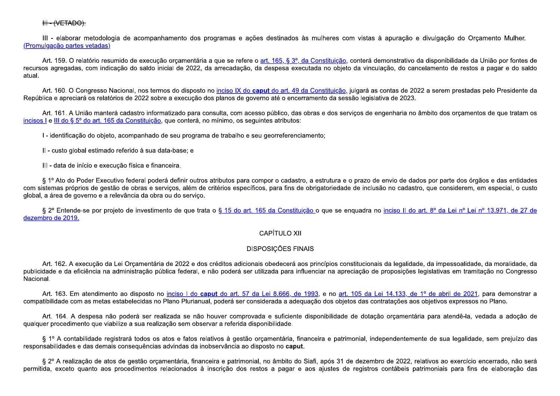III - elaborar metodologia de acompanhamento dos programas e ações destinados às mulheres com vistas à apuração e divulgação do Orçamento Mulher. (Promulgação partes vetadas)

Art. 159. O relatório resumido de execução orçamentária a que se refere o art. 165, § 3º, da Constituição, conterá demonstrativo da disponibilidade da União por fontes de recursos agregadas, com indicação do saldo inicial de 2022, da arrecadação, da despesa executada no objeto da vinculação, do cancelamento de restos a pagar e do saldo atual.

Art. 160. O Congresso Nacional, nos termos do disposto no inciso IX do caput do art. 49 da Constituição, julgará as contas de 2022 a serem prestadas pelo Presidente da República e apreciará os relatórios de 2022 sobre a execução dos planos de governo até o encerramento da sessão legislativa de 2023.

Art. 161. A União manterá cadastro informatizado para consulta, com acesso público, das obras e dos servicos de engenharia no âmbito dos orcamentos de que tratam os incisos I e III do § 5º do art. 165 da Constituição, que conterá, no mínimo, os sequintes atributos:

I - identificação do objeto, acompanhado de seu programa de trabalho e seu georreferenciamento;

Il - custo global estimado referido à sua data-base; e

III - data de início e execução física e financeira.

§ 1º Ato do Poder Executivo federal poderá definir outros atributos para compor o cadastro, a estrutura e o prazo de envio de dados por parte dos órgãos e das entidades com sistemas próprios de gestão de obras e servicos, além de critérios específicos, para fins de obrigatoriedade de inclusão no cadastro, que considerem, em especial, o custo global, a área de governo e a relevância da obra ou do serviço.

§ 2º Entende-se por projeto de investimento de que trata o § 15 do art. 165 da Constituição o que se enguadra no inciso II do art. 8º da Lei nº Lei nº 13.971, de 27 de dezembro de 2019.

# CAPÍTULO XII

# **DISPOSICÕES FINAIS**

Art. 162. A execução da Lei Orcamentária de 2022 e dos créditos adicionais obedecerá aos princípios constitucionais da legalidade, da impessoalidade, da moralidade, da publicidade e da eficiência na administração pública federal, e não poderá ser utilizada para influenciar na apreciação de proposições legislativas em tramitação no Congresso Nacional.

Art. 163. Em atendimento ao disposto no inciso I do caput do art. 57 da Lei 8.666, de 1993, e no art. 105 da Lei 14.133, de 1º de abril de 2021, para demonstrar a compatibilidade com as metas estabelecidas no Plano Plurianual, poderá ser considerada a adequação dos objetos das contratações aos objetivos expressos no Plano.

Art. 164. A despesa não poderá ser realizada se não houver comprovada e suficiente disponibilidade de dotação orçamentária para atendê-la, vedada a adoção de qualquer procedimento que viabilize a sua realização sem observar a referida disponibilidade.

§ 1º A contabilidade registrará todos os atos e fatos relativos à gestão orçamentária, financeira e patrimonial, independentemente de sua legalidade, sem prejuízo das responsabilidades e das demais consequências advindas da inobservância ao disposto no caput.

§ 2º A realização de atos de gestão orcamentária, financeira e patrimonial, no âmbito do Siafi, após 31 de dezembro de 2022, relativos ao exercício encerrado, não será permitida, exceto quanto aos procedimentos relacionados à inscrição dos restos a pagar e aos ajustes de registros contábeis patrimoniais para fins de elaboração das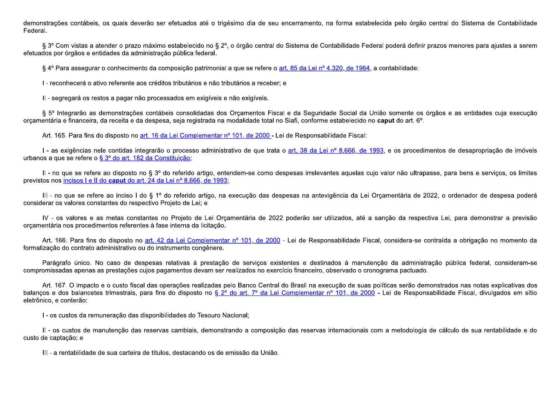demonstrações contábeis, os quais deverão ser efetuados até o trigésimo dia de seu encerramento, na forma estabelecida pelo órgão central do Sistema de Contabilidade Federal.

§ 3º Com vistas a atender o prazo máximo estabelecido no § 2º, o órgão central do Sistema de Contabilidade Federal poderá definir prazos menores para ajustes a serem efetuados por órgãos e entidades da administração pública federal.

§ 4º Para assegurar o conhecimento da composição patrimonial a que se refere o art. 85 da Lei nº 4.320, de 1964, a contabilidade:

I - reconhecerá o ativo referente aos créditos tributários e não tributários a receber: e

II - segregará os restos a pagar não processados em exigíveis e não exigíveis.

§ 5º Integrarão as demonstrações contábeis consolidadas dos Orcamentos Fiscal e da Seguridade Social da União somente os órgãos e as entidades cuja execução orcamentária e financeira, da receita e da despesa, seja registrada na modalidade total no Siafi, conforme estabelecido no caput do art. 6°,

Art. 165. Para fins do disposto no art. 16 da Lei Complementar nº 101, de 2000 - Lei de Responsabilidade Fiscal:

I - as exigências nele contidas integrarão o processo administrativo de que trata o art. 38 da Lei nº 8.666, de 1993, e os procedimentos de desapropriação de imóveis urbanos a que se refere o § 3º do art. 182 da Constituição;

II - no que se refere ao disposto no § 3º do referido artigo, entendem-se como despesas irrelevantes aguelas cujo valor não ultrapasse, para bens e serviços, os limites previstos nos incisos I e II do caput do art. 24 da Lei nº 8.666, de 1993;

III - no que se refere ao inciso I do § 1º do referido artigo, na execução das despesas na antevigência da Lei Orcamentária de 2022, o ordenador de despesa poderá considerar os valores constantes do respectivo Projeto de Lei; e

IV - os valores e as metas constantes no Projeto de Lei Orcamentária de 2022 poderão ser utilizados, até a sanção da respectiva Lei, para demonstrar a previsão orcamentária nos procedimentos referentes à fase interna da licitação.

Art. 166. Para fins do disposto no art. 42 da Lei Complementar nº 101, de 2000 - Lei de Responsabilidade Fiscal, considera-se contraída a obrigação no momento da formalização do contrato administrativo ou do instrumento congênere.

Parágrafo único. No caso de despesas relativas à prestação de servicos existentes e destinados à manutenção da administração pública federal, consideram-se compromissadas apenas as prestações cujos pagamentos devam ser realizados no exercício financeiro, observado o cronograma pactuado.

Art. 167. O impacto e o custo fiscal das operações realizadas pelo Banco Central do Brasil na execução de suas políticas serão demonstrados nas notas explicativas dos balancos e dos balancetes trimestrais, para fins do disposto no § 2º do art. 7º da Lei Complementar nº 101, de 2000 - Lei de Responsabilidade Fiscal, divulgados em sítio eletrônico, e conterão:

I - os custos da remuneração das disponibilidades do Tesouro Nacional;

II - os custos de manutenção das reservas cambiais, demonstrando a composição das reservas internacionais com a metodologia de cálculo de sua rentabilidade e do custo de captação; e

III-a rentabilidade de sua carteira de títulos, destacando os de emissão da União.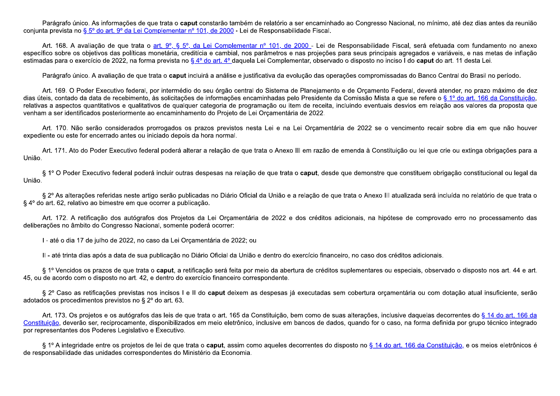Parágrafo único. As informações de que trata o caput constarão também de relatório a ser encaminhado ao Congresso Nacional, no mínimo, até dez dias antes da reunião conjunta prevista no § 5º do art. 9º da Lei Complementar nº 101, de 2000 - Lei de Responsabilidade Fiscal.

Art. 168. A avaliação de que trata o art. 9º, § 5º, da Lei Complementar nº 101, de 2000 - Lei de Responsabilidade Fiscal, será efetuada com fundamento no anexo específico sobre os obietivos das políticas monetária, creditícia e cambial, nos parâmetros e nas projeções para seus principais agregados e variáveis, e nas metas de inflação estimadas para o exercício de 2022, na forma prevista no § 4º do art. 4º daquela Lei Complementar, observado o disposto no inciso I do caput do art. 11 desta Lei.

Parágrafo único. A avaliação de que trata o caput incluirá a análise e justificativa da evolução das operações compromissadas do Banco Central do Brasil no período.

Art. 169. O Poder Executivo federal, por intermédio do seu órgão central do Sistema de Planejamento e de Orcamento Federal, deverá atender, no prazo máximo de dez dias úteis, contado da data de recebimento, às solicitações de informações encaminhadas pelo Presidente da Comissão Mista a que se refere o § 1º do art. 166 da Constituição, relativas a aspectos quantitativos e qualitativos de qualquer categoria de programação ou item de receita, incluindo eventuais desvios em relação aos valores da proposta que venham a ser identificados posteriormente ao encaminhamento do Projeto de Lei Orcamentária de 2022.

Art. 170. Não serão considerados prorrogados os prazos previstos nesta Lei e na Lei Orcamentária de 2022 se o vencimento recair sobre dia em que não houver expediente ou este for encerrado antes ou iniciado depois da hora normal.

Art. 171. Ato do Poder Executivo federal poderá alterar a relação de que trata o Anexo III em razão de emenda à Constituição ou lei que crie ou extinga obrigações para a União.

§ 1° O Poder Executivo federal poderá incluir outras despesas na relação de que trata o caput, desde que demonstre que constituem obrigação constitucional ou legal da União.

§ 2º As alterações referidas neste artigo serão publicadas no Diário Oficial da União e a relação de que trata o Anexo III atualizada será incluída no relatório de que trata o § 4º do art. 62, relativo ao bimestre em que ocorrer a publicação.

Art. 172. A retificação dos autógrafos dos Projetos da Lei Orcamentária de 2022 e dos créditos adicionais, na hipótese de comprovado erro no processamento das deliberações no âmbito do Congresso Nacional, somente poderá ocorrer:

I - até o dia 17 de julho de 2022, no caso da Lei Orcamentária de 2022; ou

II - até trinta dias após a data de sua publicação no Diário Oficial da União e dentro do exercício financeiro, no caso dos créditos adicionais.

§ 1º Vencidos os prazos de que trata o caput, a retificação será feita por meio da abertura de créditos suplementares ou especiais, observado o disposto nos art. 44 e art. 45, ou de acordo com o disposto no art. 42, e dentro do exercício financeiro correspondente.

§ 2º Caso as retificações previstas nos incisos I e II do caput deixem as despesas já executadas sem cobertura orcamentária ou com dotação atual insuficiente, serão adotados os procedimentos previstos no § 2º do art. 63.

Art. 173. Os projetos e os autógrafos das leis de que trata o art. 165 da Constituição, bem como de suas alterações, inclusive daquelas decorrentes do § 14 do art. 166 da Constituição, deverão ser, reciprocamente, disponibilizados em meio eletrônico, inclusive em bancos de dados, quando for o caso, na forma definida por grupo técnico integrado por representantes dos Poderes Legislativo e Executivo.

§ 1º A integridade entre os projetos de lei de que trata o caput, assim como aqueles decorrentes do disposto no § 14 do art. 166 da Constituição, e os meios eletrônicos é de responsabilidade das unidades correspondentes do Ministério da Economia.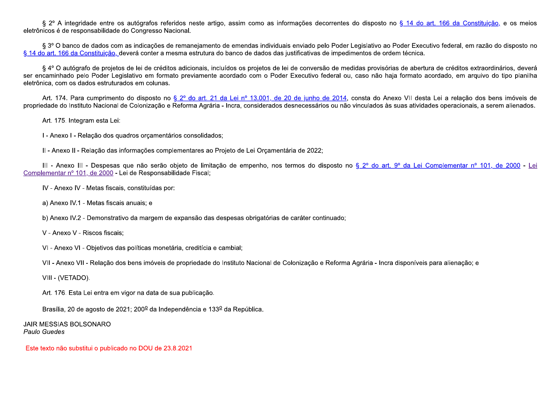§ 2º A integridade entre os autógrafos referidos neste artigo, assim como as informações decorrentes do disposto no § 14 do art. 166 da Constituição, e os meios eletrônicos é de responsabilidade do Congresso Nacional.

§ 3º O banco de dados com as indicações de remanejamento de emendas individuais enviado pelo Poder Legislativo ao Poder Executivo federal, em razão do disposto no § 14 do art. 166 da Constituição, deverá conter a mesma estrutura do banco de dados das justificativas de impedimentos de ordem técnica.

§ 4° O autógrafo de projetos de lei de créditos adicionais, incluídos os projetos de lei de conversão de medidas provisórias de abertura de créditos extraordinários, deverá ser encaminhado pelo Poder Legislativo em formato previamente acordado com o Poder Executivo federal ou, caso não haja formato acordado, em arquivo do tipo planilha eletrônica, com os dados estruturados em colunas.

Art. 174. Para cumprimento do disposto no § 2º do art. 21 da Lei nº 13.001, de 20 de junho de 2014, consta do Anexo VII desta Lei a relação dos bens imóveis de propriedade do Instituto Nacional de Colonização e Reforma Agrária - Incra, considerados desnecessários ou não vinculados às suas atividades operacionais, a serem alienados.

Art. 175. Integram esta Lei:

I - Anexo I - Relação dos quadros orçamentários consolidados;

II - Anexo II - Relação das informações complementares ao Projeto de Lei Orcamentária de 2022;

III - Anexo III - Despesas que não serão objeto de limitação de empenho, nos termos do disposto no § 2º do art. 9º da Lei Complementar nº 101, de 2000 - Lei Complementar nº 101, de 2000 - Lei de Responsabilidade Fiscal;

IV - Anexo IV - Metas fiscais, constituídas por:

a) Anexo IV.1 - Metas fiscais anuais; e

b) Anexo IV.2 - Demonstrativo da margem de expansão das despesas obrigatórias de caráter continuado;

V - Anexo V - Riscos fiscais;

VI - Anexo VI - Objetivos das políticas monetária, creditícia e cambial;

VII - Anexo VII - Relação dos bens imóveis de propriedade do Instituto Nacional de Colonização e Reforma Agrária - Incra disponíveis para alienação; e

VIII - (VETADO).

Art. 176. Esta Lei entra em vigor na data de sua publicação.

Brasília, 20 de agosto de 2021; 200º da Independência e 133º da República.

**JAIR MESSIAS BOLSONARO** Paulo Guedes

Este texto não substitui o publicado no DOU de 23.8.2021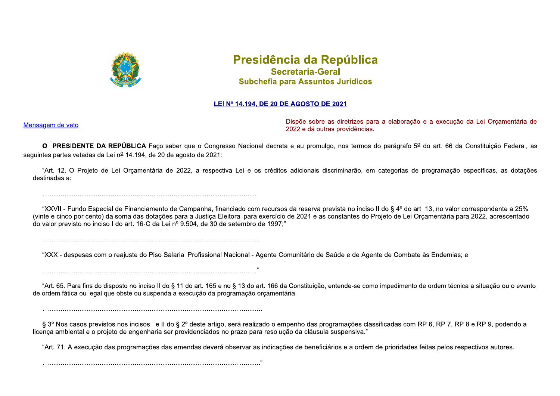

# Presidência da República **Secretaria-Geral** Subchefia para Assuntos Jurídicos

# LEI Nº 14.194, DE 20 DE AGOSTO DE 2021

Mensagem de veto

Dispõe sobre as diretrizes para a elaboração e a execução da Lei Orçamentária de 2022 e dá outras providências.

O PRESIDENTE DA REPÚBLICA Faco saber que o Congresso Nacional decreta e eu promulgo, nos termos do parágrafo 5º do art. 66 da Constituição Federal, as sequintes partes vetadas da Lei nº 14.194, de 20 de agosto de 2021:

"Art. 12. O Projeto de Lei Orcamentária de 2022, a respectiva Lei e os créditos adicionais discriminarão, em categorias de programação específicas, as dotações destinadas a:

"XXVII - Fundo Especial de Financiamento de Campanha, financiado com recursos da reserva prevista no inciso II do § 4º do art. 13, no valor correspondente a 25% (vinte e cinco por cento) da soma das dotações para a Justiça Eleitoral para exercício de 2021 e as constantes do Projeto de Lei Orçamentária para 2022, acrescentado do valor previsto no inciso I do art. 16-C da Lei nº 9.504, de 30 de setembro de 1997."

"XXX - despesas com o reajuste do Piso Salarial Profissional Nacional - Agente Comunitário de Saúde e de Agente de Combate às Endemias; e

"Art. 65. Para fins do disposto no inciso II do § 11 do art. 165 e no § 13 do art. 166 da Constituição, entende-se como impedimento de ordem técnica a situação ou o evento de ordem fática ou legal que obste ou suspenda a execução da programação orcamentária.

§ 3º Nos casos previstos nos incisos I e II do § 2º deste artigo, será realizado o empenho das programações classificadas com RP 6, RP 7, RP 8 e RP 9, podendo a licenca ambiental e o projeto de engenharia ser providenciados no prazo para resolução da cláusula suspensiva."

"Art. 71. A execução das programações das emendas deverá observar as indicações de beneficiários e a ordem de prioridades feitas pelos respectivos autores.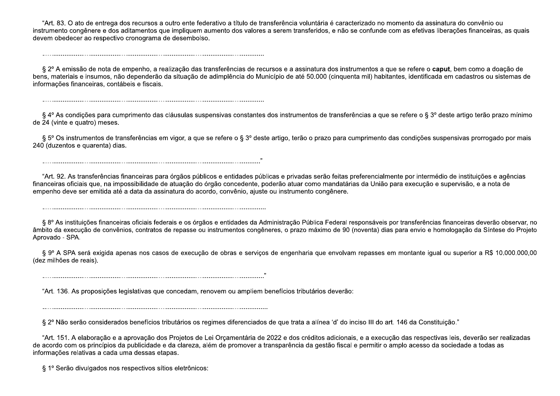"Art. 83. O ato de entrega dos recursos a outro ente federativo a título de transferência voluntária é caracterizado no momento da assinatura do convênio ou instrumento congênere e dos aditamentos que impliquem aumento dos valores a serem transferidos, e não se confunde com as efetivas liberações financeiras, as quais devem obedecer ao respectivo cronograma de desembolso.

§ 2º A emissão de nota de empenho, a realização das transferências de recursos e a assinatura dos instrumentos a que se refere o caput, bem como a doação de bens, materiais e insumos, não dependerão da situação de adimplência do Município de até 50.000 (cinquenta mil) habitantes, identificada em cadastros ou sistemas de informações financeiras, contábeis e fiscais.

§ 4º As condições para cumprimento das cláusulas suspensivas constantes dos instrumentos de transferências a que se refere o § 3º deste artigo terão prazo mínimo de 24 (vinte e quatro) meses.

§ 5° Os instrumentos de transferências em vigor, a que se refere o § 3° deste artigo, terão o prazo para cumprimento das condições suspensivas prorrogado por mais 240 (duzentos e quarenta) dias.

"Art. 92. As transferências financeiras para órgãos públicos e entidades públicas e privadas serão feitas preferencialmente por intermédio de instituições e agências financeiras oficiais que, na impossibilidade de atuação do órgão concedente, poderão atuar como mandatárias da União para execução e supervisão, e a nota de empenho deve ser emitida até a data da assinatura do acordo, convênio, ajuste ou instrumento congênere.

§ 8º As instituições financeiras oficiais federais e os órgãos e entidades da Administração Pública Federal responsáveis por transferências financeiras deverão observar, no âmbito da execução de convênios, contratos de repasse ou instrumentos congêneres, o prazo máximo de 90 (noventa) dias para envio e homologação da Síntese do Projeto Aprovado - SPA.

§ 9º A SPA será exigida apenas nos casos de execução de obras e servicos de engenharia que envolvam repasses em montante igual ou superior a R\$ 10.000.000,00 (dez milhões de reais).

"Art. 136. As proposições legislativas que concedam, renovem ou ampliem benefícios tributários deverão:

§ 2º Não serão considerados benefícios tributários os regimes diferenciados de que trata a alínea 'd' do inciso III do art. 146 da Constituição."

"Art. 151. A elaboração e a aprovação dos Projetos de Lei Orçamentária de 2022 e dos créditos adicionais, e a execução das respectivas leis, deverão ser realizadas de acordo com os princípios da publicidade e da clareza, além de promover a transparência da gestão fiscal e permitir o amplo acesso da sociedade a todas as informações relativas a cada uma dessas etapas.

§ 1º Serão divulgados nos respectivos sítios eletrônicos: